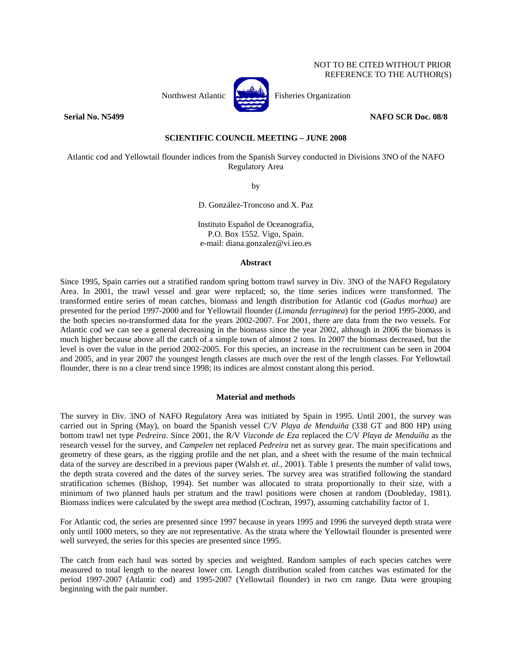# NOT TO BE CITED WITHOUT PRIOR REFERENCE TO THE AUTHOR(S)



Northwest Atlantic **Northusia** Fisheries Organization

**Serial No. N5499 NAFO SCR Doc. 08/8** 

# **SCIENTIFIC COUNCIL MEETING – JUNE 2008**

Atlantic cod and Yellowtail flounder indices from the Spanish Survey conducted in Divisions 3NO of the NAFO Regulatory Area

by

D. González-Troncoso and X. Paz

Instituto Español de Oceanografía, P.O. Box 1552. Vigo, Spain. e-mail: diana.gonzalez@vi.ieo.es

## **Abstract**

Since 1995, Spain carries out a stratified random spring bottom trawl survey in Div. 3NO of the NAFO Regulatory Area. In 2001, the trawl vessel and gear were replaced; so, the time series indices were transformed. The transformed entire series of mean catches, biomass and length distribution for Atlantic cod (*Gadus morhua*) are presented for the period 1997-2000 and for Yellowtail flounder (*Limanda ferruginea*) for the period 1995-2000, and the both species no-transformed data for the years 2002-2007. For 2001, there are data from the two vessels. For Atlantic cod we can see a general decreasing in the biomass since the year 2002, although in 2006 the biomass is much higher because above all the catch of a simple town of almost 2 tons. In 2007 the biomass decreased, but the level is over the value in the period 2002-2005. For this species, an increase in the recruitment can be seen in 2004 and 2005, and in year 2007 the youngest length classes are much over the rest of the length classes. For Yellowtail flounder, there is no a clear trend since 1998; its indices are almost constant along this period.

### **Material and methods**

The survey in Div. 3NO of NAFO Regulatory Area was initiated by Spain in 1995. Until 2001, the survey was carried out in Spring (May), on board the Spanish vessel C/V *Playa de Menduiña* (338 GT and 800 HP) using bottom trawl net type *Pedreira*. Since 2001, the R/V *Vizconde de Eza* replaced the C/V *Playa de Menduíña* as the research vessel for the survey, and *Campelen* net replaced *Pedreira* net as survey gear. The main specifications and geometry of these gears, as the rigging profile and the net plan, and a sheet with the resume of the main technical data of the survey are described in a previous paper (Walsh *et. al.*, 2001). Table 1 presents the number of valid tows, the depth strata covered and the dates of the survey series. The survey area was stratified following the standard stratification schemes (Bishop, 1994). Set number was allocated to strata proportionally to their size, with a minimum of two planned hauls per stratum and the trawl positions were chosen at random (Doubleday, 1981). Biomass indices were calculated by the swept area method (Cochran, 1997), assuming catchability factor of 1.

For Atlantic cod, the series are presented since 1997 because in years 1995 and 1996 the surveyed depth strata were only until 1000 meters, so they are not representative. As the strata where the Yellowtail flounder is presented were well surveyed, the series for this species are presented since 1995.

The catch from each haul was sorted by species and weighted. Random samples of each species catches were measured to total length to the nearest lower cm. Length distribution scaled from catches was estimated for the period 1997-2007 (Atlantic cod) and 1995-2007 (Yellowtail flounder) in two cm range. Data were grouping beginning with the pair number.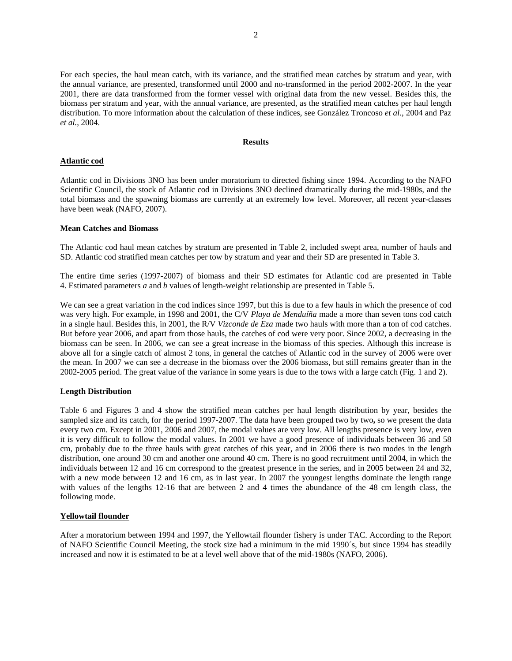For each species, the haul mean catch, with its variance, and the stratified mean catches by stratum and year, with the annual variance, are presented, transformed until 2000 and no-transformed in the period 2002-2007. In the year 2001, there are data transformed from the former vessel with original data from the new vessel. Besides this, the biomass per stratum and year, with the annual variance, are presented, as the stratified mean catches per haul length distribution. To more information about the calculation of these indices, see González Troncoso *et al.*, 2004 and Paz *et al.*, 2004.

## **Results**

## **Atlantic cod**

Atlantic cod in Divisions 3NO has been under moratorium to directed fishing since 1994. According to the NAFO Scientific Council, the stock of Atlantic cod in Divisions 3NO declined dramatically during the mid-1980s, and the total biomass and the spawning biomass are currently at an extremely low level. Moreover, all recent year-classes have been weak (NAFO, 2007).

### **Mean Catches and Biomass**

The Atlantic cod haul mean catches by stratum are presented in Table 2, included swept area, number of hauls and SD. Atlantic cod stratified mean catches per tow by stratum and year and their SD are presented in Table 3.

The entire time series (1997-2007) of biomass and their SD estimates for Atlantic cod are presented in Table 4. Estimated parameters *a* and *b* values of length-weight relationship are presented in Table 5.

We can see a great variation in the cod indices since 1997, but this is due to a few hauls in which the presence of cod was very high. For example, in 1998 and 2001, the C/V *Playa de Menduíña* made a more than seven tons cod catch in a single haul. Besides this, in 2001, the R/V *Vizconde de Eza* made two hauls with more than a ton of cod catches. But before year 2006, and apart from those hauls, the catches of cod were very poor. Since 2002, a decreasing in the biomass can be seen. In 2006, we can see a great increase in the biomass of this species. Although this increase is above all for a single catch of almost 2 tons, in general the catches of Atlantic cod in the survey of 2006 were over the mean. In 2007 we can see a decrease in the biomass over the 2006 biomass, but still remains greater than in the 2002-2005 period. The great value of the variance in some years is due to the tows with a large catch (Fig. 1 and 2).

## **Length Distribution**

Table 6 and Figures 3 and 4 show the stratified mean catches per haul length distribution by year, besides the sampled size and its catch, for the period 1997-2007. The data have been grouped two by two**,** so we present the data every two cm. Except in 2001, 2006 and 2007, the modal values are very low. All lengths presence is very low, even it is very difficult to follow the modal values. In 2001 we have a good presence of individuals between 36 and 58 cm, probably due to the three hauls with great catches of this year, and in 2006 there is two modes in the length distribution, one around 30 cm and another one around 40 cm. There is no good recruitment until 2004, in which the individuals between 12 and 16 cm correspond to the greatest presence in the series, and in 2005 between 24 and 32, with a new mode between 12 and 16 cm, as in last year. In 2007 the youngest lengths dominate the length range with values of the lengths 12-16 that are between 2 and 4 times the abundance of the 48 cm length class, the following mode.

## **Yellowtail flounder**

After a moratorium between 1994 and 1997, the Yellowtail flounder fishery is under TAC. According to the Report of NAFO Scientific Council Meeting, the stock size had a minimum in the mid 1990´s, but since 1994 has steadily increased and now it is estimated to be at a level well above that of the mid-1980s (NAFO, 2006).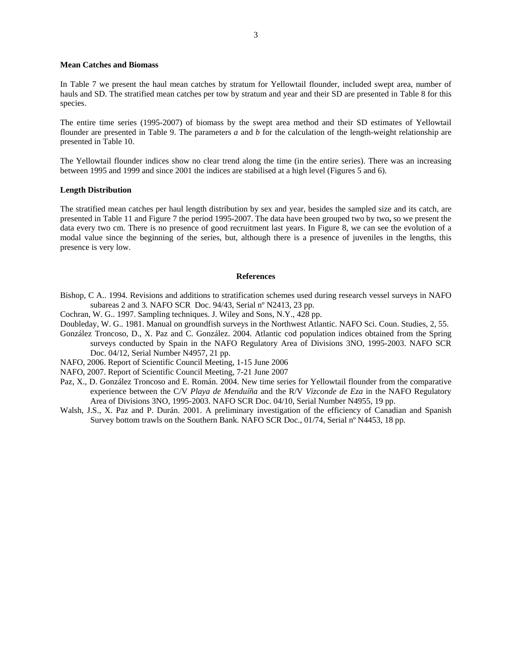## **Mean Catches and Biomass**

In Table 7 we present the haul mean catches by stratum for Yellowtail flounder, included swept area, number of hauls and SD. The stratified mean catches per tow by stratum and year and their SD are presented in Table 8 for this species.

The entire time series (1995-2007) of biomass by the swept area method and their SD estimates of Yellowtail flounder are presented in Table 9. The parameters *a* and *b* for the calculation of the length-weight relationship are presented in Table 10.

The Yellowtail flounder indices show no clear trend along the time (in the entire series). There was an increasing between 1995 and 1999 and since 2001 the indices are stabilised at a high level (Figures 5 and 6).

### **Length Distribution**

The stratified mean catches per haul length distribution by sex and year, besides the sampled size and its catch, are presented in Table 11 and Figure 7 the period 1995-2007. The data have been grouped two by two**,** so we present the data every two cm. There is no presence of good recruitment last years. In Figure 8, we can see the evolution of a modal value since the beginning of the series, but, although there is a presence of juveniles in the lengths, this presence is very low.

## **References**

- Bishop, C A.. 1994. Revisions and additions to stratification schemes used during research vessel surveys in NAFO subareas 2 and 3*.* NAFO SCR Doc. 94/43, Serial nº N2413, 23 pp.
- Cochran, W. G.. 1997. Sampling techniques. J. Wiley and Sons, N.Y., 428 pp.
- Doubleday, W. G.. 1981. Manual on groundfish surveys in the Northwest Atlantic. NAFO Sci. Coun. Studies, 2, 55.
- González Troncoso, D., X. Paz and C. González. 2004. Atlantic cod population indices obtained from the Spring surveys conducted by Spain in the NAFO Regulatory Area of Divisions 3NO, 1995-2003. NAFO SCR Doc. 04/12, Serial Number N4957, 21 pp.
- NAFO, 2006. Report of Scientific Council Meeting, 1-15 June 2006
- NAFO, 2007. Report of Scientific Council Meeting, 7-21 June 2007
- Paz, X., D. González Troncoso and E. Román. 2004. New time series for Yellowtail flounder from the comparative experience between the C/V *Playa de Menduíña* and the R/V *Vizconde de Eza* in the NAFO Regulatory Area of Divisions 3NO, 1995-2003. NAFO SCR Doc. 04/10, Serial Number N4955, 19 pp.
- Walsh, J.S., X. Paz and P. Durán. 2001. A preliminary investigation of the efficiency of Canadian and Spanish Survey bottom trawls on the Southern Bank. NAFO SCR Doc., 01/74, Serial nº N4453, 18 pp.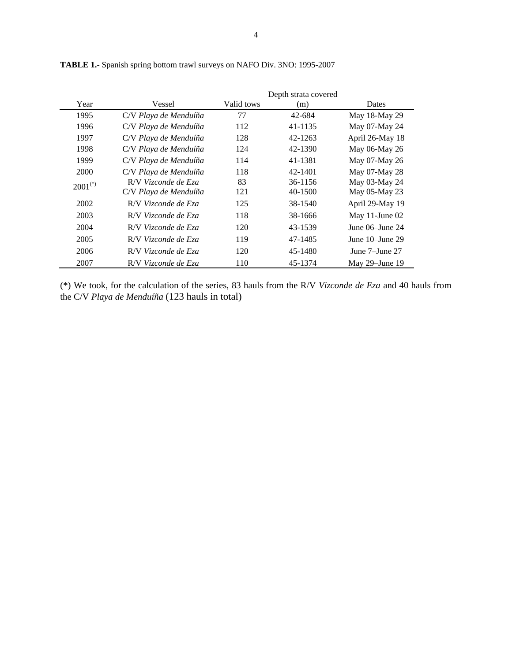|              |                       |            | Depth strata covered |                      |
|--------------|-----------------------|------------|----------------------|----------------------|
| Year         | Vessel                | Valid tows | (m)                  | Dates                |
| 1995         | C/V Playa de Menduíña | 77         | 42-684               | May 18-May 29        |
| 1996         | C/V Playa de Menduíña | 112        | 41-1135              | May 07-May 24        |
| 1997         | C/V Playa de Menduíña | 128        | 42-1263              | April 26-May 18      |
| 1998         | C/V Playa de Menduíña | 124        | 42-1390              | May 06-May 26        |
| 1999         | C/V Playa de Menduíña | 114        | 41-1381              | May 07-May 26        |
| 2000         | C/V Playa de Menduíña | 118        | 42-1401              | May 07-May 28        |
| $2001^{(*)}$ | R/V Vizconde de Eza   | 83         | 36-1156              | May 03-May 24        |
|              | C/V Playa de Menduíña | 121        | 40-1500              | May 05-May 23        |
| 2002         | R/V Vizconde de Eza   | 125        | 38-1540              | April 29-May 19      |
| 2003         | R/V Vizconde de Eza   | 118        | 38-1666              | May 11-June $02$     |
| 2004         | R/V Vizconde de Eza   | 120        | 43-1539              | June $06$ –June $24$ |
| 2005         | R/V Vizconde de Eza   | 119        | 47-1485              | June $10$ -June $29$ |
| 2006         | R/V Vizconde de Eza   | 120        | 45-1480              | June 7–June 27       |
| 2007         | R/V Vizconde de Eza   | 110        | 45-1374              | May $29$ -June 19    |

**TABLE 1.-** Spanish spring bottom trawl surveys on NAFO Div. 3NO: 1995-2007

(\*) We took, for the calculation of the series, 83 hauls from the R/V *Vizconde de Eza* and 40 hauls from the C/V *Playa de Menduíña* (123 hauls in total)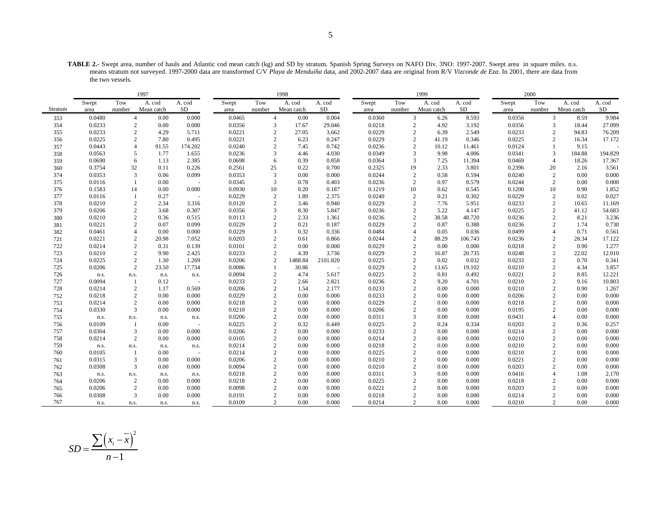**TABLE 2.-** Swept area, number of hauls and Atlantic cod mean catch (kg) and SD by stratum. Spanish Spring Surveys on NAFO Div. 3NO: 1997-2007. Swept area in square miles. n.s. means stratum not surveyed. 1997-2000 data are transformed C/V *Playa de Menduíña* data, and 2002-2007 data are original from R/V *Vizconde de Eza*. In 2001, there are data from the two vessels.

|         |        |                | 1997       |                          |        |                | 1998       |          |        |                | 1999                   |         |        | 2000   |                         |         |
|---------|--------|----------------|------------|--------------------------|--------|----------------|------------|----------|--------|----------------|------------------------|---------|--------|--------|-------------------------|---------|
|         | Swept  | Tow            | A. cod     | A. cod                   | Swept  | Tow            | A. cod     | A. cod   | Swept  | Tow            | A. cod                 | A. cod  | Swept  | Tow    | A. cod                  | A. cod  |
| Stratum | area   | number         | Mean catch | SD.                      | area   | number         | Mean catch | SD       | area   | number         | Mean catch             | SD      | area   | number | Mean catch              | SD      |
| 353     | 0.0480 | $\overline{4}$ | 0.00       | 0.000                    | 0.0465 | $\overline{4}$ | 0.00       | 0.004    | 0.0360 |                | 3<br>6.26              | 8.593   | 0.0356 |        | 3<br>8.59               | 9.984   |
| 354     | 0.0233 | 2              | 0.00       | 0.000                    | 0.0356 | 3              | 17.67      | 29.046   | 0.0218 |                | 2<br>4.92              | 3.192   | 0.0356 |        | 18.44<br>3              | 27.099  |
| 355     | 0.0233 | $\overline{2}$ | 4.29       | 5.711                    | 0.0221 | 2              | 27.05      | 3.662    | 0.0229 |                | $\overline{2}$<br>6.39 | 2.549   | 0.0233 |        | 2<br>94.83              | 76.209  |
| 356     | 0.0225 | 2              | 7.80       | 0.495                    | 0.0221 | $\overline{c}$ | 6.23       | 0.247    | 0.0229 | $\overline{2}$ | 41.19                  | 0.346   | 0.0225 |        | 2<br>16.34              | 17.172  |
| 357     | 0.0443 | $\overline{4}$ | 91.55      | 174.202                  | 0.0240 |                | 2<br>7.45  | 0.742    | 0.0236 | $\overline{2}$ | 10.12                  | 11.461  | 0.0124 |        | 9.15                    |         |
| 358     | 0.0563 | 5              | 1.77       | 1.655                    | 0.0236 | 3              | 4.46       | 4.030    | 0.0349 | 3              | 9.98                   | 4.006   | 0.0341 |        | 3<br>184.88             | 194.829 |
| 359     | 0.0690 | 6              | 1.13       | 2.385                    | 0.0698 | 6              | 0.39       | 0.858    | 0.0364 | 3              | 7.25                   | 11.394  | 0.0469 |        | 18.26<br>$\overline{4}$ | 17.367  |
| 360     | 0.3754 | 32             | 0.11       | 0.226                    | 0.2561 | 25             | 0.22       | 0.700    | 0.2325 | 19             | 2.33                   | 3.801   | 0.2396 | 20     | 2.16                    | 3.561   |
| 374     | 0.0353 | 3              | 0.06       | 0.099                    | 0.0353 | 3              | 0.00       | 0.000    | 0.0244 | $\overline{c}$ | 0.58                   | 0.594   | 0.0240 |        | $\overline{c}$<br>0.00  | 0.000   |
| 375     | 0.0116 |                | 0.00       |                          | 0.0345 | 3              | 0.78       | 0.403    | 0.0236 | 2              | 0.97                   | 0.579   | 0.0244 |        | $\overline{2}$<br>0.00  | 0.000   |
| 376     | 0.1583 | 14             | 0.00       | 0.000                    | 0.0930 | 10             | 0.20       | 0.187    | 0.1219 | 10             | 0.62                   | 0.545   | 0.1200 | 10     | 0.90                    | 1.852   |
| 377     | 0.0116 |                | 0.27       | $\overline{\phantom{a}}$ | 0.0229 | $\overline{c}$ | 1.89       | 2.375    | 0.0240 | $\overline{c}$ | 0.21                   | 0.302   | 0.0229 |        | $\overline{c}$<br>0.02  | 0.027   |
| 378     | 0.0210 | $\overline{c}$ | 2.34       | 3.316                    | 0.0120 | $\overline{c}$ | 3.46       | 0.940    | 0.0229 | $\overline{2}$ | 7.76                   | 5.951   | 0.0233 |        | $\overline{c}$<br>10.65 | 11.169  |
| 379     | 0.0206 | $\overline{c}$ | 3.68       | 0.307                    | 0.0356 | 3              | 8.30       | 5.847    | 0.0236 |                | 5.22<br>2              | 4.147   | 0.0225 |        | 2<br>41.12              | 54.683  |
| 380     | 0.0210 | $\overline{2}$ | 0.36       | 0.515                    | 0.0113 | $\overline{2}$ | 2.33       | 1.361    | 0.0236 | $\overline{2}$ | 38.58                  | 48.720  | 0.0236 |        | $\overline{c}$<br>8.21  | 3.236   |
| 381     | 0.0221 | $\overline{c}$ | 0.07       | 0.099                    | 0.0229 | $\overline{c}$ | 0.21       | 0.187    | 0.0229 | $\overline{c}$ | 0.87                   | 0.388   | 0.0236 |        | 2<br>1.74               | 0.730   |
| 382     | 0.0461 | $\overline{4}$ | 0.00       | 0.000                    | 0.0229 | 3              | 0.32       | 0.336    | 0.0484 | $\overline{4}$ | 0.05                   | 0.036   | 0.0499 |        | 0.71<br>$\overline{4}$  | 0.561   |
| 721     | 0.0221 | $\overline{2}$ | 20.98      | 7.052                    | 0.0203 | $\overline{2}$ | 0.61       | 0.866    | 0.0244 | $\overline{2}$ | 88.29                  | 106.743 | 0.0236 |        | $\overline{c}$<br>28.34 | 17.122  |
| 722     | 0.0214 | $\overline{c}$ | 0.31       | 0.139                    | 0.0101 | $\overline{c}$ | 0.00       | 0.000    | 0.0229 | $\overline{2}$ | 0.00                   | 0.000   | 0.0218 |        | 2<br>0.90               | 1.277   |
| 723     | 0.0210 | $\overline{c}$ | 9.90       | 2.425                    | 0.0233 | $\overline{c}$ | 4.39       | 3.736    | 0.0229 | $\overline{c}$ | 16.87                  | 20.735  | 0.0248 |        | 2<br>22.02              | 12.010  |
| 724     | 0.0225 | $\sqrt{2}$     | 1.30       | 1.269                    | 0.0206 | $\sqrt{2}$     | 1488.84    | 2101.820 | 0.0225 | $\overline{c}$ | 0.02                   | 0.032   | 0.0233 |        | $\overline{c}$<br>0.70  | 0.341   |
| 725     | 0.0206 | $\overline{2}$ | 23.50      | 17.734                   | 0.0086 | 1              | 30.86      | $\sim$   | 0.0229 | $\overline{2}$ | 13.65                  | 19.102  | 0.0210 |        | $\overline{c}$<br>4.34  | 3.857   |
| 726     | n.s.   | n.s.           | n.s.       | n.s.                     | 0.0094 | $\overline{2}$ | 4.74       | 5.617    | 0.0225 | $\overline{2}$ | 0.81                   | 0.492   | 0.0221 |        | $\overline{2}$<br>8.85  | 12.221  |
| 727     | 0.0094 |                | 0.12       |                          | 0.0233 | $\overline{2}$ | 2.66       | 2.821    | 0.0236 | $\mathbf{2}$   | 9.20                   | 4.701   | 0.0210 |        | $\mathbf{2}$<br>9.16    | 10.803  |
| 728     | 0.0214 | 2              | 1.17       | 0.569                    | 0.0206 | $\overline{c}$ | 1.54       | 2.177    | 0.0233 |                | 2<br>0.00              | 0.000   | 0.0210 |        | $\overline{2}$<br>0.90  | 1.267   |
| 752     | 0.0218 | $\overline{2}$ | 0.00       | 0.000                    | 0.0229 | $\overline{2}$ | 0.00       | 0.000    | 0.0233 | $\overline{c}$ | 0.00                   | 0.000   | 0.0206 |        | $\overline{c}$<br>0.00  | 0.000   |
| 753     | 0.0214 | $\overline{2}$ | 0.00       | 0.000                    | 0.0218 | $\overline{2}$ | 0.00       | 0.000    | 0.0229 | $\overline{2}$ | 0.00                   | 0.000   | 0.0218 |        | 0.00<br>$\overline{2}$  | 0.000   |
| 754     | 0.0330 | 3              | 0.00       | 0.000                    | 0.0210 | $\overline{2}$ | 0.00       | 0.000    | 0.0206 |                | $\overline{2}$<br>0.00 | 0.000   | 0.0195 |        | $\overline{2}$<br>0.00  | 0.000   |
| 755     | n.s.   | n.s.           | n.s.       | n.s.                     | 0.0206 | $\overline{2}$ | 0.00       | 0.000    | 0.0311 | 3              | 0.00                   | 0.000   | 0.0431 |        | 0.00                    | 0.000   |
| 756     | 0.0109 | $\mathbf{1}$   | 0.00       |                          | 0.0225 | $\overline{2}$ | 0.32       | 0.449    | 0.0225 | $\overline{2}$ | 0.24                   | 0.334   | 0.0203 |        | 0.36<br>$\overline{2}$  | 0.257   |
| 757     | 0.0304 | 3              | 0.00       | 0.000                    | 0.0206 | $\overline{c}$ | 0.00       | 0.000    | 0.0233 |                | 2<br>0.00              | 0.000   | 0.0214 |        | 2<br>0.00               | 0.000   |
| 758     | 0.0214 | $\overline{2}$ | 0.00       | 0.000                    | 0.0105 | $\overline{2}$ | 0.00       | 0.000    | 0.0214 | $\overline{2}$ | 0.00                   | 0.000   | 0.0210 |        | $\overline{2}$<br>0.00  | 0.000   |
| 759     | n.s.   | n.s.           | n.s.       | n.s.                     | 0.0214 | $\overline{2}$ | 0.00       | 0.000    | 0.0218 | $\overline{2}$ | 0.00                   | 0.000   | 0.0210 |        | $\overline{2}$<br>0.00  | 0.000   |
| 760     | 0.0105 |                | 0.00       |                          | 0.0214 | $\overline{2}$ | 0.00       | 0.000    | 0.0225 | $\overline{c}$ | 0.00                   | 0.000   | 0.0210 |        | $\overline{c}$<br>0.00  | 0.000   |
| 761     | 0.0315 | 3              | 0.00       | 0.000                    | 0.0206 | $\overline{2}$ | 0.00       | 0.000    | 0.0210 | $\overline{2}$ | 0.00                   | 0.000   | 0.0221 |        | $\overline{2}$<br>0.00  | 0.000   |
| 762     | 0.0308 | 3              | 0.00       | 0.000                    | 0.0094 | $\overline{2}$ | 0.00       | 0.000    | 0.0210 |                | 0.00<br>2              | 0.000   | 0.0203 |        | 0.00<br>$\overline{2}$  | 0.000   |
| 763     | n.s.   | n.s.           | n.s.       | n.s.                     | 0.0218 | $\overline{2}$ | 0.00       | 0.000    | 0.0311 | 3              | 0.00                   | 0.000   | 0.0416 |        | $\overline{4}$<br>1.08  | 2.170   |
| 764     | 0.0206 | $\sqrt{2}$     | 0.00       | 0.000                    | 0.0218 | $\overline{c}$ | 0.00       | 0.000    | 0.0225 | $\overline{2}$ | 0.00                   | 0.000   | 0.0218 |        | 2<br>0.00               | 0.000   |
| 765     | 0.0206 | 2              | 0.00       | 0.000                    | 0.0098 | 2              | 0.00       | 0.000    | 0.0221 | $\overline{c}$ | 0.00                   | 0.000   | 0.0203 |        | 2<br>0.00               | 0.000   |
| 766     | 0.0308 | 3              | 0.00       | 0.000                    | 0.0191 | $\overline{2}$ | 0.00       | 0.000    | 0.0218 | $\overline{2}$ | 0.00                   | 0.000   | 0.0214 |        | $\mathfrak{2}$<br>0.00  | 0.000   |
| 767     | n.s.   | n.s.           | n.s.       | n.s.                     | 0.0109 |                | 0.00<br>2  | 0.000    | 0.0214 |                | $\overline{2}$<br>0.00 | 0.000   | 0.0210 |        | $\overline{2}$<br>0.00  | 0.000   |

$$
SD = \frac{\sum (x_i - \overline{x})^2}{n - 1}
$$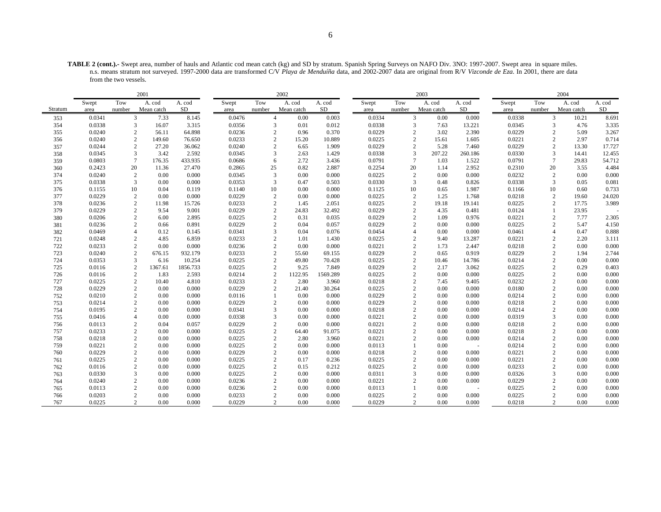**TABLE 2 (cont.).-** Swept area, number of hauls and Atlantic cod mean catch (kg) and SD by stratum. Spanish Spring Surveys on NAFO Div. 3NO: 1997-2007. Swept area in square miles. n.s. means stratum not surveyed. 1997-2000 data are transformed C/V *Playa de Menduíña* data, and 2002-2007 data are original from R/V *Vizconde de Eza*. In 2001, there are data from the two vessels.

|         | 2001   |                |            |          |        | 2002           |            | 2003     |        |                        |            | 2004     |        |                        |            |        |
|---------|--------|----------------|------------|----------|--------|----------------|------------|----------|--------|------------------------|------------|----------|--------|------------------------|------------|--------|
|         | Swept  | Tow            | A. cod     | A. cod   | Swept  | Tow            | A. cod     | A. cod   | Swept  | Tow                    | A. cod     | A. cod   | Swept  | Tow                    | A. cod     | A. cod |
| Stratum | area   | number         | Mean catch | SD       | area   | number         | Mean catch | $\rm SD$ | area   | number                 | Mean catch | $\rm SD$ | area   | number                 | Mean catch | SD     |
| 353     | 0.0341 | 3              | 7.33       | 8.145    | 0.0476 | $\overline{4}$ | 0.00       | 0.003    | 0.0334 | 3                      | 0.00       | 0.000    | 0.0338 | 3                      | 10.21      | 8.691  |
| 354     | 0.0338 | 3              | 16.07      | 3.315    | 0.0356 | 3              | 0.01       | 0.012    | 0.0338 | 3                      | 7.63       | 13.221   | 0.0345 | 3                      | 4.76       | 3.335  |
| 355     | 0.0240 | $\mathbf{2}$   | 56.11      | 64.898   | 0.0236 | 2              | 0.96       | 0.370    | 0.0229 | $\overline{2}$         | 3.02       | 2.390    | 0.0229 | $\overline{2}$         | 5.09       | 3.267  |
| 356     | 0.0240 | 2              | 149.60     | 76.650   | 0.0233 | 2              | 15.20      | 10.889   | 0.0225 | 2                      | 15.61      | 1.605    | 0.0221 | $\overline{2}$         | 2.97       | 0.714  |
| 357     | 0.0244 | 2              | 27.20      | 36.062   | 0.0240 | 2              | 6.65       | 1.909    | 0.0229 | $\overline{2}$         | 5.28       | 7.460    | 0.0229 | $\overline{2}$         | 13.30      | 17.727 |
| 358     | 0.0345 | 3              | 3.42       | 2.592    | 0.0345 | 3              | 2.63       | 1.429    | 0.0338 | 3                      | 207.22     | 260.186  | 0.0330 | 3                      | 14.41      | 12.455 |
| 359     | 0.0803 | $\tau$         | 176.35     | 433.935  | 0.0686 | 6              | 2.72       | 3.436    | 0.0791 | $\overline{7}$         | 1.03       | 1.522    | 0.0791 | $7\phantom{.0}$        | 29.83      | 54.712 |
| 360     | 0.2423 | 20             | 11.36      | 27.470   | 0.2865 | 25             | 0.82       | 2.887    | 0.2254 | 20                     | 1.14       | 2.952    | 0.2310 | 20                     | 3.55       | 4.484  |
| 374     | 0.0240 | 2              | 0.00       | 0.000    | 0.0345 | 3              | 0.00       | 0.000    | 0.0225 | $\overline{2}$         | 0.00       | 0.000    | 0.0232 | $\overline{2}$         | 0.00       | 0.000  |
| 375     | 0.0338 | 3              | 0.00       | 0.000    | 0.0353 | 3              | 0.47       | 0.503    | 0.0330 | 3                      | 0.48       | 0.826    | 0.0338 | 3                      | 0.05       | 0.081  |
| 376     | 0.1155 | 10             | 0.04       | 0.119    | 0.1140 | 10             | 0.00       | 0.000    | 0.1125 | 10                     | 0.65       | 1.987    | 0.1166 | 10                     | 0.60       | 0.733  |
| 377     | 0.0229 | $\mathbf{2}$   | 0.00       | 0.000    | 0.0229 | 2              | 0.00       | 0.000    | 0.0225 | $\overline{c}$         | 1.25       | 1.768    | 0.0218 | $\overline{c}$         | 19.60      | 24.020 |
| 378     | 0.0236 | $\overline{2}$ | 11.98      | 15.726   | 0.0233 | $\overline{c}$ | 1.45       | 2.051    | 0.0225 | $\overline{c}$         | 19.18      | 19.141   | 0.0225 | $\overline{c}$         | 17.75      | 3.989  |
| 379     | 0.0229 | 2              | 9.54       | 9.001    | 0.0229 | 2              | 24.83      | 32.492   | 0.0229 | 2                      | 4.35       | 0.481    | 0.0124 | -1                     | 23.95      |        |
| 380     | 0.0206 | $\mathbf{2}$   | 6.00       | 2.895    | 0.0225 | $\mathbf{2}$   | 0.31       | 0.035    | 0.0229 | $\overline{2}$         | 1.09       | 0.976    | 0.0221 | $\overline{c}$         | 7.77       | 2.305  |
| 381     | 0.0236 |                | 0.66       | 0.891    | 0.0229 |                | 0.04       | 0.057    | 0.0229 |                        | 0.00       | 0.000    | 0.0225 | $\overline{c}$         | 5.47       | 4.150  |
| 382     | 0.0469 |                | 0.12       | 0.145    | 0.0341 | 3              | 0.04       | 0.076    | 0.0454 |                        | 0.00       | 0.000    | 0.0461 | 4                      | 0.47       | 0.888  |
| 721     | 0.0248 | 2              | 4.85       | 6.859    | 0.0233 | 2              | 1.01       | 1.430    | 0.0225 | $\overline{c}$         | 9.40       | 13.287   | 0.0221 | $\overline{2}$         | 2.20       | 3.111  |
| 722     | 0.0233 | $\overline{2}$ | 0.00       | 0.000    | 0.0236 | $\overline{2}$ | 0.00       | 0.000    | 0.0221 | $\overline{2}$         | 1.73       | 2.447    | 0.0218 | $\overline{2}$         | 0.00       | 0.000  |
| 723     | 0.0240 | $\mathbf{2}$   | 676.15     | 932.179  | 0.0233 | 2              | 55.60      | 69.155   | 0.0229 | 2                      | 0.65       | 0.919    | 0.0229 | $\overline{2}$         | 1.94       | 2.744  |
| 724     | 0.0353 | 3              | 6.16       | 10.254   | 0.0225 | $\overline{c}$ | 49.80      | 70.428   | 0.0225 | $\overline{c}$         | 10.46      | 14.786   | 0.0214 | $\overline{c}$         | 0.00       | 0.000  |
| 725     | 0.0116 | $\overline{2}$ | 1367.61    | 1856.733 | 0.0225 | $\overline{2}$ | 9.25       | 7.849    | 0.0229 | $\overline{c}$         | 2.17       | 3.062    | 0.0225 | $\overline{2}$         | 0.29       | 0.403  |
| 726     | 0.0116 | $\overline{c}$ | 1.83       | 2.593    | 0.0214 | 2              | 1122.95    | 1569.289 | 0.0225 | $\overline{c}$         | 0.00       | 0.000    | 0.0225 | $\overline{c}$         | 0.00       | 0.000  |
| 727     | 0.0225 | $\mathbf{2}$   | 10.40      | 4.810    | 0.0233 | $\mathbf{2}$   | 2.80       | 3.960    | 0.0218 | $\overline{2}$         | 7.45       | 9.405    | 0.0232 | $\overline{2}$         | 0.00       | 0.000  |
| 728     | 0.0229 | $\mathbf{2}$   | 0.00       | 0.000    | 0.0229 | 2              | 21.40      | 30.264   | 0.0225 | $\overline{2}$         | 0.00       | 0.000    | 0.0180 | $\overline{2}$         | 0.00       | 0.000  |
| 752     | 0.0210 | 2              | 0.00       | 0.000    | 0.0116 |                | 0.00       | 0.000    | 0.0229 | 2                      | 0.00       | 0.000    | 0.0214 | 2                      | 0.00       | 0.000  |
| 753     | 0.0214 | 2              | 0.00       | 0.000    | 0.0229 | 2              | 0.00       | 0.000    | 0.0229 | $\overline{2}$         | 0.00       | 0.000    | 0.0218 | $\overline{2}$         | 0.00       | 0.000  |
| 754     | 0.0195 | 2              | 0.00       | 0.000    | 0.0341 | 3              | 0.00       | 0.000    | 0.0218 | 2                      | 0.00       | 0.000    | 0.0214 | $\mathcal{D}_{\alpha}$ | 0.00       | 0.000  |
| 755     | 0.0416 | $\overline{4}$ | 0.00       | 0.000    | 0.0338 | 3              | 0.00       | 0.000    | 0.0221 | 2                      | 0.00       | 0.000    | 0.0319 | 3                      | 0.00       | 0.000  |
| 756     | 0.0113 | $\overline{c}$ | 0.04       | 0.057    | 0.0229 | 2              | 0.00       | 0.000    | 0.0221 |                        | 0.00       | 0.000    | 0.0218 |                        | 0.00       | 0.000  |
| 757     | 0.0233 | 2              | 0.00       | 0.000    | 0.0225 | 2              | 64.40      | 91.075   | 0.0221 | $\mathcal{D}_{\alpha}$ | 0.00       | 0.000    | 0.0218 | $\mathcal{D}_{\alpha}$ | 0.00       | 0.000  |
| 758     | 0.0218 | $\sqrt{2}$     | 0.00       | 0.000    | 0.0225 | $\overline{c}$ | 2.80       | 3.960    | 0.0221 | $\overline{2}$         | 0.00       | 0.000    | 0.0214 | $\overline{2}$         | 0.00       | 0.000  |
| 759     | 0.0221 | 2              | 0.00       | 0.000    | 0.0225 | 2              | 0.00       | 0.000    | 0.0113 |                        | 0.00       |          | 0.0214 | $\overline{2}$         | 0.00       | 0.000  |
| 760     | 0.0229 | 2              | 0.00       | 0.000    | 0.0229 | 2              | 0.00       | 0.000    | 0.0218 | $\overline{c}$         | 0.00       | 0.000    | 0.0221 | $\overline{c}$         | 0.00       | 0.000  |
| 761     | 0.0225 | $\overline{2}$ | 0.00       | 0.000    | 0.0225 | $\overline{c}$ | 0.17       | 0.236    | 0.0225 | $\overline{c}$         | 0.00       | 0.000    | 0.0221 | $\overline{c}$         | 0.00       | 0.000  |
| 762     | 0.0116 | 2              | 0.00       | 0.000    | 0.0225 | 2              | 0.15       | 0.212    | 0.0225 | $\overline{c}$         | 0.00       | 0.000    | 0.0233 | $\overline{2}$         | 0.00       | 0.000  |
| 763     | 0.0330 | 3              | 0.00       | 0.000    | 0.0225 | 2              | 0.00       | 0.000    | 0.0311 | 3                      | 0.00       | 0.000    | 0.0326 | 3                      | 0.00       | 0.000  |
| 764     | 0.0240 | $\overline{c}$ | 0.00       | 0.000    | 0.0236 | $\overline{2}$ | 0.00       | 0.000    | 0.0221 | $\overline{c}$         | 0.00       | 0.000    | 0.0229 | $\overline{2}$         | 0.00       | 0.000  |
| 765     | 0.0113 | 2              | 0.00       | 0.000    | 0.0236 | 2              | 0.00       | 0.000    | 0.0113 |                        | 0.00       | $\sim$   | 0.0225 | $\overline{c}$         | 0.00       | 0.000  |
| 766     | 0.0203 | $\overline{c}$ | 0.00       | 0.000    | 0.0233 | $\overline{c}$ | 0.00       | 0.000    | 0.0225 | $\overline{2}$         | 0.00       | 0.000    | 0.0225 | $\overline{c}$         | 0.00       | 0.000  |
| 767     | 0.0225 | 2              | 0.00       | 0.000    | 0.0229 | 2              | 0.00       | 0.000    | 0.0229 | $\overline{2}$         | 0.00       | 0.000    | 0.0218 | $\overline{2}$         | 0.00       | 0.000  |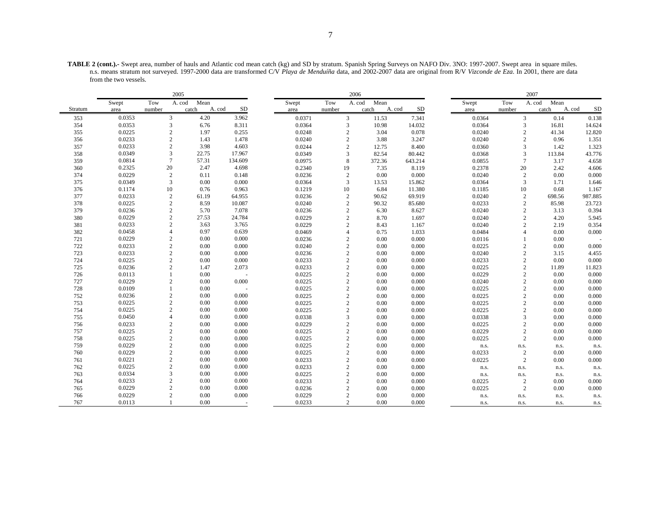**TABLE 2 (cont.).-** Swept area, number of hauls and Atlantic cod mean catch (kg) and SD by stratum. Spanish Spring Surveys on NAFO Div. 3NO: 1997-2007. Swept area in square miles. n.s. means stratum not surveyed. 1997-2000 data are transformed C/V *Playa de Menduíña* data, and 2002-2007 data are original from R/V *Vizconde de Eza*. In 2001, there are data from the two vessels.

|         | 2005   |                |                |                     |        |                | 2006           |              |        |                | 2007           |                     |  |
|---------|--------|----------------|----------------|---------------------|--------|----------------|----------------|--------------|--------|----------------|----------------|---------------------|--|
|         | Swept  | Tow            | Mean<br>A. cod |                     | Swept  | Tow            | Mean<br>A. cod |              | Swept  | Tow            | Mean<br>A. cod |                     |  |
| Stratum | area   | number         | catch          | <b>SD</b><br>A. cod | area   | number         | catch          | SD<br>A. cod | area   | number         | catch          | <b>SD</b><br>A. cod |  |
| 353     | 0.0353 | 3              | 4.20           | 3.962               | 0.0371 | 3              | 11.53          | 7.341        | 0.0364 | 3              | 0.14           | 0.138               |  |
| 354     | 0.0353 | 3              | 6.76           | 8.311               | 0.0364 | $\mathfrak{Z}$ | 10.98          | 14.032       | 0.0364 | 3              | 16.81          | 14.624              |  |
| 355     | 0.0225 | $\overline{c}$ | 1.97           | 0.255               | 0.0248 | $\mathbf{2}$   | 3.04           | 0.078        | 0.0240 | 2              | 41.34          | 12.820              |  |
| 356     | 0.0233 | $\overline{c}$ | 1.43           | 1.478               | 0.0240 | $\sqrt{2}$     | 3.88           | 3.247        | 0.0240 | $\overline{c}$ | 0.96           | 1.351               |  |
| 357     | 0.0233 | $\overline{2}$ | 3.98           | 4.603               | 0.0244 | $\overline{2}$ | 12.75          | 8.400        | 0.0360 | 3              | 1.42           | 1.323               |  |
| 358     | 0.0349 | 3              | 22.75          | 17.967              | 0.0349 | 3              | 82.54          | 80.442       | 0.0368 | 3              | 113.84         | 43.776              |  |
| 359     | 0.0814 | $\overline{7}$ | 57.31          | 134.609             | 0.0975 | $\,8\,$        | 372.36         | 643.214      | 0.0855 | $\overline{7}$ | 3.17           | 4.658               |  |
| 360     | 0.2325 | $20\,$         | 2.47           | 4.698               | 0.2340 | 19             | 7.35           | 8.119        | 0.2378 | 20             | 2.42           | 4.606               |  |
| 374     | 0.0229 | $\overline{2}$ | 0.11           | 0.148               | 0.0236 | $\sqrt{2}$     | 0.00           | 0.000        | 0.0240 | $\overline{2}$ | 0.00           | 0.000               |  |
| 375     | 0.0349 | 3              | 0.00           | 0.000               | 0.0364 | 3              | 13.53          | 15.862       | 0.0364 | 3              | 1.71           | 1.646               |  |
| 376     | 0.1174 | 10             | 0.76           | 0.963               | 0.1219 | 10             | 6.84           | 11.380       | 0.1185 | 10             | 0.68           | 1.167               |  |
| 377     | 0.0233 | $\sqrt{2}$     | 61.19          | 64.955              | 0.0236 | $\sqrt{2}$     | 90.62          | 69.919       | 0.0240 | $\overline{2}$ | 698.56         | 987.885             |  |
| 378     | 0.0225 | $\sqrt{2}$     | 8.59           | 10.087              | 0.0240 | $\mathbf{2}$   | 90.32          | 85.680       | 0.0233 | $\overline{c}$ | 85.98          | 23.723              |  |
| 379     | 0.0236 | $\overline{2}$ | 5.70           | 7.078               | 0.0236 | $\mathbf{2}$   | 6.30           | 8.627        | 0.0240 | $\overline{c}$ | 3.13           | 0.394               |  |
| 380     | 0.0229 | $\overline{2}$ | 27.53          | 24.784              | 0.0229 | $\sqrt{2}$     | 8.70           | 1.697        | 0.0240 | $\overline{c}$ | 4.20           | 5.945               |  |
| 381     | 0.0233 | $\overline{2}$ | 3.63           | 3.765               | 0.0229 | $\mathbf{2}$   | 8.43           | 1.167        | 0.0240 | $\overline{2}$ | 2.19           | 0.354               |  |
| 382     | 0.0458 | $\overline{4}$ | 0.97           | 0.639               | 0.0469 | $\overline{4}$ | 0.75           | 1.033        | 0.0484 |                | 0.00           | 0.000               |  |
| 721     | 0.0229 | $\overline{2}$ | 0.00           | 0.000               | 0.0236 | $\overline{c}$ | 0.00           | 0.000        | 0.0116 |                | 0.00           |                     |  |
| 722     | 0.0233 | $\overline{c}$ | 0.00           | 0.000               | 0.0240 | $\sqrt{2}$     | 0.00           | 0.000        | 0.0225 | $\overline{2}$ | 0.00           | 0.000               |  |
| 723     | 0.0233 | $\overline{c}$ | 0.00           | 0.000               | 0.0236 | $\sqrt{2}$     | 0.00           | 0.000        | 0.0240 | $\overline{2}$ | 3.15           | 4.455               |  |
| 724     | 0.0225 | $\overline{2}$ | 0.00           | 0.000               | 0.0233 | $\overline{c}$ | 0.00           | 0.000        | 0.0233 | $\overline{c}$ | 0.00           | 0.000               |  |
| 725     | 0.0236 | $\overline{c}$ | 1.47           | 2.073               | 0.0233 | $\overline{c}$ | 0.00           | 0.000        | 0.0225 | $\overline{2}$ | 11.89          | 11.823              |  |
| 726     | 0.0113 | $\mathbf{1}$   | 0.00           |                     | 0.0225 | $\overline{c}$ | 0.00           | 0.000        | 0.0229 | $\overline{2}$ | 0.00           | 0.000               |  |
| 727     | 0.0229 | $\overline{2}$ | 0.00           | 0.000               | 0.0225 | $\overline{c}$ | 0.00           | 0.000        | 0.0240 | 2              | 0.00           | 0.000               |  |
| 728     | 0.0109 | $\mathbf{1}$   | 0.00           |                     | 0.0225 | $\overline{c}$ | 0.00           | 0.000        | 0.0225 | $\overline{2}$ | 0.00           | 0.000               |  |
| 752     | 0.0236 | $\overline{2}$ | 0.00           | 0.000               | 0.0225 | $\overline{c}$ | 0.00           | 0.000        | 0.0225 | $\overline{c}$ | 0.00           | 0.000               |  |
| 753     | 0.0225 | $\overline{2}$ | 0.00           | 0.000               | 0.0225 | $\sqrt{2}$     | 0.00           | 0.000        | 0.0225 | $\overline{2}$ | 0.00           | 0.000               |  |
| 754     | 0.0225 | $\overline{c}$ | 0.00           | 0.000               | 0.0225 | $\sqrt{2}$     | 0.00           | 0.000        | 0.0225 | $\overline{2}$ | 0.00           | 0.000               |  |
| 755     | 0.0450 | $\overline{4}$ | 0.00           | 0.000               | 0.0338 | 3              | 0.00           | 0.000        | 0.0338 | 3              | 0.00           | 0.000               |  |
| 756     | 0.0233 | $\overline{c}$ | 0.00           | 0.000               | 0.0229 | $\overline{c}$ | 0.00           | 0.000        | 0.0225 | $\overline{c}$ | 0.00           | 0.000               |  |
| 757     | 0.0225 | $\overline{c}$ | 0.00           | 0.000               | 0.0225 | $\overline{2}$ | 0.00           | 0.000        | 0.0229 | $\overline{2}$ | 0.00           | 0.000               |  |
| 758     | 0.0225 | $\overline{2}$ | 0.00           | 0.000               | 0.0225 | $\sqrt{2}$     | 0.00           | 0.000        | 0.0225 | $\overline{2}$ | 0.00           | 0.000               |  |
| 759     | 0.0229 | $\overline{c}$ | 0.00           | 0.000               | 0.0225 | $\overline{2}$ | 0.00           | 0.000        | n.s.   | n.s.           | n.s.           | n.s.                |  |
| 760     | 0.0229 | $\sqrt{2}$     | 0.00           | 0.000               | 0.0225 | $\overline{c}$ | 0.00           | 0.000        | 0.0233 | $\overline{c}$ | 0.00           | 0.000               |  |
| 761     | 0.0221 | $\sqrt{2}$     | 0.00           | 0.000               | 0.0233 | $\overline{2}$ | 0.00           | 0.000        | 0.0225 | $\overline{c}$ | 0.00           | 0.000               |  |
| 762     | 0.0225 | $\overline{2}$ | 0.00           | 0.000               | 0.0233 | $\overline{c}$ | 0.00           | 0.000        | n.s.   | n.s.           | n.s.           | n.s.                |  |
| 763     | 0.0334 | 3              | 0.00           | 0.000               | 0.0225 | $\overline{c}$ | 0.00           | 0.000        | n.s.   | n.s.           | n.s.           | n.s.                |  |
| 764     | 0.0233 | $\overline{2}$ | 0.00           | 0.000               | 0.0233 | $\overline{2}$ | 0.00           | 0.000        | 0.0225 | $\overline{c}$ | 0.00           | 0.000               |  |
| 765     | 0.0229 | $\overline{2}$ | 0.00           | 0.000               | 0.0236 | $\overline{c}$ | 0.00           | 0.000        | 0.0225 | $\overline{2}$ | 0.00           | 0.000               |  |
| 766     | 0.0229 | $\overline{2}$ | 0.00           | 0.000               | 0.0229 | $\overline{2}$ | 0.00           | 0.000        | n.s.   | n.s.           | n.s.           | n.s.                |  |
| 767     | 0.0113 |                | 0.00           | $\sim$              | 0.0233 | $\overline{c}$ | 0.00           | 0.000        | n.s.   | n.s.           | n.s.           | n.s.                |  |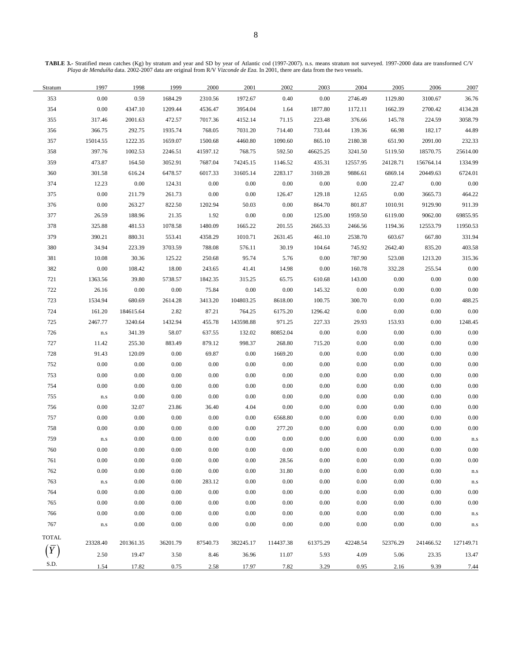**TABLE 3.-** Stratified mean catches (Kg) by stratum and year and SD by year of Atlantic cod (1997-2007). n.s. means stratum not surveyed. 1997-2000 data are transformed C/V *Playa de Menduíña* data. 2002-2007 data are original from R/V *Vizconde de Eza*. In 2001, there are data from the two vessels.

| Stratum      | 1997                    | 1998      | 1999     | 2000     | 2001      | 2002      | 2003     | 2004     | 2005     | 2006      | 2007      |
|--------------|-------------------------|-----------|----------|----------|-----------|-----------|----------|----------|----------|-----------|-----------|
| 353          | $0.00\,$                | 0.59      | 1684.29  | 2310.56  | 1972.67   | 0.40      | 0.00     | 2746.49  | 1129.80  | 3100.67   | 36.76     |
| 354          | 0.00                    | 4347.10   | 1209.44  | 4536.47  | 3954.04   | 1.64      | 1877.80  | 1172.11  | 1662.39  | 2700.42   | 4134.28   |
| 355          | 317.46                  | 2001.63   | 472.57   | 7017.36  | 4152.14   | 71.15     | 223.48   | 376.66   | 145.78   | 224.59    | 3058.79   |
| 356          | 366.75                  | 292.75    | 1935.74  | 768.05   | 7031.20   | 714.40    | 733.44   | 139.36   | 66.98    | 182.17    | 44.89     |
| 357          | 15014.55                | 1222.35   | 1659.07  | 1500.68  | 4460.80   | 1090.60   | 865.10   | 2180.38  | 651.90   | 2091.00   | 232.33    |
| 358          | 397.76                  | 1002.53   | 2246.51  | 41597.12 | 768.75    | 592.50    | 46625.25 | 3241.50  | 5119.50  | 18570.75  | 25614.00  |
| 359          | 473.87                  | 164.50    | 3052.91  | 7687.04  | 74245.15  | 1146.52   | 435.31   | 12557.95 | 24128.71 | 156764.14 | 1334.99   |
| 360          | 301.58                  | 616.24    | 6478.57  | 6017.33  | 31605.14  | 2283.17   | 3169.28  | 9886.61  | 6869.14  | 20449.63  | 6724.01   |
| 374          | 12.23                   | $0.00\,$  | 124.31   | $0.00\,$ | 0.00      | $0.00\,$  | $0.00\,$ | $0.00\,$ | 22.47    | $0.00\,$  | 0.00      |
| 375          | 0.00                    | 211.79    | 261.73   | $0.00\,$ | 0.00      | 126.47    | 129.18   | 12.65    | 0.00     | 3665.73   | 464.22    |
| 376          | 0.00                    | 263.27    | 822.50   | 1202.94  | 50.03     | 0.00      | 864.70   | 801.87   | 1010.91  | 9129.90   | 911.39    |
| 377          | 26.59                   | 188.96    | 21.35    | 1.92     | 0.00      | 0.00      | 125.00   | 1959.50  | 6119.00  | 9062.00   | 69855.95  |
| 378          | 325.88                  | 481.53    | 1078.58  | 1480.09  | 1665.22   | 201.55    | 2665.33  | 2466.56  | 1194.36  | 12553.79  | 11950.53  |
| 379          | 390.21                  | 880.31    | 553.41   | 4358.29  | 1010.71   | 2631.45   | 461.10   | 2538.70  | 603.67   | 667.80    | 331.94    |
| 380          | 34.94                   | 223.39    | 3703.59  | 788.08   | 576.11    | 30.19     | 104.64   | 745.92   | 2642.40  | 835.20    | 403.58    |
| 381          | 10.08                   | 30.36     | 125.22   | 250.68   | 95.74     | 5.76      | $0.00\,$ | 787.90   | 523.08   | 1213.20   | 315.36    |
| 382          | $0.00\,$                | 108.42    | 18.00    | 243.65   | 41.41     | 14.98     | $0.00\,$ | 160.78   | 332.28   | 255.54    | 0.00      |
| 721          | 1363.56                 | 39.80     | 5738.57  | 1842.35  | 315.25    | 65.75     | 610.68   | 143.00   | $0.00\,$ | 0.00      | 0.00      |
| 722          | 26.16                   | 0.00      | $0.00\,$ | 75.84    | $0.00\,$  | 0.00      | 145.32   | $0.00\,$ | 0.00     | 0.00      | 0.00      |
| 723          | 1534.94                 | 680.69    | 2614.28  | 3413.20  | 104803.25 | 8618.00   | 100.75   | 300.70   | 0.00     | 0.00      | 488.25    |
| 724          | 161.20                  | 184615.64 | 2.82     | 87.21    | 764.25    | 6175.20   | 1296.42  | $0.00\,$ | $0.00\,$ | 0.00      | 0.00      |
| 725          | 2467.77                 | 3240.64   | 1432.94  | 455.78   | 143598.88 | 971.25    | 227.33   | 29.93    | 153.93   | 0.00      | 1248.45   |
| 726          | $\mathbf{n}.\mathbf{s}$ | 341.39    | 58.07    | 637.55   | 132.02    | 80852.04  | $0.00\,$ | $0.00\,$ | $0.00\,$ | 0.00      | 0.00      |
| 727          | 11.42                   | 255.30    | 883.49   | 879.12   | 998.37    | 268.80    | 715.20   | $0.00\,$ | $0.00\,$ | 0.00      | 0.00      |
| 728          | 91.43                   | 120.09    | $0.00\,$ | 69.87    | 0.00      | 1669.20   | $0.00\,$ | $0.00\,$ | $0.00\,$ | $0.00\,$  | 0.00      |
| 752          | 0.00                    | $0.00\,$  | $0.00\,$ | $0.00\,$ | 0.00      | 0.00      | $0.00\,$ | $0.00\,$ | 0.00     | 0.00      | 0.00      |
| 753          | 0.00                    | $0.00\,$  | 0.00     | $0.00\,$ | 0.00      | 0.00      | $0.00\,$ | $0.00\,$ | 0.00     | 0.00      | 0.00      |
| 754          | $0.00\,$                | $0.00\,$  | 0.00     | 0.00     | 0.00      | 0.00      | $0.00\,$ | 0.00     | 0.00     | 0.00      | 0.00      |
| 755          | $\rm n.s$               | 0.00      | $0.00\,$ | $0.00\,$ | $0.00\,$  | 0.00      | $0.00\,$ | 0.00     | 0.00     | 0.00      | 0.00      |
| 756          | $0.00\,$                | 32.07     | 23.86    | 36.40    | 4.04      | 0.00      | $0.00\,$ | $0.00\,$ | 0.00     | 0.00      | 0.00      |
| 757          | $0.00\,$                | 0.00      | $0.00\,$ | 0.00     | 0.00      | 6568.80   | $0.00\,$ | $0.00\,$ | $0.00\,$ | 0.00      | 0.00      |
| 758          | $0.00\,$                | $0.00\,$  | $0.00\,$ | $0.00\,$ | 0.00      | 277.20    | $0.00\,$ | 0.00     | 0.00     | 0.00      | 0.00      |
| 759          | $\mathbf{n}.\mathbf{s}$ | $0.00\,$  | $0.00\,$ | $0.00\,$ | $0.00\,$  | $0.00\,$  | $0.00\,$ | $0.00\,$ | $0.00\,$ | $0.00\,$  | n.s       |
| 760          | 0.00                    | $0.00\,$  | $0.00\,$ | $0.00\,$ | 0.00      | 0.00      | $0.00\,$ | $0.00\,$ | 0.00     | $0.00\,$  | 0.00      |
| 761          | $0.00\,$                | $0.00\,$  | 0.00     | $0.00\,$ | 0.00      | 28.56     | $0.00\,$ | $0.00\,$ | $0.00\,$ | $0.00\,$  | 0.00      |
| 762          | 0.00                    | $0.00\,$  | 0.00     | 0.00     | $0.00\,$  | 31.80     | $0.00\,$ | 0.00     | 0.00     | 0.00      | n.s       |
| 763          | ${\bf n}.{\bf s}$       | 0.00      | 0.00     | 283.12   | $0.00\,$  | 0.00      | $0.00\,$ | 0.00     | 0.00     | 0.00      | n.s       |
| 764          | 0.00                    | $0.00\,$  | 0.00     | 0.00     | $0.00\,$  | 0.00      | $0.00\,$ | $0.00\,$ | 0.00     | 0.00      | 0.00      |
| 765          | 0.00                    | $0.00\,$  | 0.00     | 0.00     | 0.00      | 0.00      | $0.00\,$ | 0.00     | 0.00     | 0.00      | 0.00      |
| 766          | 0.00                    | 0.00      | 0.00     | 0.00     | $0.00\,$  | 0.00      | $0.00\,$ | $0.00\,$ | 0.00     | 0.00      | n.s       |
| 767          | $\rm n.s$               | $0.00\,$  | $0.00\,$ | $0.00\,$ | 0.00      | 0.00      | $0.00\,$ | 0.00     | 0.00     | 0.00      | n.s       |
| <b>TOTAL</b> |                         |           |          |          |           |           |          |          |          |           |           |
| $\bar{Y}$    | 23328.40                | 201361.35 | 36201.79 | 87540.73 | 382245.17 | 114437.38 | 61375.29 | 42248.54 | 52376.29 | 241466.52 | 127149.71 |
|              | 2.50                    | 19.47     | 3.50     | 8.46     | 36.96     | 11.07     | 5.93     | 4.09     | 5.06     | 23.35     | 13.47     |
| S.D.         | 1.54                    | 17.82     | 0.75     | 2.58     | 17.97     | 7.82      | 3.29     | 0.95     | 2.16     | 9.39      | 7.44      |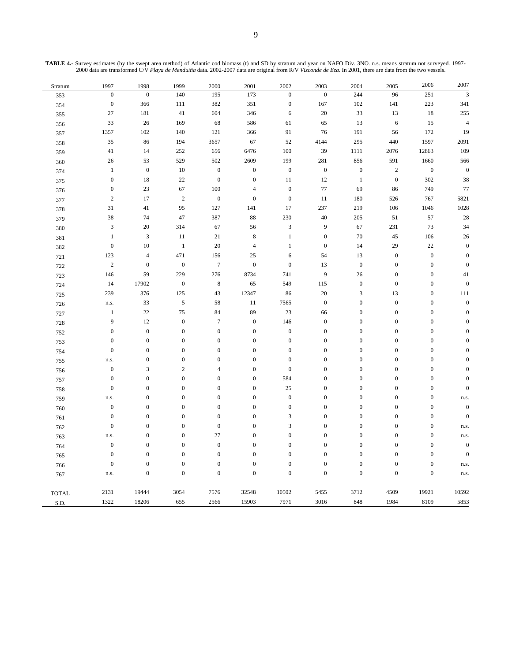| TABLE 4.- Survey estimates (by the swept area method) of Atlantic cod biomass (t) and SD by stratum and year on NAFO Div. 3NO. n.s. means stratum not surveyed. 1997- |
|-----------------------------------------------------------------------------------------------------------------------------------------------------------------------|
| 2000 data are transformed C/V Playa de Menduíña data, 2002-2007 data are original from R/V Vizconde de Eza. In 2001, there are data from the two vessels.             |

| Stratum                       | 1997             | 1998             | 1999             | $2000\,$         | 2001             | 2002             | 2003             | 2004                        | 2005             | 2006             | 2007                    |
|-------------------------------|------------------|------------------|------------------|------------------|------------------|------------------|------------------|-----------------------------|------------------|------------------|-------------------------|
| 353                           | $\boldsymbol{0}$ | $\overline{0}$   | 140              | 195              | 173              | $\boldsymbol{0}$ | $\boldsymbol{0}$ | 244                         | 96               | 251              | $\overline{\mathbf{3}}$ |
| 354                           | $\boldsymbol{0}$ | 366              | $111\,$          | 382              | 351              | $\boldsymbol{0}$ | 167              | $102\,$                     | 141              | 223              | 341                     |
| 355                           | $27\,$           | 181              | $41\,$           | 604              | 346              | $\sqrt{6}$       | $20\,$           | 33                          | 13               | $18\,$           | 255                     |
| 356                           | 33               | $26\,$           | 169              | 68               | 586              | 61               | 65               | $13\,$                      | $\sqrt{6}$       | 15               | $\sqrt{4}$              |
| 357                           | 1357             | 102              | 140              | 121              | 366              | 91               | 76               | 191                         | 56               | 172              | 19                      |
| 358                           | 35               | 86               | 194              | 3657             | 67               | 52               | 4144             | 295                         | 440              | 1597             | 2091                    |
| 359                           | 41               | 14               | $252\,$          | 656              | 6476             | 100              | 39               | $1111\,$                    | 2076             | 12863            | 109                     |
| 360                           | $26\,$           | 53               | 529              | 502              | 2609             | 199              | 281              | 856                         | 591              | 1660             | 566                     |
| 374                           | $\,1\,$          | $\boldsymbol{0}$ | $10\,$           | $\boldsymbol{0}$ | $\boldsymbol{0}$ | $\boldsymbol{0}$ | $\boldsymbol{0}$ | $\boldsymbol{0}$            | $\sqrt{2}$       | $\boldsymbol{0}$ | $\boldsymbol{0}$        |
| 375                           | $\boldsymbol{0}$ | 18               | $22\,$           | $\boldsymbol{0}$ | $\boldsymbol{0}$ | 11               | 12               | $\,1\,$                     | $\boldsymbol{0}$ | 302              | 38                      |
| 376                           | $\boldsymbol{0}$ | 23               | 67               | 100              | $\overline{4}$   | $\boldsymbol{0}$ | $77\,$           | 69                          | 86               | 749              | 77                      |
| 377                           | $\sqrt{2}$       | $17\,$           | $\sqrt{2}$       | $\boldsymbol{0}$ | $\boldsymbol{0}$ | $\boldsymbol{0}$ | 11               | 180                         | 526              | 767              | 5821                    |
| 378                           | 31               | $41\,$           | 95               | 127              | 141              | 17               | 237              | 219                         | 106              | 1046             | 1028                    |
| 379                           | $38\,$           | 74               | $47\,$           | 387              | 88               | 230              | $40\,$           | $205\,$                     | 51               | 57               | 28                      |
| 380                           | $\sqrt{3}$       | 20               | 314              | 67               | 56               | $\mathfrak{Z}$   | $\overline{9}$   | 67                          | 231              | 73               | 34                      |
| 381                           | $\mathbf{1}$     | $\sqrt{3}$       | $11\,$           | $21\,$           | $\,$ 8 $\,$      | $\,1\,$          | $\boldsymbol{0}$ | $70\,$                      | $45\,$           | 106              | $26\,$                  |
| 382                           | $\boldsymbol{0}$ | 10               | $\mathbf{1}$     | $20\,$           | $\overline{4}$   | $\,1\,$          | $\boldsymbol{0}$ | 14                          | 29               | 22               | $\boldsymbol{0}$        |
| 721                           | 123              | $\overline{4}$   | 471              | 156              | 25               | 6                | 54               | 13                          | $\boldsymbol{0}$ | $\boldsymbol{0}$ | $\boldsymbol{0}$        |
| 722                           | $\overline{c}$   | $\boldsymbol{0}$ | $\boldsymbol{0}$ | $\boldsymbol{7}$ | $\boldsymbol{0}$ | $\boldsymbol{0}$ | 13               | $\boldsymbol{0}$            | $\boldsymbol{0}$ | $\boldsymbol{0}$ | $\boldsymbol{0}$        |
| 723                           | 146              | 59               | 229              | 276              | 8734             | 741              | $\overline{9}$   | 26                          | $\boldsymbol{0}$ | $\boldsymbol{0}$ | 41                      |
| 724                           | 14               | 17902            | $\boldsymbol{0}$ | $\,$ 8 $\,$      | 65               | 549              | 115              | $\boldsymbol{0}$            | $\boldsymbol{0}$ | $\boldsymbol{0}$ | $\boldsymbol{0}$        |
| 725                           | 239              | 376              | 125              | 43               | 12347            | 86               | $20\,$           | $\ensuremath{\mathfrak{Z}}$ | 13               | $\boldsymbol{0}$ | 111                     |
| 726                           | n.s.             | 33               | $\sqrt{5}$       | 58               | $1\,1$           | 7565             | $\boldsymbol{0}$ | $\boldsymbol{0}$            | $\boldsymbol{0}$ | $\boldsymbol{0}$ | $\boldsymbol{0}$        |
| 727                           | $\,1\,$          | $22\,$           | 75               | 84               | 89               | 23               | 66               | $\boldsymbol{0}$            | $\boldsymbol{0}$ | $\boldsymbol{0}$ | $\mathbf{0}$            |
| 728                           | 9                | $12\,$           | $\boldsymbol{0}$ | $\boldsymbol{7}$ | $\boldsymbol{0}$ | 146              | $\boldsymbol{0}$ | $\boldsymbol{0}$            | $\boldsymbol{0}$ | $\boldsymbol{0}$ | $\overline{0}$          |
| 752                           | $\boldsymbol{0}$ | $\boldsymbol{0}$ | $\boldsymbol{0}$ | $\boldsymbol{0}$ | $\boldsymbol{0}$ | $\boldsymbol{0}$ | $\boldsymbol{0}$ | $\boldsymbol{0}$            | $\boldsymbol{0}$ | $\boldsymbol{0}$ | $\mathbf{0}$            |
| 753                           | $\boldsymbol{0}$ | $\boldsymbol{0}$ | $\boldsymbol{0}$ | $\boldsymbol{0}$ | $\boldsymbol{0}$ | $\boldsymbol{0}$ | $\mathbf 0$      | $\boldsymbol{0}$            | $\boldsymbol{0}$ | $\boldsymbol{0}$ | $\overline{0}$          |
| 754                           | $\boldsymbol{0}$ | $\boldsymbol{0}$ | $\boldsymbol{0}$ | $\boldsymbol{0}$ | $\boldsymbol{0}$ | $\boldsymbol{0}$ | $\boldsymbol{0}$ | $\boldsymbol{0}$            | $\boldsymbol{0}$ | $\boldsymbol{0}$ | $\mathbf{0}$            |
| 755                           | n.s.             | $\boldsymbol{0}$ | $\boldsymbol{0}$ | $\boldsymbol{0}$ | $\boldsymbol{0}$ | $\boldsymbol{0}$ | $\boldsymbol{0}$ | $\boldsymbol{0}$            | $\boldsymbol{0}$ | $\boldsymbol{0}$ | $\mathbf{0}$            |
| 756                           | $\boldsymbol{0}$ | 3                | $\overline{2}$   | $\overline{4}$   | $\boldsymbol{0}$ | $\boldsymbol{0}$ | $\boldsymbol{0}$ | $\boldsymbol{0}$            | $\boldsymbol{0}$ | $\boldsymbol{0}$ | $\mathbf{0}$            |
| 757                           | $\boldsymbol{0}$ | $\boldsymbol{0}$ | $\mathbf{0}$     | $\boldsymbol{0}$ | $\boldsymbol{0}$ | 584              | $\boldsymbol{0}$ | $\boldsymbol{0}$            | $\boldsymbol{0}$ | $\boldsymbol{0}$ | $\mathbf{0}$            |
| 758                           | $\boldsymbol{0}$ | $\boldsymbol{0}$ | $\mathbf{0}$     | $\boldsymbol{0}$ | $\boldsymbol{0}$ | $25\,$           | $\boldsymbol{0}$ | $\boldsymbol{0}$            | $\boldsymbol{0}$ | $\boldsymbol{0}$ | $\boldsymbol{0}$        |
| 759                           | n.s.             | $\boldsymbol{0}$ | $\boldsymbol{0}$ | $\boldsymbol{0}$ | $\boldsymbol{0}$ | $\boldsymbol{0}$ | $\boldsymbol{0}$ | $\boldsymbol{0}$            | $\boldsymbol{0}$ | $\boldsymbol{0}$ | n.s.                    |
| 760                           | $\boldsymbol{0}$ | $\boldsymbol{0}$ | $\overline{0}$   | $\boldsymbol{0}$ | $\boldsymbol{0}$ | $\boldsymbol{0}$ | $\boldsymbol{0}$ | $\boldsymbol{0}$            | $\boldsymbol{0}$ | $\boldsymbol{0}$ | $\boldsymbol{0}$        |
| 761                           | $\boldsymbol{0}$ | $\boldsymbol{0}$ | $\boldsymbol{0}$ | $\boldsymbol{0}$ | $\boldsymbol{0}$ | $\mathfrak z$    | $\boldsymbol{0}$ | $\boldsymbol{0}$            | $\boldsymbol{0}$ | $\boldsymbol{0}$ | $\boldsymbol{0}$        |
| 762                           | $\boldsymbol{0}$ | $\boldsymbol{0}$ | $\boldsymbol{0}$ | $\boldsymbol{0}$ | $\boldsymbol{0}$ | $\sqrt{3}$       | $\boldsymbol{0}$ | $\boldsymbol{0}$            | $\boldsymbol{0}$ | $\boldsymbol{0}$ | n.s.                    |
| 763                           | n.s.             | $\boldsymbol{0}$ | $\boldsymbol{0}$ | 27               | $\boldsymbol{0}$ | $\boldsymbol{0}$ | $\boldsymbol{0}$ | $\boldsymbol{0}$            | $\boldsymbol{0}$ | $\boldsymbol{0}$ | n.s.                    |
| 764                           | $\boldsymbol{0}$ | $\boldsymbol{0}$ | $\boldsymbol{0}$ | $\boldsymbol{0}$ | $\boldsymbol{0}$ | $\boldsymbol{0}$ | $\boldsymbol{0}$ | $\boldsymbol{0}$            | $\boldsymbol{0}$ | $\boldsymbol{0}$ | $\boldsymbol{0}$        |
| 765                           | $\boldsymbol{0}$ | $\boldsymbol{0}$ | $\boldsymbol{0}$ | $\boldsymbol{0}$ | $\boldsymbol{0}$ | $\boldsymbol{0}$ | $\boldsymbol{0}$ | $\boldsymbol{0}$            | $\boldsymbol{0}$ | $\boldsymbol{0}$ | $\boldsymbol{0}$        |
| 766                           | $\boldsymbol{0}$ | $\boldsymbol{0}$ | $\boldsymbol{0}$ | $\boldsymbol{0}$ | $\boldsymbol{0}$ | $\boldsymbol{0}$ | $\boldsymbol{0}$ | $\boldsymbol{0}$            | $\boldsymbol{0}$ | $\boldsymbol{0}$ | n.s.                    |
| 767                           | n.s.             | $\overline{0}$   | $\overline{0}$   | $\boldsymbol{0}$ | $\boldsymbol{0}$ | $\boldsymbol{0}$ | $\mathbf 0$      | $\boldsymbol{0}$            | $\boldsymbol{0}$ | $\boldsymbol{0}$ | n.s.                    |
| $\ensuremath{\mathsf{TOTAL}}$ | 2131             | 19444            | 3054             | 7576             | 32548            | 10502            | 5455             | 3712                        | 4509             | 19921            | 10592                   |
| S.D.                          | 1322             | 18206            | 655              | 2566             | 15903            | 7971             | 3016             | 848                         | 1984             | 8109             | 5853                    |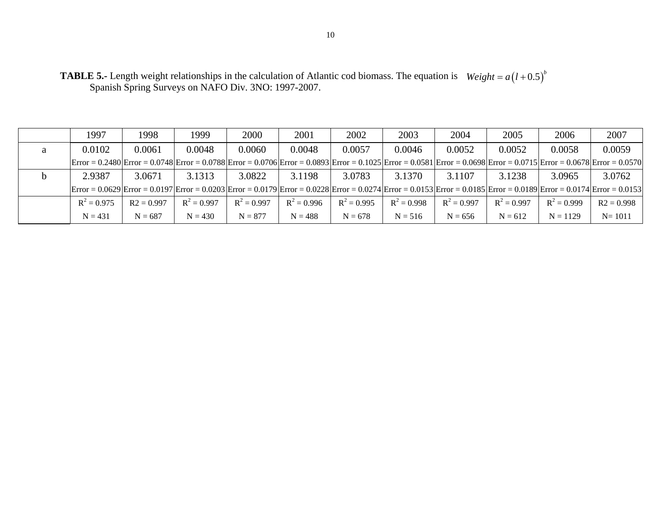| <b>TABLE 5.-</b> Length weight relationships in the calculation of Atlantic cod biomass. The equation is $Weight = a(1+0.5)^{b}$ |  |
|----------------------------------------------------------------------------------------------------------------------------------|--|
| Spanish Spring Surveys on NAFO Div. 3NO: 1997-2007.                                                                              |  |

|   | 1997                                                                                                                                                                                                                                                                                                                                                                                    | 1998         | 1999          | 2000          | 2001          | 2002          | 2003          | 2004          | 2005          | 2006          | 2007         |
|---|-----------------------------------------------------------------------------------------------------------------------------------------------------------------------------------------------------------------------------------------------------------------------------------------------------------------------------------------------------------------------------------------|--------------|---------------|---------------|---------------|---------------|---------------|---------------|---------------|---------------|--------------|
| a | 0.0102                                                                                                                                                                                                                                                                                                                                                                                  | 0.0061       | 0.0048        | 0.0060        | 0.0048        | 0.0057        | 0.0046        | 0.0052        | 0.0052        | 0.0058        | 0.0059       |
|   | $\text{Error} = 0.2480 \text{Error} = 0.0748 \text{Error} = 0.0788 \text{Error} = 0.0706 \text{Error} = 0.0893 \text{Error} = 0.1025 \text{Error} = 0.0581 \text{Error} = 0.0698 \text{Error} = 0.0715 \text{Error} = 0.0678 \text{Error} = 0.0678 \text{Error} = 0.0678 \text{Error} = 0.0678 \text{Error} = 0.0678 \text{Error} = 0.0678 \text{Error} = 0.0678 \text{Error} = 0.067$  |              |               |               |               |               |               |               |               |               |              |
|   | 2.9387                                                                                                                                                                                                                                                                                                                                                                                  | 3.0671       | 3.1313        | 3.0822        | 3.1198        | 3.0783        | 3.1370        | 3.1107        | 3.1238        | 3.0965        | 3.0762       |
|   | $ \text{Error} = 0.0629 \text{Error} = 0.0197 \text{Error} = 0.0203 \text{Error} = 0.0179 \text{Error} = 0.0228 \text{Error} = 0.0274 \text{Error} = 0.0153 \text{Error} = 0.0185 \text{Error} = 0.0189 \text{Error} = 0.0174 \text{Error} = 0.0153 \text{Error} = 0.0174 \text{Error} = 0.0174 \text{Error} = 0.0174 \text{Error} = 0.0174 \text{Error} = 0.0174 \text{Error} = 0.017$ |              |               |               |               |               |               |               |               |               |              |
|   | $R^2 = 0.975$                                                                                                                                                                                                                                                                                                                                                                           | $R2 = 0.997$ | $R^2 = 0.997$ | $R^2 = 0.997$ | $R^2 = 0.996$ | $R^2 = 0.995$ | $R^2 = 0.998$ | $R^2 = 0.997$ | $R^2 = 0.997$ | $R^2 = 0.999$ | $R2 = 0.998$ |
|   | $N = 431$                                                                                                                                                                                                                                                                                                                                                                               | $N = 687$    | $N = 430$     | $N = 877$     | $N = 488$     | $N = 678$     | $N = 516$     | $N = 656$     | $N = 612$     | $N = 1129$    | $N = 1011$   |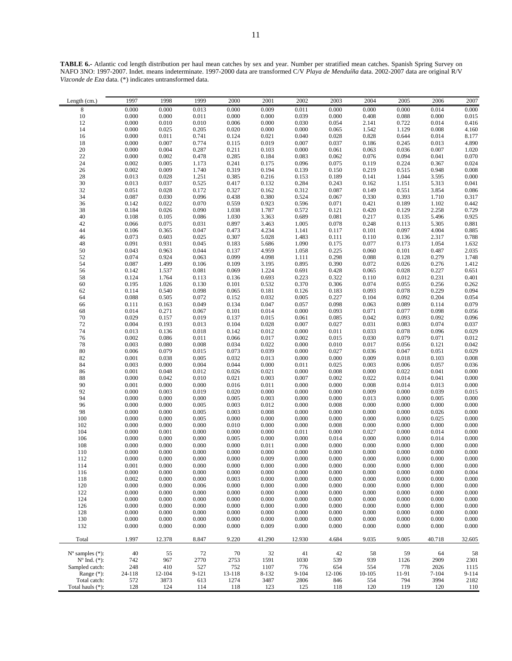**TABLE 6.-** Atlantic cod length distribution per haul mean catches by sex and year. Number per stratified mean catches. Spanish Spring Survey on NAFO 3NO: 1997-2007. Indet. means indeterminate. 1997-2000 data are transformed C/V *Playa de Menduíña* data. 2002-2007 data are original R/V *Vizconde de Eza* data. (\*) indicates untransformed data.

| Length (cm.)                | 1997                   | 1998               | 1999               | 2000           | 2001           | 2002           | 2003                   | 2004                   | 2005                                          | 2006                                          | 2007                                          |
|-----------------------------|------------------------|--------------------|--------------------|----------------|----------------|----------------|------------------------|------------------------|-----------------------------------------------|-----------------------------------------------|-----------------------------------------------|
| $\,$ 8 $\,$                 | 0.000                  | 0.000              | 0.013              | 0.000          | 0.009          | 0.011          | 0.000                  | 0.000                  | 0.000                                         | 0.014                                         | 0.000                                         |
| $10\,$                      | 0.000                  | 0.000              | 0.011              | 0.000          | 0.000          | 0.039          | $0.000\,$              | 0.408                  | 0.088                                         | $0.000\,$                                     | 0.015                                         |
| 12                          | 0.000                  | $0.010\,$          | 0.010              | $0.006\,$      | 0.000          | 0.030          | 0.054                  | 2.141                  | 0.722                                         | 0.014                                         | 0.416                                         |
| 14<br>16                    | 0.000<br>$0.000\,$     | 0.025<br>0.011     | 0.205<br>0.741     | 0.020<br>0.124 | 0.000<br>0.021 | 0.000<br>0.040 | 0.065<br>0.028         | 1.542<br>0.828         | 1.129<br>0.644                                | 0.008<br>0.014                                | $4.160$<br>$8.177$                            |
| 18                          | 0.000                  | 0.007              | 0.774              | 0.115          | 0.019          | 0.007          | 0.037                  | 0.186                  | 0.245                                         | 0.013                                         |                                               |
| $20\,$                      | $0.000\,$              | 0.004              | 0.287              | 0.211          | 0.103          | $0.000\,$      | 0.061                  | 0.063                  | 0.036                                         | 0.007                                         | $4.890$<br>$1.020$<br>$0.070$                 |
| $22\,$                      | $0.000\,$              | 0.002              | 0.478              | 0.285          | 0.184          | 0.083          | 0.062                  | 0.076                  | 0.094                                         | 0.041                                         |                                               |
| 24                          | 0.002                  | 0.005              | 1.173              | 0.241          | 0.175          | 0.096          | 0.075                  | $0.119$<br>$0.219$     | $0.224$<br>$0.515$                            | $0.367$<br>$0.948$                            | 0.024                                         |
| $26\,$                      | 0.002                  | 0.009              | 1.740              | 0.319          | 0.194          | 0.139          | 0.150                  |                        |                                               |                                               | 0.008                                         |
| 28                          | 0.013                  | 0.028              | 1.251              | 0.385          | 0.216          | 0.153          | 0.189                  | 0.141                  | 1.044                                         | $3.595$<br>$5.313$                            | 0.000                                         |
| 30                          | 0.013                  | 0.037              | 0.525              | 0.417          | 0.132          | 0.284          | 0.243                  | 0.162                  | $1.151\,$                                     |                                               | 0.041                                         |
| 32<br>34                    | 0.051<br>0.087         | 0.028<br>0.030     | 0.172<br>0.096     | 0.327<br>0.438 | 0.162<br>0.380 | 0.312<br>0.524 | 0.087<br>0.067         | 0.149<br>0.330         | 0.551<br>0.393                                | $3.854$<br>$1.710$                            | $0.086$<br>$0.317$                            |
| 36                          | 0.142                  | 0.022              | 0.070              | 0.559          | 0.923          | 0.596          | 0.071                  | 0.421                  | 0.189                                         | 1.102                                         | 0.442                                         |
| 38                          | 0.184                  | 0.026              | 0.090              | 1.038          | 1.787          | 0.572          | 0.121                  | 0.420                  | 0.129                                         | 2.258                                         | 0.729                                         |
| 40                          | 0.108                  | 0.105              | 0.086              | 1.030          | 3.363          | 0.689          | 0.081                  | 0.217                  | 0.135                                         | 5.496<br>5.305                                | $0.925$<br>$0.881$                            |
| 42                          | 0.066                  | 0.075              | 0.031              | 0.897          | 3.463          | 1.005          | 0.078                  | 0.248                  | 0.113                                         |                                               |                                               |
| 44                          | 0.106                  | 0.365              | 0.047              | 0.473          | 4.234          | 1.141          | 0.117                  | $0.101\,$              | 0.097                                         | 4.004<br>2.317                                | $\frac{0.885}{0.788}$                         |
| $46\,$                      | 0.073                  | 0.603              | 0.025              | 0.307          | 5.028          | 1.483          | 0.111                  | 0.110                  | 0.136                                         |                                               |                                               |
| 48<br>50                    | 0.091<br>0.043         | 0.931<br>0.963     | 0.045<br>0.044     | 0.183<br>0.137 | 5.686<br>4.959 | 1.090<br>1.058 | 0.175<br>0.225         | 0.077<br>0.060         | 0.173<br>0.101                                | 1.054                                         | 1.632                                         |
| 52                          | 0.074                  | 0.924              | 0.063              | 0.099          | 4.098          | 1.111          | 0.298                  | $\,0.088\,$            | 0.128                                         | $0.487$<br>$0.279$                            |                                               |
| 54                          | 0.087                  | 1.499              | 0.106              | 0.109          | 3.195          | 0.895          | 0.390                  | 0.072                  | 0.026                                         | 0.276                                         | 2.035<br>1.748<br>1.412                       |
| 56                          | 0.142                  | 1.537              | 0.081              | 0.069          | 1.224          | 0.691          | 0.428                  | 0.065                  | $\begin{array}{c} 0.028 \\ 0.012 \end{array}$ | $\begin{array}{c} 0.227 \\ 0.231 \end{array}$ | $0.651$<br>$0.401$                            |
| 58                          | 0.124                  | 1.764              | 0.113              | 0.136          | 0.693          | 0.223          | 0.322                  | 0.110                  |                                               |                                               |                                               |
| 60                          | 0.195                  | 1.026              | 0.130              | 0.101          | 0.532          | 0.370          | 0.306                  | 0.074                  | 0.055                                         | 0.256                                         | 0.262                                         |
| 62                          | 0.114                  | 0.540              | 0.098              | 0.065          | 0.181          | 0.126          | 0.183                  | 0.093                  | 0.078                                         | $0.229$<br>$0.204$                            | 0.094                                         |
| 64<br>66                    | 0.088                  | 0.505<br>0.163     | 0.072<br>0.049     | 0.152<br>0.134 | 0.032<br>0.047 | 0.005<br>0.057 | 0.227<br>0.098         | 0.104<br>0.063         | 0.092<br>0.089                                | 0.114                                         | 0.054<br>0.079                                |
| 68                          | 0.111<br>0.014         | 0.271              | 0.067              | 0.101          | 0.014          | 0.000          | 0.093                  | 0.071                  | 0.077                                         | 0.098                                         | 0.056                                         |
| $70\,$                      | 0.029                  | 0.157              | 0.019              | 0.137          | 0.015          | 0.061          | 0.085                  | 0.042                  | 0.093                                         | 0.092                                         | 0.096                                         |
| 72                          | $0.004\,$              | 0.193              | 0.013              | 0.104          | 0.028          | 0.007          | 0.027                  | 0.031                  | 0.083                                         | 0.074                                         | 0.037                                         |
| 74                          | 0.013                  | 0.136              | 0.018              | 0.142          | 0.012          | 0.000          | 0.011                  | 0.033                  | 0.078                                         | 0.096                                         | 0.029                                         |
| 76                          | $0.002\,$              | 0.086              | 0.011              | 0.066          | 0.017          | 0.002          | 0.015                  | 0.030                  | 0.079                                         | $0.071\,$                                     | 0.012                                         |
| $78\,$                      | 0.003                  | $0.080\,$          | $0.008\,$          | 0.034          | 0.022<br>0.039 | $0.000\,$      | $0.010\,$              | 0.017                  | 0.056<br>0.047                                | 0.121                                         | $0.042$<br>$0.029$                            |
| $80\,$<br>82                | 0.006<br>0.001         | 0.079<br>0.038     | 0.015<br>0.005     | 0.073<br>0.032 | 0.013          | 0.000<br>0.000 | 0.027<br>$0.000\,$     | 0.036<br>0.009         | 0.018                                         | $0.051\,$<br>0.103                            | 0.008                                         |
| 84                          | 0.003                  | 0.000              | 0.004              | 0.044          | 0.000          | 0.011          | 0.025                  | 0.003                  |                                               |                                               |                                               |
| 86                          | 0.001                  | 0.048              | 0.012              | $0.026\,$      | 0.021          | 0.000          | $0.008\,$              | $0.000\,$              | $0.006$<br>$0.022$                            | $0.057$<br>$0.041$                            | $0.036$<br>$0.000$                            |
| $88\,$                      | $0.000\,$              | 0.042              | 0.010              | 0.021          | 0.003          | 0.007          | 0.002                  | 0.022                  | 0.014                                         | 0.041                                         | 0.000                                         |
| $90\,$                      | 0.001                  | $0.000\,$          | $0.000\,$          | 0.016          | 0.011          | $0.000\,$      | $0.000\,$              | $0.008\,$              | 0.014                                         | 0.013                                         | 0.000                                         |
| 92                          | 0.000                  | 0.003              | 0.019              | 0.020          | 0.000          | 0.000          | $0.000\,$              | 0.009                  | 0.000                                         | 0.039                                         | 0.015                                         |
| 94                          | $0.000\,$<br>0.000     | $0.000\,$<br>0.000 | $0.000\,$<br>0.005 | 0.005<br>0.003 | 0.003<br>0.012 | 0.000<br>0.000 | $0.000\,$<br>$0.008\,$ | 0.013<br>$0.000\,$     | 0.000<br>0.000                                | 0.005<br>0.000                                | 0.000                                         |
| 96<br>98                    | 0.000                  | 0.000              | 0.005              | 0.003          | 0.008          | 0.000          | $0.000\,$              | $0.000\,$              | 0.000                                         | 0.026                                         | $\begin{array}{c} 0.000 \\ 0.000 \end{array}$ |
| 100                         | $0.000\,$              | 0.000              | 0.005              | 0.000          | 0.000          | 0.000          | $0.000\,$              | $0.000\,$              | 0.000                                         | 0.025                                         | 0.000                                         |
| $102\,$                     | $0.000\,$              | 0.000              | 0.000              | 0.010          | 0.000          | 0.000          | $0.008\,$              | 0.000                  | 0.000                                         | 0.000                                         | $0.000\,$                                     |
| 104                         | $0.000\,$              | 0.001              | 0.000              | 0.000          | 0.000          | 0.011          | $0.000\,$              | 0.027                  | 0.000                                         | 0.014                                         | 0.000                                         |
| 106                         | $0.000\,$              | 0.000              | $0.000\,$          | 0.005          | 0.000          | 0.000          | 0.014                  | 0.000                  | 0.000                                         | 0.014                                         | 0.000                                         |
| $108\,$                     | $0.000\,$              | $0.000\,$          | $0.000\,$          | 0.000          | 0.011          | 0.000          | $0.000\,$              | $0.000\,$              | 0.000                                         | 0.000                                         | 0.000<br>0.000                                |
| 110<br>112                  | $0.000\,$<br>$0.000\,$ | 0.000<br>0.000     | 0.000<br>$0.000\,$ | 0.000<br>0.000 | 0.000<br>0.009 | 0.000<br>0.000 | $0.000\,$<br>$0.000\,$ | $0.000\,$<br>$0.000\,$ | $0.000\,$<br>0.000                            | 0.000<br>0.000                                | 0.000                                         |
| 114                         | 0.001                  | $0.000\,$          | $0.000\,$          | 0.000          | 0.000          | 0.000          | 0.000                  | 0.000                  | 0.000                                         | 0.000                                         | 0.000                                         |
| 116                         | 0.000                  | 0.000              | 0.000              | 0.000          | 0.000          | 0.000          | 0.000                  | 0.000                  | 0.000                                         | 0.000                                         | 0.004                                         |
| 118                         | 0.002                  | 0.000              | 0.000              | 0.003          | 0.000          | 0.000          | 0.000                  | 0.000                  | 0.000                                         | 0.000                                         | 0.000                                         |
| 120                         | $0.000\,$              | 0.000              | 0.006              | 0.000          | 0.000          | 0.000          | 0.000                  | 0.000                  | 0.000                                         | 0.000                                         | 0.000                                         |
| 122                         | 0.000                  | 0.000              | 0.000              | 0.000          | 0.000          | 0.000          | 0.000                  | 0.000                  | 0.000                                         | 0.000                                         | 0.000                                         |
| 124<br>126                  | 0.000<br>0.000         | 0.000<br>0.000     | 0.000<br>0.000     | 0.000<br>0.000 | 0.000<br>0.000 | 0.000<br>0.000 | 0.000<br>0.000         | 0.000<br>0.000         | 0.000<br>0.000                                | 0.000<br>0.000                                | 0.000<br>0.000                                |
| 128                         | 0.000                  | 0.000              | 0.000              | 0.000          | 0.000          | 0.000          | 0.000                  | 0.000                  | 0.000                                         | 0.000                                         | 0.000                                         |
| 130                         | 0.000                  | 0.000              | 0.000              | 0.000          | 0.000          | 0.000          | 0.000                  | 0.000                  | 0.000                                         | 0.000                                         | 0.000                                         |
| 132                         | 0.000                  | 0.000              | 0.000              | 0.000          | 0.009          | 0.000          | 0.000                  | 0.000                  | 0.000                                         | 0.000                                         | 0.000                                         |
| Total                       | 1.997                  | 12.378             | 8.847              | 9.220          | 41.290         | 12.930         | 4.684                  | 9.035                  | 9.005                                         | 40.718                                        | 32.605                                        |
| $N^{\circ}$ samples $(*)$ : | 40                     | 55                 | 72                 | 70             | 32             | 41             | 42                     | 58                     | 59                                            | 64                                            | 58                                            |
| $N^{\circ}$ Ind. $(*)$ :    | 742                    | 967                | 2770               | 2753           | 1591           | 1030           | 539                    | 939                    | 1126                                          | 2909                                          | 2301                                          |
| Sampled catch:              | 248                    | 410                | 527                | 752            | 1107           | 776            | 654                    | 554                    | 778                                           | 2026                                          | 1115                                          |
| Range $(*)$ :               | 24-118                 | 12-104             | 9-121              | 13-118         | 8-132          | $9 - 104$      | 12-106                 | $10 - 105$             | 11-91                                         | $7 - 104$                                     | $9 - 114$                                     |
| Total catch:                | 572                    | 3873               | 613                | 1274           | 3487           | 2806           | 846                    | 554                    | 794                                           | 3994                                          | 2182                                          |
| Total hauls (*):            | 128                    | 124                | 114                | 118            | 123            | 125            | 118                    | 120                    | 119                                           | 120                                           | 110                                           |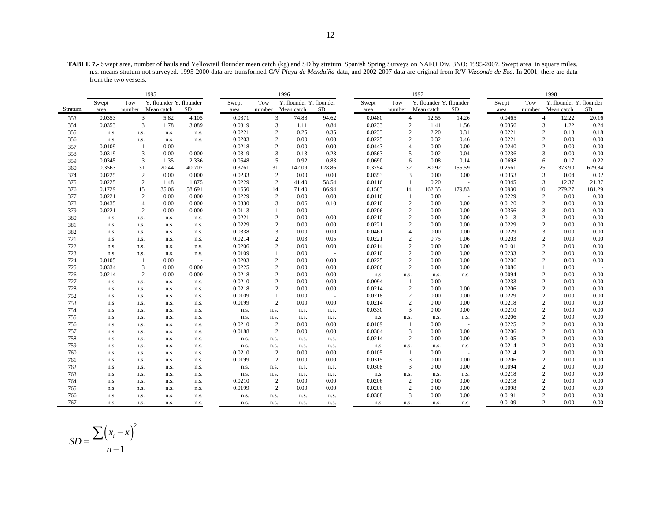**TABLE 7.-** Swept area, number of hauls and Yellowtail flounder mean catch (kg) and SD by stratum. Spanish Spring Surveys on NAFO Div. 3NO: 1995-2007. Swept area in square miles. n.s. means stratum not surveyed. 1995-2000 data are transformed C/V *Playa de Menduíña* data, and 2002-2007 data are original from R/V *Vizconde de Eza*. In 2001, there are data from the two vessels.

|         |        |                | 1995                    |           |        |                | 1996                    |            |        |                  | 1997                    |        |        |                  | 1998                    |           |
|---------|--------|----------------|-------------------------|-----------|--------|----------------|-------------------------|------------|--------|------------------|-------------------------|--------|--------|------------------|-------------------------|-----------|
|         | Swept  | Tow            | Y. flounder Y. flounder |           | Swept  | Tow            | Y. flounder Y. flounder |            | Swept  | Tow              | Y. flounder Y. flounder |        | Swept  | Tow              | Y. flounder Y. flounder |           |
| Stratum | area   |                | number Mean catch       | <b>SD</b> | area   | number         | Mean catch              | SD         | area   | number           | Mean catch              | SD     | area   | number           | Mean catch              | <b>SD</b> |
| 353     | 0.0353 | 3              | 5.82                    | 4.105     | 0.0371 | 3              | 74.88                   | 94.62      | 0.0480 | $\overline{4}$   | 12.55                   | 14.26  | 0.0465 | $\overline{4}$   | 12.22                   | 20.16     |
| 354     | 0.0353 | 3              | 1.78                    | 3.089     | 0.0319 | 3              | 1.11                    | 0.84       | 0.0233 | $\overline{c}$   | 1.41                    | 1.56   | 0.0356 | 3                | 1.22                    | 0.24      |
| 355     | n.s.   | n.s.           | n.s.                    | n.s.      | 0.0221 | $\overline{c}$ | 0.25                    | 0.35       | 0.0233 | $\overline{2}$   | 2.20                    | 0.31   | 0.0221 | $\overline{c}$   | 0.13                    | 0.18      |
| 356     | n.s.   | n.s.           | n.s.                    | n.s.      | 0.0203 | $\overline{2}$ | 0.00                    | 0.00       | 0.0225 | $\overline{2}$   | 0.32                    | 0.46   | 0.0221 | 2                | 0.00                    | 0.00      |
| 357     | 0.0109 | -1             | 0.00                    |           | 0.0218 | $\overline{c}$ | 0.00                    | 0.00       | 0.0443 | $\overline{4}$   | 0.00                    | 0.00   | 0.0240 | 2                | 0.00                    | $0.00\,$  |
| 358     | 0.0319 | 3              | 0.00                    | 0.000     | 0.0319 | 3              | 0.13                    | 0.23       | 0.0563 | 5                | 0.02                    | 0.04   | 0.0236 | 3                | 0.00                    | 0.00      |
| 359     | 0.0345 | 3              | 1.35                    | 2.336     | 0.0548 | 5              | 0.92                    | 0.83       | 0.0690 | 6                | 0.08                    | 0.14   | 0.0698 | 6                | 0.17                    | 0.22      |
| 360     | 0.3563 | 31             | 20.44                   | 40.707    | 0.3761 | 31             | 142.09                  | 128.86     | 0.3754 | 32               | 80.92                   | 155.59 | 0.2561 | 25               | 373.90                  | 629.84    |
| 374     | 0.0225 | $\overline{2}$ | 0.00                    | 0.000     | 0.0233 | $\sqrt{2}$     | 0.00                    | 0.00       | 0.0353 | 3                | 0.00                    | 0.00   | 0.0353 | 3                | 0.04                    | 0.02      |
| 375     | 0.0225 | 2              | 1.48                    | 1.875     | 0.0229 | $\overline{2}$ | 41.40                   | 58.54      | 0.0116 | -1               | 0.20                    | $\sim$ | 0.0345 | 3                | 12.37                   | 21.37     |
| 376     | 0.1729 | 15             | 35.06                   | 58.691    | 0.1650 | 14             | 71.40                   | 86.94      | 0.1583 | 14               | 162.35                  | 179.83 | 0.0930 | 10               | 279.27                  | 181.29    |
| 377     | 0.0221 | 2              | 0.00                    | 0.000     | 0.0229 | $\overline{2}$ | 0.00                    | 0.00       | 0.0116 | -1               | 0.00                    | $\sim$ | 0.0229 | $\overline{c}$   | 0.00                    | 0.00      |
| 378     | 0.0435 | $\overline{4}$ | 0.00                    | 0.000     | 0.0330 | 3              | 0.06                    | 0.10       | 0.0210 | $\boldsymbol{2}$ | 0.00                    | 0.00   | 0.0120 | 2                | 0.00                    | 0.00      |
| 379     | 0.0221 | 2              | 0.00                    | 0.000     | 0.0113 |                | 0.00                    | $\sim$ $-$ | 0.0206 | $\overline{2}$   | 0.00                    | 0.00   | 0.0356 | 3                | 0.00                    | 0.00      |
| 380     | n.s.   | n.s.           | n.s.                    | n.s.      | 0.0221 | $\overline{2}$ | 0.00                    | 0.00       | 0.0210 | $\overline{c}$   | 0.00                    | 0.00   | 0.0113 | 2                | 0.00                    | 0.00      |
| 381     | n.s.   | n.s.           | n.s.                    | n.s.      | 0.0229 | $\mathbf{2}$   | 0.00                    | 0.00       | 0.0221 | $\overline{2}$   | 0.00                    | 0.00   | 0.0229 | $\overline{2}$   | 0.00                    | 0.00      |
| 382     | n.s.   | n.s.           | n.s.                    | n.s.      | 0.0338 | 3              | 0.00                    | 0.00       | 0.0461 | $\overline{4}$   | 0.00                    | 0.00   | 0.0229 | 3                | 0.00                    | 0.00      |
| 721     | n.s.   | n.s.           | n.s.                    | n.s.      | 0.0214 | $\overline{2}$ | 0.03                    | 0.05       | 0.0221 |                  | 0.75                    | 1.06   | 0.0203 | $\overline{c}$   | 0.00                    | 0.00      |
| 722     | n.s.   | n.s.           | n.s.                    | n.s.      | 0.0206 | $\mathbf{2}$   | 0.00                    | 0.00       | 0.0214 | $\overline{2}$   | 0.00                    | 0.00   | 0.0101 | 2                | 0.00                    | 0.00      |
| 723     | n.s.   | n.s.           | n.s.                    | n.s.      | 0.0109 | $\mathbf{1}$   | 0.00                    | $\sim$ $-$ | 0.0210 | $\overline{2}$   | 0.00                    | 0.00   | 0.0233 | 2                | 0.00                    | 0.00      |
| 724     | 0.0105 | -1             | 0.00                    | $\sim$    | 0.0203 | $\overline{2}$ | 0.00                    | 0.00       | 0.0225 | $\overline{2}$   | 0.00                    | 0.00   | 0.0206 | 2                | 0.00                    | 0.00      |
| 725     | 0.0334 | 3              | 0.00                    | 0.000     | 0.0225 | $\mathbf{2}$   | 0.00                    | 0.00       | 0.0206 | $\overline{2}$   | 0.00                    | 0.00   | 0.0086 | 1                | 0.00                    |           |
| 726     | 0.0214 | 2              | 0.00                    | 0.000     | 0.0218 | $\overline{c}$ | 0.00                    | 0.00       | n.s.   | n.s.             | n.s.                    | n.s.   | 0.0094 | $\overline{2}$   | 0.00                    | 0.00      |
| 727     | n.s.   | n.s.           | n.s.                    | n.s.      | 0.0210 | $\mathbf{2}$   | 0.00                    | 0.00       | 0.0094 | -1               | 0.00                    | $\sim$ | 0.0233 | 2                | 0.00                    | 0.00      |
| 728     | n.s.   | n.s.           | n.s.                    | n.s.      | 0.0218 | $\overline{c}$ | 0.00                    | 0.00       | 0.0214 | $\overline{2}$   | 0.00                    | 0.00   | 0.0206 | 2                | 0.00                    | 0.00      |
| 752     | n.s.   | n.s.           | n.s.                    | n.s.      | 0.0109 |                | 0.00                    | $\sim$ $-$ | 0.0218 | $\overline{2}$   | 0.00                    | 0.00   | 0.0229 | $\overline{c}$   | 0.00                    | 0.00      |
| 753     | n.s.   | n.s.           | n.s.                    | n.s.      | 0.0199 | $\mathbf{2}$   | 0.00                    | 0.00       | 0.0214 | $\overline{2}$   | 0.00                    | 0.00   | 0.0218 | 2                | 0.00                    | 0.00      |
| 754     | n.s.   | n.s.           | n.s.                    | n.s.      | n.s.   | n.s.           | n.s.                    | n.s.       | 0.0330 | 3                | 0.00                    | 0.00   | 0.0210 | $\overline{c}$   | 0.00                    | 0.00      |
| 755     | n.s.   | n.s.           | n.s.                    | n.s.      | n.s.   | n.s.           | n.s.                    | n.s.       | n.s.   | n.s.             | n.s.                    | n.s.   | 0.0206 | $\overline{2}$   | 0.00                    | 0.00      |
| 756     | n.s.   | n.s.           | n.s.                    | n.s.      | 0.0210 | $\overline{2}$ | 0.00                    | 0.00       | 0.0109 |                  | 0.00                    |        | 0.0225 | 2                | 0.00                    | 0.00      |
| 757     | n.s.   | n.s.           | n.s.                    | n.s.      | 0.0188 | $\overline{c}$ | 0.00                    | 0.00       | 0.0304 | 3                | 0.00                    | 0.00   | 0.0206 | 2                | 0.00                    | 0.00      |
| 758     | n.s.   | n.s.           | n.s.                    | n.s.      | n.s.   | n.s.           | n.s.                    | n.s.       | 0.0214 | $\overline{c}$   | 0.00                    | 0.00   | 0.0105 | 2                | 0.00                    | 0.00      |
| 759     | n.s.   | n.s.           | n.s.                    | n.s.      | n.s.   | n.s.           | n.s.                    | n.s.       | n.s.   | n.s.             | n.s.                    | n.s.   | 0.0214 | 2                | 0.00                    | 0.00      |
| 760     | n.s.   | n.s.           | n.s.                    | n.s.      | 0.0210 | $\overline{2}$ | 0.00                    | 0.00       | 0.0105 | -1               | 0.00                    | $\sim$ | 0.0214 | $\boldsymbol{2}$ | 0.00                    | 0.00      |
| 761     | n.s.   | n.s.           | n.s.                    | n.s.      | 0.0199 | $\overline{2}$ | 0.00                    | 0.00       | 0.0315 | 3                | 0.00                    | 0.00   | 0.0206 | $\overline{2}$   | 0.00                    | 0.00      |
| 762     | n.s.   | n.s.           | n.s.                    | n.s.      | n.s.   | n.s.           | n.s.                    | n.s.       | 0.0308 | 3                | 0.00                    | 0.00   | 0.0094 | 2                | 0.00                    | 0.00      |
| 763     | n.s.   | n.s.           | n.s.                    | n.s.      | n.s.   | n.s.           | n.s.                    | n.s.       | n.s.   | n.s.             | n.s.                    | n.s.   | 0.0218 | 2                | 0.00                    | 0.00      |
| 764     | n.s.   | n.s.           | n.s.                    | n.s.      | 0.0210 | $\overline{2}$ | 0.00                    | 0.00       | 0.0206 | $\overline{c}$   | 0.00                    | 0.00   | 0.0218 | 2                | 0.00                    | 0.00      |
| 765     | n.s.   | n.s.           | n.s.                    | n.s.      | 0.0199 | 2              | 0.00                    | 0.00       | 0.0206 | $\overline{2}$   | 0.00                    | 0.00   | 0.0098 | 2                | 0.00                    | 0.00      |
| 766     | n.s.   | n.s.           | n.s.                    | n.s.      | n.s.   | n.s.           | n.s.                    | n.s.       | 0.0308 | 3                | 0.00                    | 0.00   | 0.0191 | $\overline{c}$   | 0.00                    | 0.00      |
| 767     | n.s.   | n.s.           | n.s.                    | n.s.      | n.s.   | n.s.           | n.s.                    | n.s.       | n.s.   | n.s.             | n.s.                    | n.s.   | 0.0109 | 2                | 0.00                    | 0.00      |

$$
SD = \frac{\sum (x_i - \overline{x})^2}{n - 1}
$$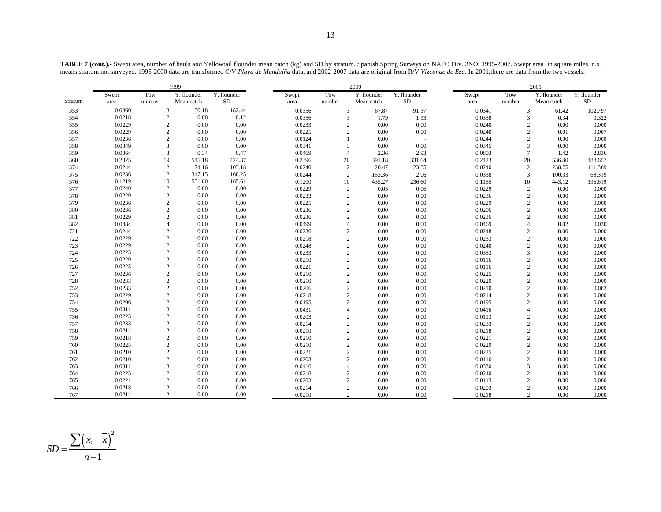**TABLE 7 (cont.).-** Swept area, number of hauls and Yellowtail flounder mean catch (kg) and SD by stratum. Spanish Spring Surveys on NAFO Div. 3NO: 1995-2007. Swept area in square miles. n.s. means stratum not surveyed. 1995-2000 data are transformed C/V *Playa de Menduíña* data, and 2002-2007 data are original from R/V *Vizconde de Eza*. In 2001,there are data from the two vessels.

|         | 1999   |                         |             |             |  |        |                | 2000        |             | 2001   |                |             |             |
|---------|--------|-------------------------|-------------|-------------|--|--------|----------------|-------------|-------------|--------|----------------|-------------|-------------|
|         | Swept  | Tow                     | Y. flounder | Y. flounder |  | Swept  | Tow            | Y. flounder | Y. flounder | Swept  | Tow            | Y. flounder | Y. flounder |
| Stratum | area   | number                  | Mean catch  | <b>SD</b>   |  | area   | number         | Mean catch  | <b>SD</b>   | area   | number         | Mean catch  | <b>SD</b>   |
| 353     | 0.0360 | 3                       | 150.18      | 182.44      |  | 0.0356 | $\overline{3}$ | 67.87       | 91.37       | 0.0341 | $\mathbf{3}$   | 61.42       | 102.797     |
| 354     | 0.0218 | $\overline{2}$          | 0.08        | 0.12        |  | 0.0356 | 3              | 1.79        | 1.93        | 0.0338 | 3              | 0.34        | 0.322       |
| 355     | 0.0229 | $\overline{2}$          | 0.00        | 0.00        |  | 0.0233 | $\overline{c}$ | 0.00        | 0.00        | 0.0240 | $\overline{c}$ | 0.00        | 0.000       |
| 356     | 0.0229 | $\sqrt{2}$              | 0.00        | 0.00        |  | 0.0225 | $\overline{c}$ | 0.00        | 0.00        | 0.0240 | $\sqrt{2}$     | 0.01        | 0.007       |
| 357     | 0.0236 | $\overline{2}$          | 0.00        | 0.00        |  | 0.0124 | $\mathbf{1}$   | 0.00        |             | 0.0244 | $\overline{c}$ | 0.00        | 0.000       |
| 358     | 0.0349 | 3                       | 0.00        | 0.00        |  | 0.0341 | 3              | 0.00        | 0.00        | 0.0345 | 3              | 0.00        | 0.000       |
| 359     | 0.0364 | 3                       | 0.34        | 0.47        |  | 0.0469 | $\overline{4}$ | 2.36        | 2.93        | 0.0803 | $\tau$         | 1.42        | 2.836       |
| 360     | 0.2325 | 19                      | 545.18      | 424.37      |  | 0.2396 | 20             | 391.18      | 331.64      | 0.2423 | 20             | 536.80      | 488.657     |
| 374     | 0.0244 | $\overline{c}$          | 74.16       | 103.18      |  | 0.0240 | 2              | 20.47       | 23.55       | 0.0240 | $\overline{c}$ | 238.75      | 111.369     |
| 375     | 0.0236 | $\overline{2}$          | 347.15      | 168.25      |  | 0.0244 | 2              | 153.36      | 2.06        | 0.0338 | 3              | 100.33      | 68.319      |
| 376     | 0.1219 | 10                      | 551.60      | 165.61      |  | 0.1200 | 10             | 435.27      | 236.60      | 0.1155 | 10             | 443.12      | 196.619     |
| 377     | 0.0240 | $\overline{c}$          | 0.00        | 0.00        |  | 0.0229 | 2              | 0.05        | 0.06        | 0.0229 | $\overline{c}$ | 0.00        | 0.000       |
| 378     | 0.0229 | $\overline{2}$          | 0.00        | 0.00        |  | 0.0233 | $\overline{2}$ | 0.00        | 0.00        | 0.0236 | $\overline{c}$ | 0.00        | 0.000       |
| 379     | 0.0236 | $\overline{2}$          | 0.00        | 0.00        |  | 0.0225 | $\overline{c}$ | 0.00        | 0.00        | 0.0229 | $\overline{c}$ | 0.00        | 0.000       |
| 380     | 0.0236 | $\overline{2}$          | 0.00        | 0.00        |  | 0.0236 | $\overline{c}$ | 0.00        | 0.00        | 0.0206 | $\mathbf{2}$   | 0.00        | 0.000       |
| 381     | 0.0229 | $\overline{2}$          | 0.00        | 0.00        |  | 0.0236 | $\overline{2}$ | 0.00        | 0.00        | 0.0236 | $\overline{c}$ | 0.00        | 0.000       |
| 382     | 0.0484 | $\overline{4}$          | 0.00        | 0.00        |  | 0.0499 | $\overline{4}$ | 0.00        | 0.00        | 0.0469 | $\overline{4}$ | 0.02        | 0.030       |
| 721     | 0.0244 | $\overline{2}$          | 0.00        | 0.00        |  | 0.0236 | $\overline{2}$ | 0.00        | 0.00        | 0.0248 | $\overline{c}$ | 0.00        | 0.000       |
| 722     | 0.0229 | $\overline{c}$          | 0.00        | 0.00        |  | 0.0218 | $\overline{2}$ | 0.00        | 0.00        | 0.0233 | $\overline{c}$ | 0.00        | 0.000       |
| 723     | 0.0229 | $\overline{c}$          | 0.00        | 0.00        |  | 0.0248 | $\overline{c}$ | 0.00        | 0.00        | 0.0240 | $\overline{c}$ | 0.00        | 0.000       |
| 724     | 0.0225 | $\overline{2}$          | 0.00        | 0.00        |  | 0.0233 | $\overline{c}$ | 0.00        | 0.00        | 0.0353 | 3              | 0.00        | 0.000       |
| 725     | 0.0229 | $\sqrt{2}$              | 0.00        | 0.00        |  | 0.0210 | $\overline{2}$ | 0.00        | 0.00        | 0.0116 | $\overline{c}$ | 0.00        | 0.000       |
| 726     | 0.0225 | $\overline{2}$          | 0.00        | 0.00        |  | 0.0221 | $\overline{c}$ | 0.00        | 0.00        | 0.0116 | $\overline{c}$ | 0.00        | 0.000       |
| 727     | 0.0236 | $\overline{2}$          | 0.00        | 0.00        |  | 0.0210 | $\overline{2}$ | 0.00        | 0.00        | 0.0225 | $\sqrt{2}$     | 0.00        | 0.000       |
| 728     | 0.0233 | $\sqrt{2}$              | 0.00        | 0.00        |  | 0.0210 | $\overline{2}$ | 0.00        | 0.00        | 0.0229 | $\sqrt{2}$     | 0.00        | 0.000       |
| 752     | 0.0233 | $\overline{2}$          | 0.00        | 0.00        |  | 0.0206 | 2              | 0.00        | 0.00        | 0.0210 | $\overline{c}$ | 0.06        | 0.083       |
| 753     | 0.0229 | $\overline{2}$          | 0.00        | 0.00        |  | 0.0218 | $\overline{c}$ | 0.00        | 0.00        | 0.0214 | $\sqrt{2}$     | 0.00        | 0.000       |
| 754     | 0.0206 | $\overline{2}$          | 0.00        | 0.00        |  | 0.0195 | $\overline{2}$ | 0.00        | 0.00        | 0.0195 | $\overline{c}$ | 0.00        | 0.000       |
| 755     | 0.0311 | 3                       | 0.00        | 0.00        |  | 0.0431 | $\overline{4}$ | 0.00        | 0.00        | 0.0416 | $\overline{4}$ | 0.00        | 0.000       |
| 756     | 0.0225 | $\overline{2}$          | 0.00        | 0.00        |  | 0.0203 | $\overline{2}$ | 0.00        | 0.00        | 0.0113 | $\overline{c}$ | 0.00        | 0.000       |
| 757     | 0.0233 | $\overline{2}$          | 0.00        | 0.00        |  | 0.0214 | $\overline{2}$ | 0.00        | 0.00        | 0.0233 | $\sqrt{2}$     | 0.00        | 0.000       |
| 758     | 0.0214 | $\overline{2}$          | 0.00        | 0.00        |  | 0.0210 | $\overline{2}$ | 0.00        | 0.00        | 0.0218 | $\overline{c}$ | 0.00        | 0.000       |
| 759     | 0.0218 | $\overline{2}$          | 0.00        | 0.00        |  | 0.0210 | $\overline{c}$ | 0.00        | 0.00        | 0.0221 | $\overline{c}$ | 0.00        | 0.000       |
| 760     | 0.0225 | $\overline{2}$          | 0.00        | 0.00        |  | 0.0210 | $\overline{2}$ | 0.00        | 0.00        | 0.0229 | $\sqrt{2}$     | 0.00        | 0.000       |
| 761     | 0.0210 | $\overline{2}$          | 0.00        | 0.00        |  | 0.0221 | $\overline{c}$ | 0.00        | 0.00        | 0.0225 | $\overline{c}$ | 0.00        | 0.000       |
| 762     | 0.0210 | $\overline{2}$          | 0.00        | 0.00        |  | 0.0203 | $\overline{c}$ | 0.00        | 0.00        | 0.0116 | $\overline{c}$ | 0.00        | 0.000       |
| 763     | 0.0311 | $\overline{\mathbf{3}}$ | 0.00        | 0.00        |  | 0.0416 | $\overline{4}$ | 0.00        | 0.00        | 0.0330 | 3              | 0.00        | 0.000       |
| 764     | 0.0225 | $\overline{2}$          | 0.00        | 0.00        |  | 0.0218 | $\overline{c}$ | 0.00        | 0.00        | 0.0240 | $\overline{c}$ | 0.00        | 0.000       |
| 765     | 0.0221 | $\overline{2}$          | 0.00        | 0.00        |  | 0.0203 | $\overline{c}$ | 0.00        | 0.00        | 0.0113 | $\overline{c}$ | 0.00        | 0.000       |
| 766     | 0.0218 | $\overline{2}$          | 0.00        | 0.00        |  | 0.0214 | $\overline{2}$ | 0.00        | 0.00        | 0.0203 | $\overline{c}$ | 0.00        | 0.000       |
| 767     | 0.0214 | $\overline{c}$          | 0.00        | 0.00        |  | 0.0210 | $\overline{2}$ | 0.00        | 0.00        | 0.0218 | $\overline{2}$ | 0.00        | 0.000       |

$$
SD = \frac{\sum (x_i - \overline{x})^2}{n - 1}
$$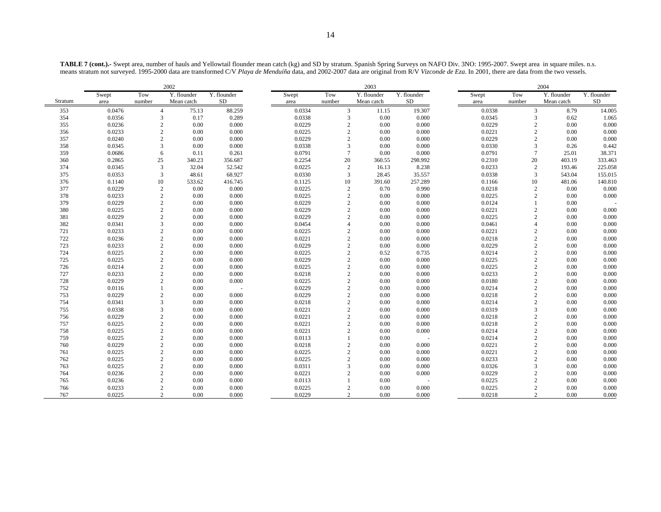**TABLE 7 (cont.).-** Swept area, number of hauls and Yellowtail flounder mean catch (kg) and SD by stratum. Spanish Spring Surveys on NAFO Div. 3NO: 1995-2007. Swept area in square miles. n.s. means stratum not surveyed. 1995-2000 data are transformed C/V *Playa de Menduíña* data, and 2002-2007 data are original from R/V *Vizconde de Eza*. In 2001, there are data from the two vessels.

|         |        |                | 2002        |                           |        |                 | 2003        |             | 2004   |                |             |             |  |
|---------|--------|----------------|-------------|---------------------------|--------|-----------------|-------------|-------------|--------|----------------|-------------|-------------|--|
|         | Swept  | Tow            | Y. flounder | $\overline{Y}$ . flounder | Swept  | Tow             | Y. flounder | Y. flounder | Swept  | Tow            | Y. flounder | Y. flounder |  |
| Stratum | area   | number         | Mean catch  | SD.                       | area   | number          | Mean catch  | <b>SD</b>   | area   | number         | Mean catch  | SD          |  |
| 353     | 0.0476 | $\overline{4}$ | 75.13       | 88.259                    | 0.0334 | 3               | 11.15       | 19.307      | 0.0338 | 3              | 8.79        | 14.005      |  |
| 354     | 0.0356 | 3              | 0.17        | 0.289                     | 0.0338 | 3               | 0.00        | 0.000       | 0.0345 | 3              | 0.62        | 1.065       |  |
| 355     | 0.0236 | $\overline{2}$ | 0.00        | 0.000                     | 0.0229 | $\overline{2}$  | 0.00        | 0.000       | 0.0229 | $\mathbf{2}$   | 0.00        | 0.000       |  |
| 356     | 0.0233 | $\overline{2}$ | 0.00        | 0.000                     | 0.0225 | $\overline{c}$  | 0.00        | 0.000       | 0.0221 | $\overline{2}$ | 0.00        | 0.000       |  |
| 357     | 0.0240 | $\overline{2}$ | 0.00        | 0.000                     | 0.0229 | $\overline{2}$  | 0.00        | 0.000       | 0.0229 | $\overline{2}$ | 0.00        | 0.000       |  |
| 358     | 0.0345 | 3              | 0.00        | 0.000                     | 0.0338 | 3               | 0.00        | 0.000       | 0.0330 | 3              | 0.26        | 0.442       |  |
| 359     | 0.0686 | 6              | 0.11        | 0.261                     | 0.0791 | $7\phantom{.0}$ | 0.00        | 0.000       | 0.0791 | $\overline{7}$ | 25.01       | 38.371      |  |
| 360     | 0.2865 | 25             | 340.23      | 356.687                   | 0.2254 | 20              | 360.55      | 298.992     | 0.2310 | 20             | 403.19      | 333.463     |  |
| 374     | 0.0345 | 3              | 32.04       | 52.542                    | 0.0225 | 2               | 16.13       | 8.238       | 0.0233 | $\overline{2}$ | 193.46      | 225.058     |  |
| 375     | 0.0353 | 3              | 48.61       | 68.927                    | 0.0330 | 3               | 28.45       | 35.557      | 0.0338 | 3              | 543.04      | 155.015     |  |
| 376     | 0.1140 | 10             | 533.62      | 416.745                   | 0.1125 | 10              | 391.60      | 257.289     | 0.1166 | 10             | 481.06      | 140.810     |  |
| 377     | 0.0229 | 2              | 0.00        | 0.000                     | 0.0225 | $\overline{2}$  | 0.70        | 0.990       | 0.0218 | $\overline{2}$ | 0.00        | 0.000       |  |
| 378     | 0.0233 | $\overline{2}$ | 0.00        | 0.000                     | 0.0225 | $\overline{2}$  | 0.00        | 0.000       | 0.0225 | $\overline{2}$ | 0.00        | 0.000       |  |
| 379     | 0.0229 | $\overline{2}$ | 0.00        | 0.000                     | 0.0229 | $\overline{2}$  | 0.00        | 0.000       | 0.0124 |                | 0.00        |             |  |
| 380     | 0.0225 | $\overline{2}$ | 0.00        | 0.000                     | 0.0229 | $\overline{2}$  | 0.00        | 0.000       | 0.0221 | $\overline{2}$ | 0.00        | 0.000       |  |
| 381     | 0.0229 | $\overline{2}$ | 0.00        | 0.000                     | 0.0229 | $\overline{2}$  | 0.00        | 0.000       | 0.0225 | $\overline{c}$ | 0.00        | 0.000       |  |
| 382     | 0.0341 | 3              | 0.00        | 0.000                     | 0.0454 | $\overline{4}$  | 0.00        | 0.000       | 0.0461 | $\Delta$       | 0.00        | 0.000       |  |
| 721     | 0.0233 | $\overline{2}$ | 0.00        | 0.000                     | 0.0225 | $\overline{2}$  | 0.00        | 0.000       | 0.0221 | $\overline{c}$ | 0.00        | 0.000       |  |
| 722     | 0.0236 | $\overline{2}$ | 0.00        | 0.000                     | 0.0221 | $\overline{2}$  | 0.00        | 0.000       | 0.0218 | $\overline{2}$ | 0.00        | 0.000       |  |
| 723     | 0.0233 | $\overline{2}$ | 0.00        | 0.000                     | 0.0229 | $\overline{2}$  | 0.00        | 0.000       | 0.0229 | $\overline{2}$ | 0.00        | 0.000       |  |
| 724     | 0.0225 | $\overline{c}$ | 0.00        | 0.000                     | 0.0225 | $\overline{2}$  | 0.52        | 0.735       | 0.0214 | $\overline{2}$ | 0.00        | 0.000       |  |
| 725     | 0.0225 | $\overline{2}$ | 0.00        | 0.000                     | 0.0229 | $\overline{2}$  | 0.00        | 0.000       | 0.0225 | $\mathbf{2}$   | 0.00        | 0.000       |  |
| 726     | 0.0214 | $\overline{2}$ | 0.00        | 0.000                     | 0.0225 | $\overline{2}$  | 0.00        | 0.000       | 0.0225 | $\overline{2}$ | 0.00        | 0.000       |  |
| 727     | 0.0233 | $\overline{c}$ | 0.00        | 0.000                     | 0.0218 | $\overline{2}$  | 0.00        | 0.000       | 0.0233 | $\overline{2}$ | 0.00        | 0.000       |  |
| 728     | 0.0229 | $\overline{2}$ | 0.00        | 0.000                     | 0.0225 | $\overline{2}$  | 0.00        | 0.000       | 0.0180 | $\overline{2}$ | 0.00        | 0.000       |  |
| 752     | 0.0116 |                | 0.00        |                           | 0.0229 | $\overline{2}$  | 0.00        | 0.000       | 0.0214 | $\overline{c}$ | 0.00        | 0.000       |  |
| 753     | 0.0229 | $\overline{c}$ | 0.00        | 0.000                     | 0.0229 | $\overline{2}$  | 0.00        | 0.000       | 0.0218 | $\overline{2}$ | 0.00        | 0.000       |  |
| 754     | 0.0341 | 3              | 0.00        | 0.000                     | 0.0218 | $\overline{2}$  | 0.00        | 0.000       | 0.0214 | $\overline{2}$ | 0.00        | 0.000       |  |
| 755     | 0.0338 | 3              | 0.00        | 0.000                     | 0.0221 | $\overline{2}$  | 0.00        | 0.000       | 0.0319 | 3              | 0.00        | 0.000       |  |
| 756     | 0.0229 | $\overline{c}$ | 0.00        | 0.000                     | 0.0221 | $\overline{2}$  | 0.00        | 0.000       | 0.0218 | $\overline{2}$ | 0.00        | 0.000       |  |
| 757     | 0.0225 | $\overline{2}$ | 0.00        | 0.000                     | 0.0221 | $\overline{2}$  | 0.00        | 0.000       | 0.0218 | $\overline{2}$ | 0.00        | 0.000       |  |
| 758     | 0.0225 | $\overline{2}$ | 0.00        | 0.000                     | 0.0221 | $\overline{2}$  | 0.00        | 0.000       | 0.0214 | $\overline{2}$ | 0.00        | 0.000       |  |
| 759     | 0.0225 | $\overline{2}$ | 0.00        | 0.000                     | 0.0113 | $\overline{1}$  | 0.00        |             | 0.0214 | $\overline{c}$ | 0.00        | 0.000       |  |
| 760     | 0.0229 | $\overline{2}$ | 0.00        | 0.000                     | 0.0218 | $\overline{c}$  | 0.00        | 0.000       | 0.0221 | $\overline{2}$ | 0.00        | 0.000       |  |
| 761     | 0.0225 | $\overline{2}$ | 0.00        | 0.000                     | 0.0225 | $\overline{2}$  | 0.00        | 0.000       | 0.0221 | $\overline{2}$ | 0.00        | 0.000       |  |
| 762     | 0.0225 | $\overline{2}$ | 0.00        | 0.000                     | 0.0225 | $\overline{2}$  | 0.00        | 0.000       | 0.0233 | $\overline{c}$ | 0.00        | 0.000       |  |
| 763     | 0.0225 | $\overline{2}$ | 0.00        | 0.000                     | 0.0311 | $\overline{3}$  | 0.00        | 0.000       | 0.0326 | 3              | 0.00        | 0.000       |  |
| 764     | 0.0236 | $\overline{2}$ | 0.00        | 0.000                     | 0.0221 | $\overline{2}$  | 0.00        | 0.000       | 0.0229 | $\overline{2}$ | 0.00        | 0.000       |  |
| 765     | 0.0236 | $\overline{2}$ | 0.00        | 0.000                     | 0.0113 |                 | 0.00        |             | 0.0225 | $\overline{2}$ | 0.00        | 0.000       |  |
| 766     | 0.0233 | $\overline{2}$ | 0.00        | 0.000                     | 0.0225 | $\overline{2}$  | 0.00        | 0.000       | 0.0225 | $\overline{2}$ | 0.00        | 0.000       |  |
| 767     | 0.0225 | $\mathcal{D}$  | $0.00 -$    | 0.000                     | 0.0229 | $\mathcal{D}$   | 0.00        | 0.000       | 0.0218 | $\mathfrak{D}$ | 0.00        | 0.000       |  |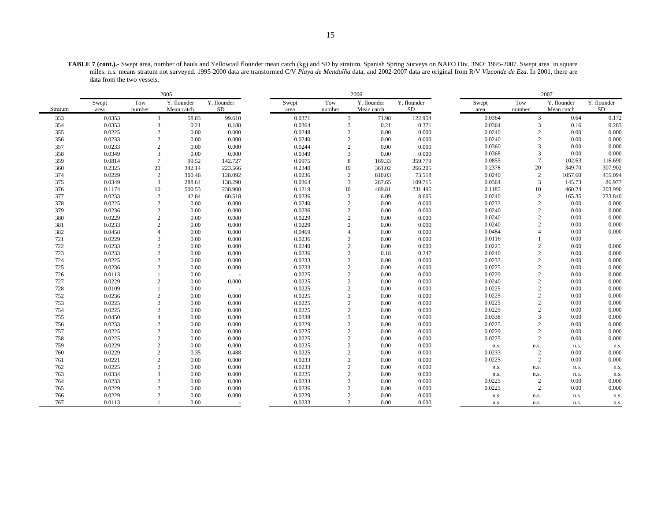|         |        |                          | 2005        |                          | 2006  |        |        |                |             |             | 2007 |        |        |                                  |             |
|---------|--------|--------------------------|-------------|--------------------------|-------|--------|--------|----------------|-------------|-------------|------|--------|--------|----------------------------------|-------------|
|         | Swept  | Tow                      | Y. flounder | Y. flounder              | Swept |        | Tow    |                | Y. flounder | Y. flounder |      | Swept  | Tow    | Y. flounder                      | Y. flounder |
| Stratum | area   | number                   | Mean catch  | SD                       | area  |        | number |                | Mean catch  | <b>SD</b>   |      | area   | number | Mean catch                       | SD          |
| 353     | 0.0353 | 3                        | 58.83       | 99.610                   |       | 0.0371 |        | 3              | 71.98       | 122.954     |      | 0.0364 |        | 3<br>0.64                        | 0.172       |
| 354     | 0.0353 | $\overline{3}$           | 0.21        | 0.188                    |       | 0.0364 |        | 3              | 0.21        | 0.371       |      | 0.0364 |        | $\overline{3}$<br>0.16           | 0.283       |
| 355     | 0.0225 | 2                        | 0.00        | 0.000                    |       | 0.0248 |        | $\mathbf{2}$   | 0.00        | 0.000       |      | 0.0240 |        | $\overline{c}$<br>0.00           | 0.000       |
| 356     | 0.0233 | $\overline{c}$           | 0.00        | 0.000                    |       | 0.0240 |        | $\overline{c}$ | 0.00        | 0.000       |      | 0.0240 |        | $\overline{2}$<br>0.00           | 0.000       |
| 357     | 0.0233 | $\overline{c}$           | 0.00        | 0.000                    |       | 0.0244 |        | $\overline{c}$ | 0.00        | 0.000       |      | 0.0360 |        | 3<br>0.00                        | 0.000       |
| 358     | 0.0349 | 3                        | 0.00        | 0.000                    |       | 0.0349 |        | 3              | 0.00        | 0.000       |      | 0.0368 |        | 3<br>0.00                        | 0.000       |
| 359     | 0.0814 | $\overline{7}$           | 99.52       | 142.727                  |       | 0.0975 |        | 8              | 169.33      | 359.779     |      | 0.0855 |        | $\overline{7}$<br>102.63         | 116.690     |
| 360     | 0.2325 | 20                       | 342.14      | 223.566                  |       | 0.2340 | 19     |                | 361.02      | 266.205     |      | 0.2378 | 20     | 349.70                           | 307.902     |
| 374     | 0.0229 | $\overline{c}$           | 300.46      | 128.092                  |       | 0.0236 |        | $\mathbf{2}$   | 610.03      | 73.518      |      | 0.0240 |        | 2<br>1057.60                     | 455.094     |
| 375     | 0.0349 | 3                        | 288.64      | 138.290                  |       | 0.0364 |        | 3              | 287.65      | 109.715     |      | 0.0364 |        | 3<br>145.73                      | 86.977      |
| 376     | 0.1174 | 10                       | 500.53      | 238.908                  |       | 0.1219 | 10     |                | 489.81      | 231.495     |      | 0.1185 | 10     | 460.24                           | 203.990     |
| 377     | 0.0233 | $\overline{c}$           | 42.84       | 60.518                   |       | 0.0236 |        | $\sqrt{2}$     | 6.09        | 8.605       |      | 0.0240 |        | $\mathbf{2}$<br>165.35           | 233.840     |
| 378     | 0.0225 | $\overline{2}$           | 0.00        | 0.000                    |       | 0.0240 |        | $\overline{c}$ | 0.00        | 0.000       |      | 0.0233 |        | $\overline{2}$<br>0.00           | 0.000       |
| 379     | 0.0236 | $\overline{c}$           | 0.00        | 0.000                    |       | 0.0236 |        | $\overline{c}$ | 0.00        | 0.000       |      | 0.0240 |        | $\overline{c}$<br>0.00           | 0.000       |
| 380     | 0.0229 | $\overline{2}$           | 0.00        | 0.000                    |       | 0.0229 |        | $\overline{c}$ | 0.00        | 0.000       |      | 0.0240 |        | $\overline{2}$<br>0.00           | 0.000       |
| 381     | 0.0233 | $\overline{2}$           | 0.00        | 0.000                    |       | 0.0229 |        | $\overline{c}$ | 0.00        | 0.000       |      | 0.0240 |        | $\overline{c}$<br>0.00           | 0.000       |
| 382     | 0.0458 | $\overline{A}$           | 0.00        | 0.000                    |       | 0.0469 |        | $\overline{4}$ | 0.00        | 0.000       |      | 0.0484 |        | 0.00<br>$\overline{\mathcal{A}}$ | 0.000       |
| 721     | 0.0229 | $\overline{c}$           | 0.00        | 0.000                    |       | 0.0236 |        | $\overline{c}$ | 0.00        | 0.000       |      | 0.0116 |        | 0.00                             |             |
| 722     | 0.0233 | $\overline{c}$           | 0.00        | 0.000                    |       | 0.0240 |        | $\overline{2}$ | 0.00        | 0.000       |      | 0.0225 |        | $\overline{c}$<br>0.00           | 0.000       |
| 723     | 0.0233 | $\overline{c}$           | 0.00        | 0.000                    |       | 0.0236 |        | $\overline{c}$ | 0.18        | 0.247       |      | 0.0240 |        | $\overline{2}$<br>0.00           | 0.000       |
| 724     | 0.0225 | $\overline{c}$           | 0.00        | 0.000                    |       | 0.0233 |        | $\overline{c}$ | 0.00        | 0.000       |      | 0.0233 |        | $\overline{2}$<br>0.00           | 0.000       |
| 725     | 0.0236 | $\mathfrak{D}$           | 0.00        | 0.000                    |       | 0.0233 |        | $\overline{c}$ | 0.00        | 0.000       |      | 0.0225 |        | $\overline{c}$<br>0.00           | 0.000       |
| 726     | 0.0113 |                          | 0.00        |                          |       | 0.0225 |        | $\overline{c}$ | 0.00        | 0.000       |      | 0.0229 |        | $\overline{2}$<br>0.00           | 0.000       |
| 727     | 0.0229 | $\overline{c}$           | 0.00        | 0.000                    |       | 0.0225 |        | $\overline{c}$ | 0.00        | 0.000       |      | 0.0240 |        | $\overline{2}$<br>0.00           | 0.000       |
| 728     | 0.0109 |                          | 0.00        |                          |       | 0.0225 |        | $\overline{c}$ | 0.00        | 0.000       |      | 0.0225 |        | $\sqrt{2}$<br>0.00               | 0.000       |
| 752     | 0.0236 | $\overline{c}$           | 0.00        | 0.000                    |       | 0.0225 |        | $\overline{c}$ | 0.00        | 0.000       |      | 0.0225 |        | $\overline{2}$<br>0.00           | 0.000       |
| 753     | 0.0225 | $\overline{c}$           | 0.00        | 0.000                    |       | 0.0225 |        | $\overline{2}$ | 0.00        | 0.000       |      | 0.0225 |        | $\overline{c}$<br>0.00           | 0.000       |
| 754     | 0.0225 | $\overline{c}$           | 0.00        | 0.000                    |       | 0.0225 |        | $\overline{c}$ | 0.00        | 0.000       |      | 0.0225 |        | $\overline{2}$<br>0.00           | 0.000       |
| 755     | 0.0450 | $\overline{A}$           | 0.00        | 0.000                    |       | 0.0338 |        | $\overline{3}$ | 0.00        | 0.000       |      | 0.0338 |        | 3<br>0.00                        | 0.000       |
| 756     | 0.0233 | $\overline{c}$           | 0.00        | 0.000                    |       | 0.0229 |        | $\overline{c}$ | 0.00        | 0.000       |      | 0.0225 |        | $\overline{2}$<br>0.00           | 0.000       |
| 757     | 0.0225 | $\overline{c}$           | 0.00        | 0.000                    |       | 0.0225 |        | $\overline{c}$ | 0.00        | 0.000       |      | 0.0229 |        | $\mathbf{2}$<br>0.00             | 0.000       |
| 758     | 0.0225 | $\overline{\mathcal{L}}$ | 0.00        | 0.000                    |       | 0.0225 |        | $\overline{c}$ | 0.00        | 0.000       |      | 0.0225 |        | $\mathbf{2}$<br>0.00             | 0.000       |
| 759     | 0.0229 | $\overline{c}$           | 0.00        | 0.000                    |       | 0.0225 |        | $\sqrt{2}$     | 0.00        | 0.000       |      | n.s.   | n.s.   | n.s.                             | n.s.        |
| 760     | 0.0229 | $\overline{c}$           | 0.35        | 0.488                    |       | 0.0225 |        | $\overline{c}$ | 0.00        | 0.000       |      | 0.0233 |        | $\mathbf{2}$<br>0.00             | 0.000       |
| 761     | 0.0221 | $\overline{c}$           | 0.00        | 0.000                    |       | 0.0233 |        | $\overline{c}$ | 0.00        | 0.000       |      | 0.0225 |        | $\mathbf{2}$<br>0.00             | 0.000       |
| 762     | 0.0225 | $\overline{c}$           | 0.00        | 0.000                    |       | 0.0233 |        | $\overline{c}$ | 0.00        | 0.000       |      | n.s.   | n.s.   | n.s.                             | n.s.        |
| 763     | 0.0334 | 3                        | 0.00        | 0.000                    |       | 0.0225 |        | $\overline{c}$ | 0.00        | 0.000       |      | n.s.   | n.s.   | n.s.                             | n.s.        |
| 764     | 0.0233 | $\overline{c}$           | 0.00        | 0.000                    |       | 0.0233 |        | $\overline{c}$ | 0.00        | 0.000       |      | 0.0225 |        | 2<br>0.00                        | 0.000       |
| 765     | 0.0229 | $\overline{c}$           | 0.00        | 0.000                    |       | 0.0236 |        | $\overline{c}$ | 0.00        | 0.000       |      | 0.0225 |        | $\mathbf{2}$<br>0.00             | 0.000       |
| 766     | 0.0229 | $\mathcal{P}$            | 0.00        | 0.000                    |       | 0.0229 |        | $\overline{c}$ | 0.00        | 0.000       |      | n.s.   | n.s.   | n.s.                             | n.s.        |
| 767     | 0.0113 |                          | 0.00        | $\overline{\phantom{a}}$ |       | 0.0233 |        | $\mathbf{2}$   | 0.00        | 0.000       |      | n.s.   | n.s.   | n.s.                             | n.s.        |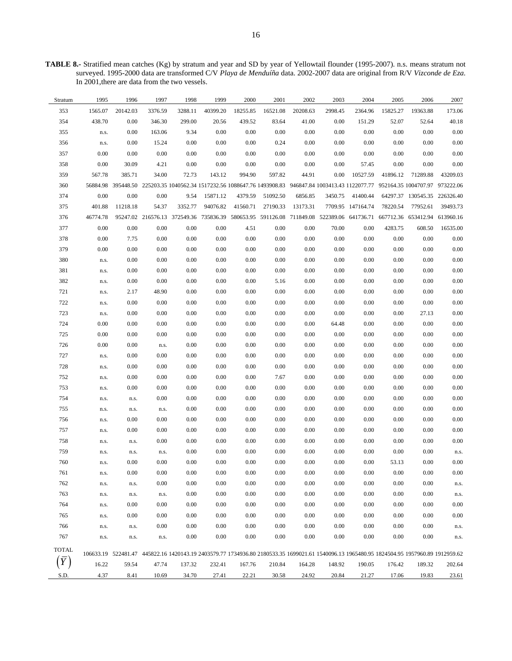**TABLE 8.-** Stratified mean catches (Kg) by stratum and year and SD by year of Yellowtail flounder (1995-2007). n.s. means stratum not surveyed. 1995-2000 data are transformed C/V *Playa de Menduíña* data. 2002-2007 data are original from R/V *Vizconde de Eza*. In 2001,there are data from the two vessels.

| Stratum | 1995     | 1996     | 1997     | 1998    | 1999                                                                                                                                        | 2000     | 2001     | 2002     | 2003     | 2004              | 2005     | 2006                         | 2007     |
|---------|----------|----------|----------|---------|---------------------------------------------------------------------------------------------------------------------------------------------|----------|----------|----------|----------|-------------------|----------|------------------------------|----------|
| 353     | 1565.07  | 20142.03 | 3376.59  | 3288.11 | 40399.20                                                                                                                                    | 18255.85 | 16521.08 | 20208.63 | 2998.45  | 2364.96           | 15825.27 | 19363.88                     | 173.06   |
| 354     | 438.70   | $0.00\,$ | 346.30   | 299.00  | 20.56                                                                                                                                       | 439.52   | 83.64    | 41.00    | $0.00\,$ | 151.29            | 52.07    | 52.64                        | 40.18    |
| 355     | n.s.     | $0.00\,$ | 163.06   | 9.34    | 0.00                                                                                                                                        | $0.00\,$ | $0.00\,$ | 0.00     | $0.00\,$ | 0.00              | 0.00     | $0.00\,$                     | $0.00\,$ |
| 356     | n.s.     | $0.00\,$ | 15.24    | 0.00    | 0.00                                                                                                                                        | 0.00     | 0.24     | 0.00     | $0.00\,$ | 0.00              | 0.00     | 0.00                         | 0.00     |
| 357     | 0.00     | $0.00\,$ | $0.00\,$ | 0.00    | 0.00                                                                                                                                        | 0.00     | $0.00\,$ | 0.00     | 0.00     | 0.00              | 0.00     | $0.00\,$                     | $0.00\,$ |
| 358     | $0.00\,$ | 30.09    | 4.21     | 0.00    | 0.00                                                                                                                                        | $0.00\,$ | $0.00\,$ | 0.00     | 0.00     | 57.45             | 0.00     | $0.00\,$                     | $0.00\,$ |
| 359     | 567.78   | 385.71   | 34.00    | 72.73   | 143.12                                                                                                                                      | 994.90   | 597.82   | 44.91    | 0.00     | 10527.59          | 41896.12 | 71289.88                     | 43209.03 |
| 360     |          |          |          |         | 56884.98 395448.50 225203.35 1040562.34 1517232.56 1088647.76 1493908.83 946847.84 1003413.43 1122077.77 952164.35 1004707.97 973222.06     |          |          |          |          |                   |          |                              |          |
| 374     | 0.00     | $0.00\,$ | 0.00     | 9.54    | 15871.12                                                                                                                                    | 4379.59  | 51092.50 | 6856.85  | 3450.75  | 41400.44          |          | 64297.37 130545.35 226326.40 |          |
| 375     | 401.88   | 11218.18 | 54.37    | 3352.77 | 94076.82                                                                                                                                    | 41560.71 | 27190.33 | 13173.31 |          | 7709.95 147164.74 | 78220.54 | 77952.61                     | 39493.73 |
| 376     | 46774.78 |          |          |         | 95247.02 216576.13 372549.36 735836.39 580653.95 591126.08 711849.08 522389.06 641736.71 667712.36 653412.94 613960.16                      |          |          |          |          |                   |          |                              |          |
| 377     | 0.00     | $0.00\,$ | 0.00     | 0.00    | 0.00                                                                                                                                        | 4.51     | 0.00     | 0.00     | 70.00    | 0.00              | 4283.75  | 608.50                       | 16535.00 |
| 378     | $0.00\,$ | 7.75     | 0.00     | 0.00    | 0.00                                                                                                                                        | $0.00\,$ | 0.00     | 0.00     | $0.00\,$ | 0.00              | $0.00\,$ | $0.00\,$                     | $0.00\,$ |
| 379     | $0.00\,$ | 0.00     | 0.00     | 0.00    | 0.00                                                                                                                                        | $0.00\,$ | $0.00\,$ | 0.00     | $0.00\,$ | 0.00              | 0.00     | $0.00\,$                     | 0.00     |
| 380     | n.s.     | $0.00\,$ | 0.00     | 0.00    | 0.00                                                                                                                                        | $0.00\,$ | 0.00     | 0.00     | $0.00\,$ | 0.00              | 0.00     | $0.00\,$                     | 0.00     |
| 381     | n.s.     | $0.00\,$ | 0.00     | 0.00    | 0.00                                                                                                                                        | $0.00\,$ | 0.00     | 0.00     | $0.00\,$ | 0.00              | 0.00     | $0.00\,$                     | 0.00     |
| 382     | n.s.     | $0.00\,$ | 0.00     | 0.00    | 0.00                                                                                                                                        | $0.00\,$ | 5.16     | 0.00     | $0.00\,$ | 0.00              | 0.00     | $0.00\,$                     | 0.00     |
| 721     | n.s.     | 2.17     | 48.90    | 0.00    | 0.00                                                                                                                                        | $0.00\,$ | 0.00     | 0.00     | $0.00\,$ | 0.00              | 0.00     | $0.00\,$                     | 0.00     |
| 722     | n.s.     | $0.00\,$ | 0.00     | 0.00    | 0.00                                                                                                                                        | $0.00\,$ | 0.00     | 0.00     | $0.00\,$ | 0.00              | 0.00     | $0.00\,$                     | $0.00\,$ |
| 723     | n.s.     | $0.00\,$ | 0.00     | 0.00    | 0.00                                                                                                                                        | $0.00\,$ | 0.00     | 0.00     | $0.00\,$ | 0.00              | 0.00     | 27.13                        | 0.00     |
| 724     | 0.00     | 0.00     | 0.00     | 0.00    | 0.00                                                                                                                                        | 0.00     | 0.00     | 0.00     | 64.48    | 0.00              | 0.00     | 0.00                         | $0.00\,$ |
| 725     | 0.00     | $0.00\,$ | 0.00     | 0.00    | 0.00                                                                                                                                        | $0.00\,$ | 0.00     | 0.00     | $0.00\,$ | 0.00              | 0.00     | $0.00\,$                     | $0.00\,$ |
| 726     | 0.00     | $0.00\,$ | n.s.     | 0.00    | 0.00                                                                                                                                        | 0.00     | 0.00     | 0.00     | $0.00\,$ | 0.00              | 0.00     | 0.00                         | 0.00     |
| 727     | n.s.     | 0.00     | 0.00     | 0.00    | 0.00                                                                                                                                        | 0.00     | 0.00     | 0.00     | $0.00\,$ | 0.00              | 0.00     | 0.00                         | 0.00     |
| 728     | n.s.     | 0.00     | 0.00     | 0.00    | 0.00                                                                                                                                        | 0.00     | 0.00     | 0.00     | 0.00     | 0.00              | 0.00     | 0.00                         | 0.00     |
| 752     | n.s.     | 0.00     | 0.00     | 0.00    | 0.00                                                                                                                                        | $0.00\,$ | 7.67     | 0.00     | $0.00\,$ | 0.00              | 0.00     | $0.00\,$                     | 0.00     |
| 753     | n.s.     | $0.00\,$ | 0.00     | 0.00    | 0.00                                                                                                                                        | 0.00     | 0.00     | 0.00     | 0.00     | 0.00              | 0.00     | 0.00                         | $0.00\,$ |
| 754     | n.s.     | n.s.     | 0.00     | 0.00    | 0.00                                                                                                                                        | $0.00\,$ | 0.00     | 0.00     | $0.00\,$ | 0.00              | 0.00     | $0.00\,$                     | 0.00     |
| 755     | n.s.     | n.s.     | n.s.     | 0.00    | 0.00                                                                                                                                        | 0.00     | 0.00     | 0.00     | 0.00     | 0.00              | 0.00     | 0.00                         | 0.00     |
| 756     | n.s.     | $0.00\,$ | 0.00     | 0.00    | 0.00                                                                                                                                        | $0.00\,$ | 0.00     | 0.00     | $0.00\,$ | 0.00              | 0.00     | $0.00\,$                     | $0.00\,$ |
| 757     | n.s.     | $0.00\,$ | 0.00     | 0.00    | 0.00                                                                                                                                        | 0.00     | 0.00     | 0.00     | 0.00     | 0.00              | 0.00     | 0.00                         | 0.00     |
| 758     | n.s.     | n.s.     | 0.00     | 0.00    | 0.00                                                                                                                                        | $0.00\,$ | 0.00     | 0.00     | $0.00\,$ | 0.00              | 0.00     | 0.00                         | 0.00     |
| 759     | n.s.     | n.s.     | n.s.     | 0.00    | $0.00\,$                                                                                                                                    | 0.00     | 0.00     | $0.00\,$ | 0.00     | 0.00              | 0.00     | 0.00                         | n.s.     |
| 760     | n.s.     | 0.00     | 0.00     | 0.00    | $0.00\,$                                                                                                                                    | $0.00\,$ | $0.00\,$ | 0.00     | 0.00     | 0.00              | 53.13    | $0.00\,$                     | 0.00     |
| 761     | n.s.     | 0.00     | 0.00     | 0.00    | 0.00                                                                                                                                        | 0.00     | 0.00     | 0.00     | 0.00     | 0.00              | 0.00     | 0.00                         | 0.00     |
| 762     | n.s.     | n.s.     | 0.00     | 0.00    | 0.00                                                                                                                                        | 0.00     | 0.00     | 0.00     | 0.00     | 0.00              | 0.00     | $0.00\,$                     | n.s.     |
| 763     | n.s.     | n.s.     | n.s.     | 0.00    | 0.00                                                                                                                                        | 0.00     | 0.00     | 0.00     | 0.00     | 0.00              | 0.00     | $0.00\,$                     | n.s.     |
| 764     | n.s.     | 0.00     | 0.00     | 0.00    | 0.00                                                                                                                                        | 0.00     | 0.00     | 0.00     | 0.00     | 0.00              | 0.00     | $0.00\,$                     | 0.00     |
| 765     | n.s.     | 0.00     | 0.00     | 0.00    | 0.00                                                                                                                                        | 0.00     | 0.00     | 0.00     | 0.00     | 0.00              | 0.00     | 0.00                         | 0.00     |
| 766     | n.s.     | n.s.     | 0.00     | 0.00    | 0.00                                                                                                                                        | 0.00     | 0.00     | 0.00     | 0.00     | 0.00              | 0.00     | 0.00                         | n.s.     |
| 767     | n.s.     | n.s.     | n.s.     | 0.00    | 0.00                                                                                                                                        | 0.00     | 0.00     | 0.00     | 0.00     | 0.00              | 0.00     | 0.00                         | n.s.     |
| TOTAL   |          |          |          |         |                                                                                                                                             |          |          |          |          |                   |          |                              |          |
|         |          |          |          |         | 106633.19 522481.47 445822.16 1420143.19 2403579.77 1734936.80 2180533.35 1699021.61 1540096.13 1965480.95 1824504.95 1957960.89 1912959.62 |          |          |          |          |                   |          |                              |          |
|         | 16.22    | 59.54    | 47.74    | 137.32  | 232.41                                                                                                                                      | 167.76   | 210.84   | 164.28   | 148.92   | 190.05            | 176.42   | 189.32                       | 202.64   |
| S.D.    | 4.37     | 8.41     | 10.69    | 34.70   | 27.41                                                                                                                                       | 22.21    | 30.58    | 24.92    | 20.84    | 21.27             | 17.06    | 19.83                        | 23.61    |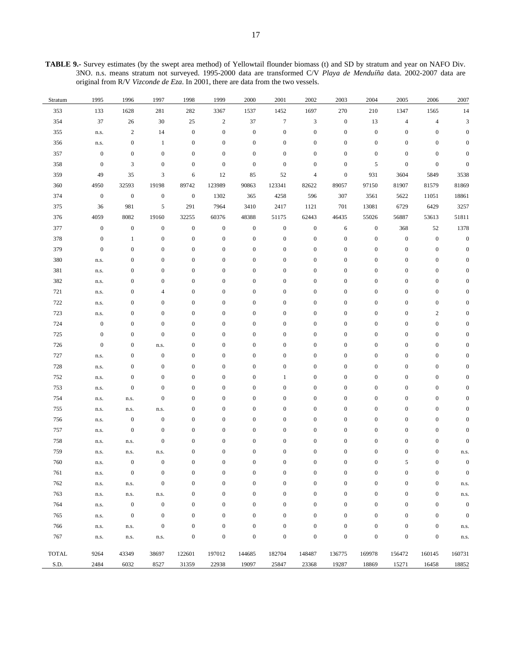**TABLE 9.-** Survey estimates (by the swept area method) of Yellowtail flounder biomass (t) and SD by stratum and year on NAFO Div. 3NO. n.s. means stratum not surveyed. 1995-2000 data are transformed C/V *Playa de Menduíña* data. 2002-2007 data are original from R/V *Vizconde de Eza*. In 2001, there are data from the two vessels.

| Stratum | 1995             | 1996             | 1997             | 1998             | 1999             | 2000             | 2001             | 2002             | 2003             | 2004             | 2005             | 2006             | 2007           |
|---------|------------------|------------------|------------------|------------------|------------------|------------------|------------------|------------------|------------------|------------------|------------------|------------------|----------------|
| 353     | 133              | 1628             | 281              | 282              | 3367             | 1537             | 1452             | 1697             | 270              | 210              | 1347             | 1565             | 14             |
| 354     | 37               | 26               | 30               | $25\,$           | $\boldsymbol{2}$ | 37               | $\boldsymbol{7}$ | 3                | $\boldsymbol{0}$ | 13               | $\overline{4}$   | $\overline{4}$   | 3              |
| 355     | n.s.             | $\sqrt{2}$       | 14               | $\boldsymbol{0}$ | $\boldsymbol{0}$ | $\boldsymbol{0}$ | $\boldsymbol{0}$ | $\boldsymbol{0}$ | $\boldsymbol{0}$ | $\boldsymbol{0}$ | $\boldsymbol{0}$ | $\boldsymbol{0}$ |                |
| 356     | n.s.             | $\boldsymbol{0}$ | $\mathbf{1}$     | $\boldsymbol{0}$ | $\boldsymbol{0}$ | $\boldsymbol{0}$ | $\boldsymbol{0}$ | $\mathbf{0}$     | $\boldsymbol{0}$ | $\boldsymbol{0}$ | $\mathbf{0}$     | $\boldsymbol{0}$ |                |
| 357     | $\boldsymbol{0}$ | $\boldsymbol{0}$ | $\boldsymbol{0}$ | $\boldsymbol{0}$ | $\boldsymbol{0}$ | $\boldsymbol{0}$ | $\mathbf{0}$     | $\mathbf{0}$     | $\boldsymbol{0}$ | $\boldsymbol{0}$ | $\mathbf{0}$     | $\boldsymbol{0}$ |                |
| 358     | $\boldsymbol{0}$ | $\mathfrak{Z}$   | $\mathbf{0}$     | $\boldsymbol{0}$ | $\boldsymbol{0}$ | $\boldsymbol{0}$ | $\boldsymbol{0}$ | $\boldsymbol{0}$ | $\boldsymbol{0}$ | 5                | $\mathbf{0}$     | $\boldsymbol{0}$ | $\mathbf{0}$   |
| 359     | 49               | 35               | $\mathfrak{Z}$   | 6                | 12               | 85               | 52               | 4                | $\boldsymbol{0}$ | 931              | 3604             | 5849             | 3538           |
| 360     | 4950             | 32593            | 19198            | 89742            | 123989           | 90863            | 123341           | 82622            | 89057            | 97150            | 81907            | 81579            | 81869          |
| 374     | $\boldsymbol{0}$ | $\boldsymbol{0}$ | $\boldsymbol{0}$ | $\boldsymbol{0}$ | 1302             | 365              | 4258             | 596              | 307              | 3561             | 5622             | 11051            | 18861          |
| 375     | 36               | 981              | 5                | 291              | 7964             | 3410             | 2417             | 1121             | 701              | 13081            | 6729             | 6429             | 3257           |
| 376     | 4059             | 8082             | 19160            | 32255            | 60376            | 48388            | 51175            | 62443            | 46435            | 55026            | 56887            | 53613            | 51811          |
| 377     | $\boldsymbol{0}$ | $\boldsymbol{0}$ | $\boldsymbol{0}$ | $\boldsymbol{0}$ | $\boldsymbol{0}$ | $\boldsymbol{0}$ | $\boldsymbol{0}$ | $\boldsymbol{0}$ | 6                | $\boldsymbol{0}$ | 368              | 52               | 1378           |
| 378     | $\boldsymbol{0}$ | 1                | $\boldsymbol{0}$ | $\boldsymbol{0}$ | $\boldsymbol{0}$ | $\boldsymbol{0}$ | $\boldsymbol{0}$ | $\boldsymbol{0}$ | $\boldsymbol{0}$ | $\boldsymbol{0}$ | $\boldsymbol{0}$ | $\boldsymbol{0}$ | $\overline{0}$ |
| 379     | $\boldsymbol{0}$ | $\boldsymbol{0}$ | $\mathbf{0}$     | $\boldsymbol{0}$ | $\boldsymbol{0}$ | $\boldsymbol{0}$ | $\boldsymbol{0}$ | $\boldsymbol{0}$ | $\boldsymbol{0}$ | $\boldsymbol{0}$ | $\boldsymbol{0}$ | $\boldsymbol{0}$ | $\mathbf{0}$   |
| 380     | n.s.             | $\boldsymbol{0}$ | $\boldsymbol{0}$ | $\boldsymbol{0}$ | $\boldsymbol{0}$ | $\boldsymbol{0}$ | $\boldsymbol{0}$ | $\boldsymbol{0}$ | $\boldsymbol{0}$ | $\boldsymbol{0}$ | $\boldsymbol{0}$ | $\boldsymbol{0}$ |                |
| 381     | n.s.             | $\boldsymbol{0}$ | $\boldsymbol{0}$ | $\boldsymbol{0}$ | $\boldsymbol{0}$ | $\boldsymbol{0}$ | $\boldsymbol{0}$ | $\boldsymbol{0}$ | $\boldsymbol{0}$ | $\boldsymbol{0}$ | $\boldsymbol{0}$ | $\boldsymbol{0}$ |                |
| 382     | n.s.             | $\boldsymbol{0}$ | $\boldsymbol{0}$ | $\boldsymbol{0}$ | $\boldsymbol{0}$ | $\boldsymbol{0}$ | $\boldsymbol{0}$ | $\boldsymbol{0}$ | $\boldsymbol{0}$ | $\boldsymbol{0}$ | $\boldsymbol{0}$ | $\boldsymbol{0}$ |                |
| 721     | n.s.             | $\boldsymbol{0}$ | $\overline{4}$   | $\boldsymbol{0}$ | $\boldsymbol{0}$ | $\boldsymbol{0}$ | $\boldsymbol{0}$ | $\boldsymbol{0}$ | $\boldsymbol{0}$ | $\boldsymbol{0}$ | $\mathbf{0}$     | $\boldsymbol{0}$ |                |
| 722     | n.s.             | $\boldsymbol{0}$ | $\boldsymbol{0}$ | $\boldsymbol{0}$ | $\boldsymbol{0}$ | $\boldsymbol{0}$ | $\boldsymbol{0}$ | $\boldsymbol{0}$ | $\boldsymbol{0}$ | $\boldsymbol{0}$ | $\boldsymbol{0}$ | $\boldsymbol{0}$ |                |
| 723     | n.s.             | $\boldsymbol{0}$ | $\mathbf{0}$     | $\boldsymbol{0}$ | $\boldsymbol{0}$ | $\boldsymbol{0}$ | $\boldsymbol{0}$ | $\boldsymbol{0}$ | $\boldsymbol{0}$ | $\boldsymbol{0}$ | $\mathbf{0}$     | $\boldsymbol{2}$ |                |
| 724     | $\boldsymbol{0}$ | $\boldsymbol{0}$ | $\mathbf{0}$     | $\boldsymbol{0}$ | $\boldsymbol{0}$ | $\boldsymbol{0}$ | $\boldsymbol{0}$ | $\boldsymbol{0}$ | $\boldsymbol{0}$ | $\boldsymbol{0}$ | $\boldsymbol{0}$ | $\boldsymbol{0}$ |                |
| 725     | $\boldsymbol{0}$ | $\boldsymbol{0}$ | $\boldsymbol{0}$ | $\boldsymbol{0}$ | $\boldsymbol{0}$ | $\boldsymbol{0}$ | $\mathbf{0}$     | $\boldsymbol{0}$ | $\boldsymbol{0}$ | $\boldsymbol{0}$ | $\boldsymbol{0}$ | $\boldsymbol{0}$ |                |
| 726     | $\boldsymbol{0}$ | $\boldsymbol{0}$ | n.s.             | $\boldsymbol{0}$ | $\boldsymbol{0}$ | $\boldsymbol{0}$ | $\boldsymbol{0}$ | $\boldsymbol{0}$ | $\boldsymbol{0}$ | $\boldsymbol{0}$ | $\boldsymbol{0}$ | $\boldsymbol{0}$ |                |
| 727     | n.s.             | $\boldsymbol{0}$ | $\boldsymbol{0}$ | $\boldsymbol{0}$ | $\boldsymbol{0}$ | $\boldsymbol{0}$ | $\boldsymbol{0}$ | $\boldsymbol{0}$ | $\boldsymbol{0}$ | $\boldsymbol{0}$ | $\boldsymbol{0}$ | $\boldsymbol{0}$ | $\Omega$       |
| 728     | n.s.             | $\boldsymbol{0}$ | $\boldsymbol{0}$ | $\boldsymbol{0}$ | $\boldsymbol{0}$ | $\boldsymbol{0}$ | $\boldsymbol{0}$ | $\boldsymbol{0}$ | $\boldsymbol{0}$ | $\boldsymbol{0}$ | $\boldsymbol{0}$ | $\boldsymbol{0}$ |                |
| 752     | n.s.             | $\boldsymbol{0}$ | $\boldsymbol{0}$ | $\boldsymbol{0}$ | $\boldsymbol{0}$ | $\boldsymbol{0}$ | $\mathbf{1}$     | $\boldsymbol{0}$ | $\boldsymbol{0}$ | $\boldsymbol{0}$ | $\boldsymbol{0}$ | $\boldsymbol{0}$ |                |
| 753     | n.s.             | $\boldsymbol{0}$ | $\boldsymbol{0}$ | $\boldsymbol{0}$ | $\boldsymbol{0}$ | $\boldsymbol{0}$ | $\boldsymbol{0}$ | $\boldsymbol{0}$ | $\boldsymbol{0}$ | $\boldsymbol{0}$ | $\boldsymbol{0}$ | $\boldsymbol{0}$ |                |
| 754     | n.s.             | n.s.             | $\boldsymbol{0}$ | $\boldsymbol{0}$ | $\boldsymbol{0}$ | $\boldsymbol{0}$ | $\boldsymbol{0}$ | $\mathbf{0}$     | $\boldsymbol{0}$ | $\boldsymbol{0}$ | $\boldsymbol{0}$ | $\boldsymbol{0}$ |                |
| 755     | n.s.             | n.s.             | n.s.             | $\boldsymbol{0}$ | $\boldsymbol{0}$ | $\boldsymbol{0}$ | $\boldsymbol{0}$ | $\boldsymbol{0}$ | $\boldsymbol{0}$ | $\boldsymbol{0}$ | $\boldsymbol{0}$ | $\boldsymbol{0}$ |                |
| 756     | n.s.             | $\boldsymbol{0}$ | $\mathbf{0}$     | $\boldsymbol{0}$ | $\boldsymbol{0}$ | $\boldsymbol{0}$ | $\mathbf{0}$     | $\mathbf{0}$     | $\boldsymbol{0}$ | $\boldsymbol{0}$ | $\boldsymbol{0}$ | $\boldsymbol{0}$ | 0              |
| 757     | n.s.             | $\boldsymbol{0}$ | $\boldsymbol{0}$ | $\boldsymbol{0}$ | $\boldsymbol{0}$ | $\boldsymbol{0}$ | $\boldsymbol{0}$ | $\boldsymbol{0}$ | $\boldsymbol{0}$ | $\boldsymbol{0}$ | $\boldsymbol{0}$ | $\boldsymbol{0}$ | $\theta$       |
| 758     | n.s.             | n.s.             | $\boldsymbol{0}$ | $\boldsymbol{0}$ | $\boldsymbol{0}$ | $\boldsymbol{0}$ | $\boldsymbol{0}$ | $\boldsymbol{0}$ | $\boldsymbol{0}$ | $\boldsymbol{0}$ | $\boldsymbol{0}$ | $\boldsymbol{0}$ | $\theta$       |
| 759     | n.s.             | n.s.             | n.s.             | $\boldsymbol{0}$ | $\boldsymbol{0}$ | $\boldsymbol{0}$ | $\boldsymbol{0}$ | $\boldsymbol{0}$ | $\boldsymbol{0}$ | $\boldsymbol{0}$ | $\boldsymbol{0}$ | $\boldsymbol{0}$ | n.s.           |
| 760     | n.s.             | $\boldsymbol{0}$ | $\boldsymbol{0}$ | $\boldsymbol{0}$ | $\boldsymbol{0}$ | $\boldsymbol{0}$ | $\boldsymbol{0}$ | $\boldsymbol{0}$ | $\boldsymbol{0}$ | $\boldsymbol{0}$ | 5                | $\boldsymbol{0}$ | $\mathbf{0}$   |
| 761     | n.s.             | $\boldsymbol{0}$ | $\mathbf{0}$     | 0                | 0                | $\mathbf{0}$     | $\mathbf{0}$     | 0                | $\bf{0}$         | 0                | $\mathbf{0}$     | 0                |                |
| 762     | n.s.             | n.s.             | $\boldsymbol{0}$ | $\boldsymbol{0}$ | $\boldsymbol{0}$ | $\boldsymbol{0}$ | $\mathbf{0}$     | $\mathbf{0}$     | $\boldsymbol{0}$ | $\boldsymbol{0}$ | $\boldsymbol{0}$ | $\boldsymbol{0}$ | n.s.           |
| 763     | n.s.             | n.s.             | n.s.             | $\mathbf{0}$     | $\boldsymbol{0}$ | $\boldsymbol{0}$ | $\mathbf{0}$     | $\mathbf{0}$     | $\boldsymbol{0}$ | $\boldsymbol{0}$ | $\boldsymbol{0}$ | $\boldsymbol{0}$ | n.s.           |
| 764     | n.s.             | $\boldsymbol{0}$ | $\boldsymbol{0}$ | $\mathbf{0}$     | $\boldsymbol{0}$ | $\boldsymbol{0}$ | $\mathbf{0}$     | $\boldsymbol{0}$ | $\boldsymbol{0}$ | $\boldsymbol{0}$ | $\boldsymbol{0}$ | $\boldsymbol{0}$ | $\mathbf{0}$   |
| 765     | n.s.             | $\boldsymbol{0}$ | $\mathbf{0}$     | $\boldsymbol{0}$ | $\boldsymbol{0}$ | $\boldsymbol{0}$ | $\mathbf{0}$     | $\boldsymbol{0}$ | $\boldsymbol{0}$ | $\boldsymbol{0}$ | $\boldsymbol{0}$ | $\boldsymbol{0}$ | $\theta$       |
| 766     | n.s.             | n.s.             | $\boldsymbol{0}$ | $\boldsymbol{0}$ | $\boldsymbol{0}$ | $\boldsymbol{0}$ | $\boldsymbol{0}$ | $\boldsymbol{0}$ | $\boldsymbol{0}$ | $\boldsymbol{0}$ | $\boldsymbol{0}$ | $\boldsymbol{0}$ | n.s.           |
| 767     | n.s.             | n.s.             | n.s.             | $\boldsymbol{0}$ | $\boldsymbol{0}$ | $\boldsymbol{0}$ | $\boldsymbol{0}$ | $\boldsymbol{0}$ | $\boldsymbol{0}$ | $\boldsymbol{0}$ | $\boldsymbol{0}$ | $\boldsymbol{0}$ | n.s.           |
| TOTAL   | 9264             | 43349            | 38697            | 122601           | 197012           | 144685           | 182704           | 148487           | 136775           | 169978           | 156472           | 160145           | 160731         |
| S.D.    | 2484             | 6032             | 8527             | 31359            | 22938            | 19097            | 25847            | 23368            | 19287            | 18869            | 15271            | 16458            | 18852          |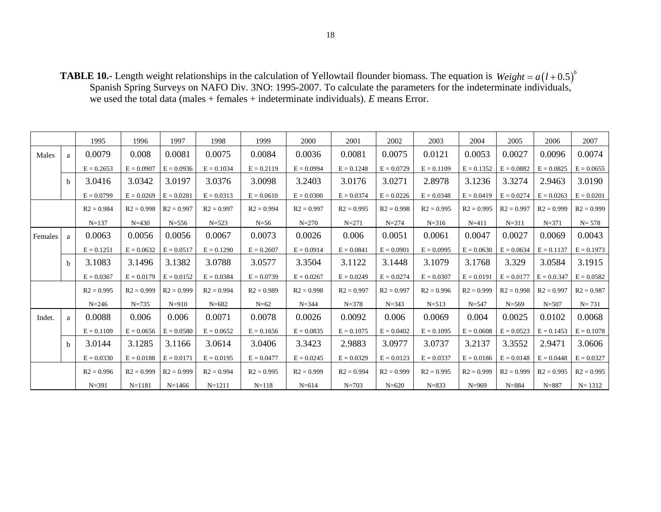**TABLE 10.-** Length weight relationships in the calculation of Yellowtail flounder biomass. The equation is Spanish Spring Surveys on NAFO Div. 3NO: 1995-2007. To calculate the parameters for the indeterminate individuals, we used the total data (males + females + indeterminate individuals). *E* means Error.  $Weight = a(l + 0.5)^{b}$ 

|         |              | 1995         | 1996         | 1997         | 1998         | 1999         | 2000         | 2001         | 2002         | 2003         | 2004         | 2005         | 2006          | 2007         |
|---------|--------------|--------------|--------------|--------------|--------------|--------------|--------------|--------------|--------------|--------------|--------------|--------------|---------------|--------------|
| Males   | a            | 0.0079       | 0.008        | 0.0081       | 0.0075       | 0.0084       | 0.0036       | 0.0081       | 0.0075       | 0.0121       | 0.0053       | 0.0027       | 0.0096        | 0.0074       |
|         |              | $E = 0.2653$ | $E = 0.0907$ | $E = 0.0936$ | $E = 0.1034$ | $E = 0.2119$ | $E = 0.0994$ | $E = 0.1248$ | $E = 0.0729$ | $E = 0.1109$ | $E = 0.1352$ | $E = 0.0882$ | $E = 0.0825$  | $E = 0.0655$ |
|         | <sub>b</sub> | 3.0416       | 3.0342       | 3.0197       | 3.0376       | 3.0098       | 3.2403       | 3.0176       | 3.0271       | 2.8978       | 3.1236       | 3.3274       | 2.9463        | 3.0190       |
|         |              | $E = 0.0799$ | $E = 0.0269$ | $E = 0.0281$ | $E = 0.0313$ | $E = 0.0610$ | $E = 0.0300$ | $E = 0.0374$ | $E = 0.0226$ | $E = 0.0348$ | $E = 0.0419$ | $E = 0.0274$ | $E = 0.0263$  | $E = 0.0201$ |
|         |              | $R2 = 0.984$ | $R2 = 0.998$ | $R2 = 0.997$ | $R2 = 0.997$ | $R2 = 0.994$ | $R2 = 0.997$ | $R2 = 0.995$ | $R2 = 0.998$ | $R2 = 0.995$ | $R2 = 0.995$ | $R2 = 0.997$ | $R2 = 0.999$  | $R2 = 0.999$ |
|         |              | $N = 137$    | $N = 430$    | $N = 556$    | $N = 523$    | $N=56$       | $N = 270$    | $N = 271$    | $N = 274$    | $N = 316$    | $N = 411$    | $N = 311$    | $N = 371$     | $N = 578$    |
| Females | a            | 0.0063       | 0.0056       | 0.0056       | 0.0067       | 0.0073       | 0.0026       | 0.006        | 0.0051       | 0.0061       | 0.0047       | 0.0027       | 0.0069        | 0.0043       |
|         |              | $E = 0.1251$ | $E = 0.0632$ | $E = 0.0517$ | $E = 0.1290$ | $E = 0.2607$ | $E = 0.0914$ | $E = 0.0841$ | $E = 0.0901$ | $E = 0.0995$ | $E = 0.0630$ | $E = 0.0634$ | $E = 0.1137$  | $E = 0.1973$ |
|         | <sub>b</sub> | 3.1083       | 3.1496       | 3.1382       | 3.0788       | 3.0577       | 3.3504       | 3.1122       | 3.1448       | 3.1079       | 3.1768       | 3.329        | 3.0584        | 3.1915       |
|         |              | $E = 0.0367$ | $E = 0.0179$ | $E = 0.0152$ | $E = 0.0384$ | $E = 0.0739$ | $E = 0.0267$ | $E = 0.0249$ | $E = 0.0274$ | $E = 0.0307$ | $E = 0.0191$ | $E = 0.0177$ | $E = 0.0.347$ | $E = 0.0582$ |
|         |              | $R2 = 0.995$ | $R2 = 0.999$ | $R2 = 0.999$ | $R2 = 0.994$ | $R2 = 0.989$ | $R2 = 0.998$ | $R2 = 0.997$ | $R2 = 0.997$ | $R2 = 0.996$ | $R2 = 0.999$ | $R2 = 0.998$ | $R2 = 0.997$  | $R2 = 0.987$ |
|         |              | $N = 246$    | $N = 735$    | $N = 910$    | $N = 682$    | $N=62$       | $N = 344$    | $N = 378$    | $N = 343$    | $N = 513$    | $N = 547$    | $N = 569$    | $N = 507$     | $N = 731$    |
| Indet.  | a            | 0.0088       | 0.006        | 0.006        | 0.0071       | 0.0078       | 0.0026       | 0.0092       | 0.006        | 0.0069       | 0.004        | 0.0025       | 0.0102        | 0.0068       |
|         |              | $E = 0.1109$ | $E = 0.0656$ | $E = 0.0580$ | $E = 0.0652$ | $E = 0.1656$ | $E = 0.0835$ | $E = 0.1075$ | $E = 0.0402$ | $E = 0.1095$ | $E = 0.0608$ | $E = 0.0523$ | $E = 0.1453$  | $E = 0.1078$ |
|         | b.           | 3.0144       | 3.1285       | 3.1166       | 3.0614       | 3.0406       | 3.3423       | 2.9883       | 3.0977       | 3.0737       | 3.2137       | 3.3552       | 2.9471        | 3.0606       |
|         |              | $E = 0.0330$ | $E = 0.0188$ | $E = 0.0171$ | $E = 0.0195$ | $E = 0.0477$ | $E = 0.0245$ | $E = 0.0329$ | $E = 0.0123$ | $E = 0.0337$ | $E = 0.0186$ | $E = 0.0148$ | $E = 0.0448$  | $E = 0.0327$ |
|         |              | $R2 = 0.996$ | $R2 = 0.999$ | $R2 = 0.999$ | $R2 = 0.994$ | $R2 = 0.995$ | $R2 = 0.999$ | $R2 = 0.994$ | $R2 = 0.999$ | $R2 = 0.995$ | $R2 = 0.999$ | $R2 = 0.999$ | $R2 = 0.995$  | $R2 = 0.995$ |
|         |              | $N = 391$    | $N = 1181$   | $N = 1466$   | $N = 1211$   | $N = 118$    | $N = 614$    | $N = 703$    | $N = 620$    | $N = 833$    | $N = 969$    | $N = 884$    | $N = 887$     | $N = 1312$   |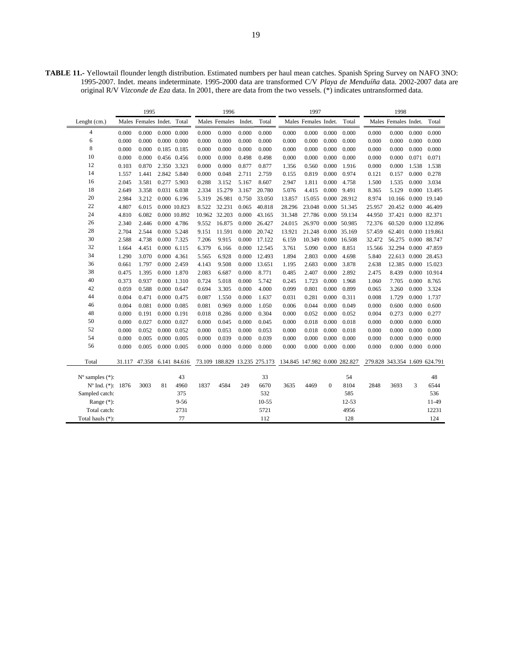**TABLE 11.-** Yellowtail flounder length distribution. Estimated numbers per haul mean catches. Spanish Spring Survey on NAFO 3NO: 1995-2007. Indet. means indeterminate. 1995-2000 data are transformed C/V *Playa de Menduíña* data. 2002-2007 data are original R/V *Vizconde de Eza* data. In 2001, there are data from the two vessels. (\*) indicates untransformed data.

|                             |       | 1995                       |    |                     |       | 1996                          |        |           |                               | 1997                 |                |                     |        | 1998                          |       |                      |
|-----------------------------|-------|----------------------------|----|---------------------|-------|-------------------------------|--------|-----------|-------------------------------|----------------------|----------------|---------------------|--------|-------------------------------|-------|----------------------|
| Lenght (cm.)                |       | Males Females Indet. Total |    |                     |       | Males Females                 | Indet. | Total     |                               | Males Females Indet. |                | Total               |        | Males Females Indet.          |       | Total                |
| $\overline{4}$              | 0.000 | 0.000                      |    | $0.000 \quad 0.000$ | 0.000 | 0.000                         | 0.000  | 0.000     | 0.000                         | 0.000                | 0.000          | 0.000               | 0.000  | 0.000                         | 0.000 | 0.000                |
| 6                           | 0.000 | 0.000                      |    | $0.000 \quad 0.000$ | 0.000 | 0.000                         | 0.000  | 0.000     | 0.000                         | 0.000                | 0.000          | 0.000               | 0.000  | 0.000                         | 0.000 | 0.000                |
| 8                           | 0.000 | 0.000                      |    | 0.185 0.185         | 0.000 | 0.000                         | 0.000  | 0.000     | 0.000                         | 0.000                | 0.000          | 0.000               | 0.000  | 0.000                         | 0.000 | 0.000                |
| 10                          | 0.000 | 0.000                      |    | 0.456 0.456         | 0.000 | 0.000                         | 0.498  | 0.498     | 0.000                         | 0.000                | 0.000          | 0.000               | 0.000  | 0.000                         | 0.071 | 0.071                |
| 12                          | 0.103 | 0.870                      |    | 2.350 3.323         | 0.000 | 0.000                         | 0.877  | 0.877     | 1.356                         | 0.560                | 0.000          | 1.916               | 0.000  | 0.000                         | 1.538 | 1.538                |
| 14                          | 1.557 | 1.441                      |    | 2.842 5.840         | 0.000 | 0.048                         | 2.711  | 2.759     | 0.155                         | 0.819                | 0.000          | 0.974               | 0.121  | 0.157                         | 0.000 | 0.278                |
| 16                          | 2.045 | 3.581                      |    | 0.277 5.903         | 0.288 | 3.152                         | 5.167  | 8.607     | 2.947                         | 1.811                | 0.000          | 4.758               | 1.500  | 1.535                         | 0.000 | 3.034                |
| 18                          | 2.649 | 3.358                      |    | 0.031 6.038         | 2.334 | 15.279                        | 3.167  | 20.780    | 5.076                         | 4.415                | 0.000          | 9.491               | 8.365  | 5.129                         |       | 0.000 13.495         |
| 20                          | 2.984 | 3.212                      |    | 0.000 6.196         | 5.319 | 26.981                        | 0.750  | 33.050    | 13.857                        | 15.055               |                | 0.000 28.912        | 8.974  | 10.166                        |       | 0.000 19.140         |
| 22                          | 4.807 | 6.015                      |    | 0.000 10.823        | 8.522 | 32.231                        | 0.065  | 40.818    | 28.296                        | 23.048               |                | 0.000 51.345        | 25.957 | 20.452 0.000 46.409           |       |                      |
| 24                          | 4.810 | 6.082                      |    | 0.000 10.892        |       | 10.962 32.203                 | 0.000  | 43.165    | 31.348                        |                      |                | 27.786 0.000 59.134 | 44.950 | 37.421 0.000 82.371           |       |                      |
| 26                          | 2.340 | 2.446                      |    | 0.000 4.786         | 9.552 | 16.875                        | 0.000  | 26.427    | 24.015                        |                      |                | 26.970 0.000 50.985 | 72.376 |                               |       | 60.520 0.000 132.896 |
| 28                          | 2.704 | 2.544                      |    | 0.000 5.248         | 9.151 | 11.591                        | 0.000  | 20.742    | 13.921                        |                      |                | 21.248 0.000 35.169 | 57.459 |                               |       | 62.401 0.000 119.861 |
| 30                          | 2.588 | 4.738                      |    | 0.000 7.325         | 7.206 | 9.915                         | 0.000  | 17.122    | 6.159                         | 10.349               |                | 0.000 16.508        | 32.472 | 56.275 0.000 88.747           |       |                      |
| 32                          | 1.664 | 4.451                      |    | $0.000$ 6.115       | 6.379 | 6.166                         | 0.000  | 12.545    | 3.761                         | 5.090                | 0.000          | 8.851               | 15.566 | 32.294 0.000 47.859           |       |                      |
| 34                          | 1.290 | 3.070                      |    | 0.000 4.361         | 5.565 | 6.928                         | 0.000  | 12.493    | 1.894                         | 2.803                | 0.000          | 4.698               | 5.840  | 22.613 0.000 28.453           |       |                      |
| 36                          | 0.661 | 1.797                      |    | 0.000 2.459         | 4.143 | 9.508                         | 0.000  | 13.651    | 1.195                         | 2.683                | 0.000          | 3.878               | 2.638  | 12.385 0.000 15.023           |       |                      |
| 38                          | 0.475 | 1.395                      |    | 0.000 1.870         | 2.083 | 6.687                         | 0.000  | 8.771     | 0.485                         | 2.407                | 0.000          | 2.892               | 2.475  | 8.439                         |       | 0.000 10.914         |
| 40                          | 0.373 | 0.937                      |    | 0.000 1.310         | 0.724 | 5.018                         | 0.000  | 5.742     | 0.245                         | 1.723                | 0.000          | 1.968               | 1.060  | 7.705                         | 0.000 | 8.765                |
| 42                          | 0.059 | 0.588                      |    | 0.000 0.647         | 0.694 | 3.305                         | 0.000  | 4.000     | 0.099                         | 0.801                | 0.000          | 0.899               | 0.065  | 3.260                         | 0.000 | 3.324                |
| 44                          | 0.004 | 0.471                      |    | 0.000 0.475         | 0.087 | 1.550                         | 0.000  | 1.637     | 0.031                         | 0.281                | 0.000          | 0.311               | 0.008  | 1.729                         | 0.000 | 1.737                |
| 46                          | 0.004 | 0.081                      |    | 0.000 0.085         | 0.081 | 0.969                         | 0.000  | 1.050     | 0.006                         | 0.044                | 0.000          | 0.049               | 0.000  | 0.600                         | 0.000 | 0.600                |
| 48                          | 0.000 | 0.191                      |    | 0.000 0.191         | 0.018 | 0.286                         | 0.000  | 0.304     | 0.000                         | 0.052                | 0.000          | 0.052               | 0.004  | 0.273                         | 0.000 | 0.277                |
| 50                          | 0.000 | 0.027                      |    | 0.000 0.027         | 0.000 | 0.045                         | 0.000  | 0.045     | 0.000                         | 0.018                | 0.000          | 0.018               | 0.000  | 0.000                         | 0.000 | 0.000                |
| 52                          | 0.000 | 0.052                      |    | 0.000 0.052         | 0.000 | 0.053                         | 0.000  | 0.053     | 0.000                         | 0.018                | 0.000          | 0.018               | 0.000  | 0.000                         | 0.000 | 0.000                |
| 54                          | 0.000 | 0.005                      |    | 0.000 0.005         | 0.000 | 0.039                         | 0.000  | 0.039     | 0.000                         | 0.000                | 0.000          | 0.000               | 0.000  | 0.000                         | 0.000 | 0.000                |
| 56                          | 0.000 | 0.005                      |    | $0.000 \quad 0.005$ | 0.000 | 0.000                         | 0.000  | 0.000     | 0.000                         | 0.000                | 0.000          | 0.000               | 0.000  | 0.000                         | 0.000 | 0.000                |
| Total                       |       | 31.117 47.358 6.141 84.616 |    |                     |       | 73.109 188.829 13.235 275.173 |        |           | 134.845 147.982 0.000 282.827 |                      |                |                     |        | 279.828 343.354 1.609 624.791 |       |                      |
| $N^{\circ}$ samples $(*)$ : |       |                            |    | 43                  |       |                               |        | 33        |                               |                      |                | 54                  |        |                               |       | 48                   |
| Nº Ind. (*): 1876           |       | 3003                       | 81 | 4960                | 1837  | 4584                          | 249    | 6670      | 3635                          | 4469                 | $\overline{0}$ | 8104                | 2848   | 3693                          | 3     | 6544                 |
| Sampled catch:              |       |                            |    | 375                 |       |                               |        | 532       |                               |                      |                | 585                 |        |                               |       | 536                  |
| Range (*):                  |       |                            |    | $9 - 56$            |       |                               |        | $10 - 55$ |                               |                      |                | 12-53               |        |                               |       | 11-49                |
| Total catch:                |       |                            |    | 2731                |       |                               |        | 5721      |                               |                      |                | 4956                |        |                               |       | 12231                |
| Total hauls (*):            |       |                            |    | 77                  |       |                               |        | 112       |                               |                      |                | 128                 |        |                               |       | 124                  |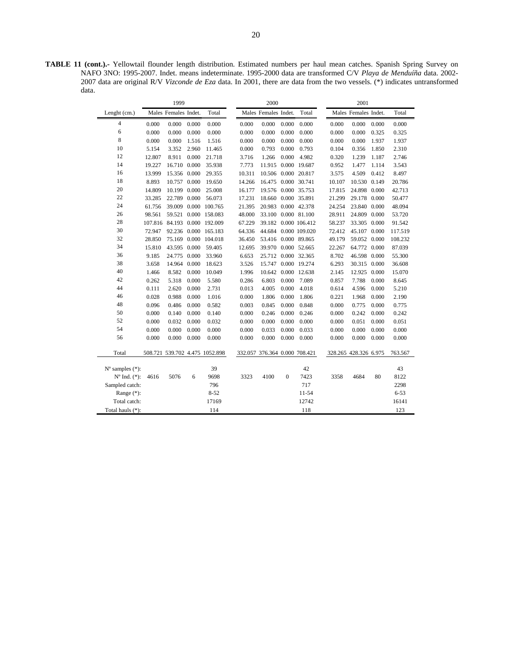**TABLE 11 (cont.).-** Yellowtail flounder length distribution. Estimated numbers per haul mean catches. Spanish Spring Survey on NAFO 3NO: 1995-2007. Indet. means indeterminate. 1995-2000 data are transformed C/V *Playa de Menduíña* data. 2002- 2007 data are original R/V *Vizconde de Eza* data. In 2001, there are data from the two vessels. (\*) indicates untransformed data.

|                             |        | 1999                         |       |                                |        | 2000                          |              |                      |        | 2001                  |       |          |
|-----------------------------|--------|------------------------------|-------|--------------------------------|--------|-------------------------------|--------------|----------------------|--------|-----------------------|-------|----------|
| Lenght (cm.)                |        | Males Females Indet.         |       | Total                          |        | Males Females Indet.          |              | Total                |        | Males Females Indet.  |       | Total    |
| $\overline{4}$              | 0.000  | 0.000                        | 0.000 | 0.000                          | 0.000  | 0.000                         | 0.000        | 0.000                | 0.000  | 0.000                 | 0.000 | 0.000    |
| 6                           | 0.000  | 0.000                        | 0.000 | 0.000                          | 0.000  | 0.000                         | 0.000        | 0.000                | 0.000  | 0.000                 | 0.325 | 0.325    |
| 8                           | 0.000  | 0.000                        | 1.516 | 1.516                          | 0.000  | 0.000                         | 0.000        | 0.000                | 0.000  | 0.000                 | 1.937 | 1.937    |
| 10                          | 5.154  | 3.352                        | 2.960 | 11.465                         | 0.000  | 0.793                         | 0.000        | 0.793                | 0.104  | 0.356                 | 1.850 | 2.310    |
| 12                          | 12.807 | 8.911                        | 0.000 | 21.718                         | 3.716  | 1.266                         | 0.000        | 4.982                | 0.320  | 1.239                 | 1.187 | 2.746    |
| 14                          | 19.227 | 16.710 0.000                 |       | 35.938                         | 7.773  | 11.915                        |              | 0.000 19.687         | 0.952  | 1.477                 | 1.114 | 3.543    |
| 16                          | 13.999 | 15.356 0.000                 |       | 29.355                         | 10.311 |                               |              | 10.506 0.000 20.817  | 3.575  | 4.509                 | 0.412 | 8.497    |
| 18                          | 8.893  | 10.757 0.000                 |       | 19.650                         | 14.266 | 16.475 0.000 30.741           |              |                      | 10.107 | 10.530 0.149          |       | 20.786   |
| 20                          | 14.809 | 10.199 0.000                 |       | 25.008                         | 16.177 | 19.576 0.000 35.753           |              |                      | 17.815 | 24.898 0.000          |       | 42.713   |
| 22                          | 33.285 | 22.789 0.000                 |       | 56.073                         | 17.231 | 18.660                        |              | 0.000 35.891         | 21.299 | 29.178                | 0.000 | 50.477   |
| 24                          | 61.756 | 39.009                       |       | 0.000 100.765                  | 21.395 | 20.983                        |              | 0.000 42.378         | 24.254 | 23.840                | 0.000 | 48.094   |
| 26                          | 98.561 | 59.521                       |       | 0.000 158,083                  | 48.000 | 33.100 0.000 81.100           |              |                      | 28.911 | 24.809                | 0.000 | 53.720   |
| 28                          |        | 107.816 84.193 0.000 192.009 |       |                                | 67.229 |                               |              | 39.182 0.000 106.412 | 58.237 | 33.305                | 0.000 | 91.542   |
| 30                          | 72.947 |                              |       | 92.236 0.000 165.183           | 64.336 |                               |              | 44.684 0.000 109.020 | 72.412 | 45.107 0.000          |       | 117.519  |
| 32                          | 28.850 | 75.169                       |       | 0.000 104.018                  | 36.450 | 53.416 0.000 89.865           |              |                      | 49.179 | 59.052 0.000          |       | 108.232  |
| 34                          | 15.810 | 43.595                       | 0.000 | 59.405                         | 12.695 | 39.970 0.000 52.665           |              |                      | 22.267 | 64.772 0.000          |       | 87.039   |
| 36                          | 9.185  | 24.775 0.000                 |       | 33.960                         | 6.653  | 25.712 0.000 32.365           |              |                      | 8.702  | 46.598                | 0.000 | 55.300   |
| 38                          | 3.658  | 14.964                       | 0.000 | 18.623                         | 3.526  | 15.747                        |              | 0.000 19.274         | 6.293  | 30.315                | 0.000 | 36.608   |
| 40                          | 1.466  | 8.582                        | 0.000 | 10.049                         | 1.996  | 10.642                        |              | 0.000 12.638         | 2.145  | 12.925                | 0.000 | 15.070   |
| 42                          | 0.262  | 5.318                        | 0.000 | 5.580                          | 0.286  | 6.803                         | 0.000        | 7.089                | 0.857  | 7.788                 | 0.000 | 8.645    |
| 44                          | 0.111  | 2.620                        | 0.000 | 2.731                          | 0.013  | 4.005                         | 0.000        | 4.018                | 0.614  | 4.596                 | 0.000 | 5.210    |
| 46                          | 0.028  | 0.988                        | 0.000 | 1.016                          | 0.000  | 1.806                         | 0.000        | 1.806                | 0.221  | 1.968                 | 0.000 | 2.190    |
| 48                          | 0.096  | 0.486                        | 0.000 | 0.582                          | 0.003  | 0.845                         | 0.000        | 0.848                | 0.000  | 0.775                 | 0.000 | 0.775    |
| 50                          | 0.000  | 0.140                        | 0.000 | 0.140                          | 0.000  | 0.246                         | 0.000        | 0.246                | 0.000  | 0.242                 | 0.000 | 0.242    |
| 52                          | 0.000  | 0.032                        | 0.000 | 0.032                          | 0.000  | 0.000                         | 0.000        | 0.000                | 0.000  | 0.051                 | 0.000 | 0.051    |
| 54                          | 0.000  | 0.000                        | 0.000 | 0.000                          | 0.000  | 0.033                         | 0.000        | 0.033                | 0.000  | 0.000                 | 0.000 | 0.000    |
| 56                          | 0.000  | 0.000                        | 0.000 | 0.000                          | 0.000  | 0.000                         | 0.000        | 0.000                | 0.000  | 0.000                 | 0.000 | 0.000    |
| Total                       |        |                              |       | 508.721 539.702 4.475 1052.898 |        | 332.057 376.364 0.000 708.421 |              |                      |        | 328.265 428.326 6.975 |       | 763.567  |
| $N^{\circ}$ samples $(*)$ : |        |                              |       | 39                             |        |                               |              | 42                   |        |                       |       | 43       |
| $N^{\circ}$ Ind. $(*)$ :    | 4616   | 5076                         | 6     | 9698                           | 3323   | 4100                          | $\mathbf{0}$ | 7423                 | 3358   | 4684                  | 80    | 8122     |
| Sampled catch:              |        |                              |       | 796                            |        |                               |              | 717                  |        |                       |       | 2298     |
| Range $(*)$ :               |        |                              |       | $8 - 52$                       |        |                               |              | 11-54                |        |                       |       | $6 - 53$ |
| Total catch:                |        |                              |       | 17169                          |        |                               |              | 12742                |        |                       |       | 16141    |
| Total hauls (*):            |        |                              |       | 114                            |        |                               |              | 118                  |        |                       |       | 123      |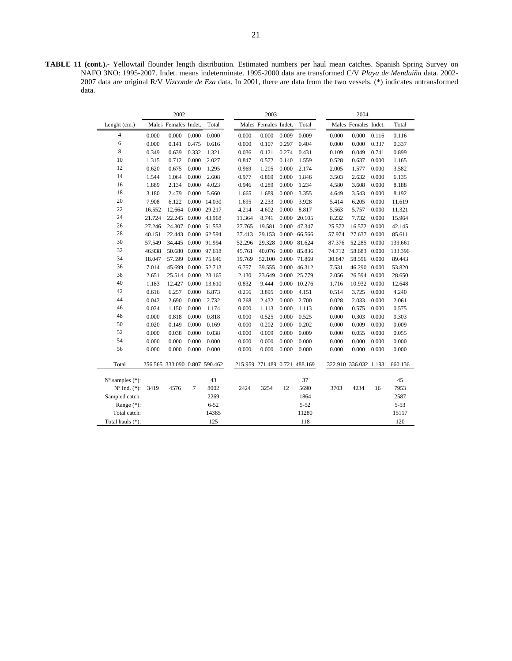**TABLE 11 (cont.).-** Yellowtail flounder length distribution. Estimated numbers per haul mean catches. Spanish Spring Survey on NAFO 3NO: 1995-2007. Indet. means indeterminate. 1995-2000 data are transformed C/V *Playa de Menduíña* data. 2002- 2007 data are original R/V *Vizconde de Eza* data. In 2001, there are data from the two vessels. (\*) indicates untransformed data.

|                             |        | 2002                          |       |              |        | 2003                          |       |              |        | 2004                  |       |          |
|-----------------------------|--------|-------------------------------|-------|--------------|--------|-------------------------------|-------|--------------|--------|-----------------------|-------|----------|
| Lenght (cm.)                |        | Males Females Indet.          |       | Total        |        | Males Females Indet.          |       | Total        |        | Males Females Indet.  |       | Total    |
| $\overline{4}$              | 0.000  | 0.000                         | 0.000 | 0.000        | 0.000  | 0.000                         | 0.009 | 0.009        | 0.000  | 0.000                 | 0.116 | 0.116    |
| 6                           | 0.000  | 0.141                         | 0.475 | 0.616        | 0.000  | 0.107                         | 0.297 | 0.404        | 0.000  | 0.000                 | 0.337 | 0.337    |
| 8                           | 0.349  | 0.639                         | 0.332 | 1.321        | 0.036  | 0.121                         | 0.274 | 0.431        | 0.109  | 0.049                 | 0.741 | 0.899    |
| 10                          | 1.315  | 0.712                         | 0.000 | 2.027        | 0.847  | 0.572                         | 0.140 | 1.559        | 0.528  | 0.637                 | 0.000 | 1.165    |
| 12                          | 0.620  | 0.675                         | 0.000 | 1.295        | 0.969  | 1.205                         | 0.000 | 2.174        | 2.005  | 1.577                 | 0.000 | 3.582    |
| 14                          | 1.544  | 1.064                         | 0.000 | 2.608        | 0.977  | 0.869                         | 0.000 | 1.846        | 3.503  | 2.632                 | 0.000 | 6.135    |
| 16                          | 1.889  | 2.134                         | 0.000 | 4.023        | 0.946  | 0.289                         | 0.000 | 1.234        | 4.580  | 3.608                 | 0.000 | 8.188    |
| 18                          | 3.180  | 2.479                         | 0.000 | 5.660        | 1.665  | 1.689                         | 0.000 | 3.355        | 4.649  | 3.543                 | 0.000 | 8.192    |
| 20                          | 7.908  | 6.122                         | 0.000 | 14.030       | 1.695  | 2.233                         | 0.000 | 3.928        | 5.414  | 6.205                 | 0.000 | 11.619   |
| 22                          | 16.552 | 12.664                        | 0.000 | 29.217       | 4.214  | 4.602                         | 0.000 | 8.817        | 5.563  | 5.757                 | 0.000 | 11.321   |
| 24                          | 21.724 | 22.245                        |       | 0.000 43.968 | 11.364 | 8.741                         | 0.000 | 20.105       | 8.232  | 7.732                 | 0.000 | 15.964   |
| 26                          | 27.246 | 24.307                        |       | 0.000 51.553 | 27.765 | 19.581                        |       | 0.000 47.347 | 25.572 | 16.572 0.000          |       | 42.145   |
| 28                          | 40.151 | 22.443 0.000 62.594           |       |              | 37.413 | 29.153                        | 0.000 | 66.566       | 57.974 | 27.637 0.000          |       | 85.611   |
| 30                          | 57.549 | 34.445 0.000 91.994           |       |              | 52.296 | 29.328                        | 0.000 | 81.624       | 87.376 | 52.285 0.000          |       | 139.661  |
| 32                          | 46.938 | 50.680 0.000 97.618           |       |              | 45.761 | 40.076                        | 0.000 | 85.836       | 74.712 | 58.683 0.000          |       | 133.396  |
| 34                          | 18.047 | 57.599                        |       | 0.000 75.646 | 19.769 | 52.100                        | 0.000 | 71.869       | 30.847 | 58.596 0.000          |       | 89.443   |
| 36                          | 7.014  | 45.699                        |       | 0.000 52.713 | 6.757  | 39.555                        | 0.000 | 46.312       | 7.531  | 46.290 0.000          |       | 53.820   |
| 38                          | 2.651  | 25.514                        |       | 0.000 28.165 | 2.130  | 23.649                        | 0.000 | 25.779       | 2.056  | 26.594 0.000          |       | 28.650   |
| 40                          | 1.183  | 12.427                        |       | 0.000 13.610 | 0.832  | 9.444                         | 0.000 | 10.276       | 1.716  | 10.932 0.000          |       | 12.648   |
| 42                          | 0.616  | 6.257                         | 0.000 | 6.873        | 0.256  | 3.895                         | 0.000 | 4.151        | 0.514  | 3.725                 | 0.000 | 4.240    |
| 44                          | 0.042  | 2.690                         | 0.000 | 2.732        | 0.268  | 2.432                         | 0.000 | 2.700        | 0.028  | 2.033                 | 0.000 | 2.061    |
| 46                          | 0.024  | 1.150                         | 0.000 | 1.174        | 0.000  | 1.113                         | 0.000 | 1.113        | 0.000  | 0.575                 | 0.000 | 0.575    |
| 48                          | 0.000  | 0.818                         | 0.000 | 0.818        | 0.000  | 0.525                         | 0.000 | 0.525        | 0.000  | 0.303                 | 0.000 | 0.303    |
| 50                          | 0.020  | 0.149                         | 0.000 | 0.169        | 0.000  | 0.202                         | 0.000 | 0.202        | 0.000  | 0.009                 | 0.000 | 0.009    |
| 52                          | 0.000  | 0.038                         | 0.000 | 0.038        | 0.000  | 0.009                         | 0.000 | 0.009        | 0.000  | 0.055                 | 0.000 | 0.055    |
| 54                          | 0.000  | 0.000                         | 0.000 | 0.000        | 0.000  | 0.000                         | 0.000 | 0.000        | 0.000  | 0.000                 | 0.000 | 0.000    |
| 56                          | 0.000  | 0.000                         | 0.000 | 0.000        | 0.000  | 0.000                         | 0.000 | 0.000        | 0.000  | 0.000                 | 0.000 | 0.000    |
| Total                       |        | 256.565 333.090 0.807 590.462 |       |              |        | 215.959 271.489 0.721 488.169 |       |              |        | 322.910 336.032 1.193 |       | 660.136  |
| $N^{\circ}$ samples $(*)$ : |        |                               |       | 43           |        |                               |       | 37           |        |                       |       | 45       |
| $No$ Ind. $(*)$ :           | 3419   | 4576                          | 7     | 8002         | 2424   | 3254                          | 12    | 5690         | 3703   | 4234                  | 16    | 7953     |
| Sampled catch:              |        |                               |       | 2269         |        |                               |       | 1864         |        |                       |       | 2587     |
| Range $(*)$ :               |        |                               |       | $6 - 52$     |        |                               |       | $5 - 52$     |        |                       |       | $5 - 53$ |
| Total catch:                |        |                               |       | 14385        |        |                               |       | 11280        |        |                       |       | 15117    |
| Total hauls (*):            |        |                               |       | 125          |        |                               |       | 118          |        |                       |       | 120      |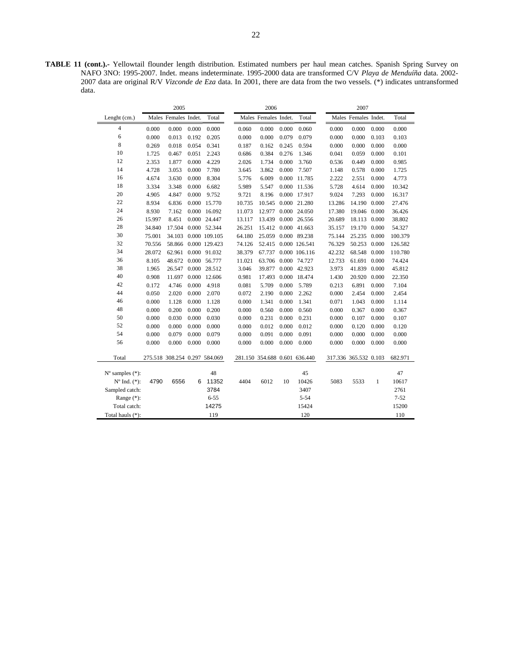**TABLE 11 (cont.).-** Yellowtail flounder length distribution. Estimated numbers per haul mean catches. Spanish Spring Survey on NAFO 3NO: 1995-2007. Indet. means indeterminate. 1995-2000 data are transformed C/V *Playa de Menduíña* data. 2002- 2007 data are original R/V *Vizconde de Eza* data. In 2001, there are data from the two vessels. (\*) indicates untransformed data.

|                             |        | 2005                          |       |                     |        | 2006                          |       |                     |                       | 2007                 |       |          |
|-----------------------------|--------|-------------------------------|-------|---------------------|--------|-------------------------------|-------|---------------------|-----------------------|----------------------|-------|----------|
| Lenght (cm.)                |        | Males Females Indet.          |       | Total               |        | Males Females Indet.          |       | Total               |                       | Males Females Indet. |       | Total    |
| $\overline{4}$              | 0.000  | 0.000                         | 0.000 | 0.000               | 0.060  | 0.000                         | 0.000 | 0.060               | 0.000                 | 0.000                | 0.000 | 0.000    |
| 6                           | 0.000  | 0.013                         | 0.192 | 0.205               | 0.000  | 0.000                         | 0.079 | 0.079               | 0.000                 | 0.000                | 0.103 | 0.103    |
| 8                           | 0.269  | 0.018                         | 0.054 | 0.341               | 0.187  | 0.162                         | 0.245 | 0.594               | 0.000                 | 0.000                | 0.000 | 0.000    |
| 10                          | 1.725  | 0.467                         | 0.051 | 2.243               | 0.686  | 0.384                         | 0.276 | 1.346               | 0.041                 | 0.059                | 0.000 | 0.101    |
| 12                          | 2.353  | 1.877                         | 0.000 | 4.229               | 2.026  | 1.734                         | 0.000 | 3.760               | 0.536                 | 0.449                | 0.000 | 0.985    |
| 14                          | 4.728  | 3.053                         | 0.000 | 7.780               | 3.645  | 3.862                         | 0.000 | 7.507               | 1.148                 | 0.578                | 0.000 | 1.725    |
| 16                          | 4.674  | 3.630                         | 0.000 | 8.304               | 5.776  | 6.009                         | 0.000 | 11.785              | 2.222                 | 2.551                | 0.000 | 4.773    |
| 18                          | 3.334  | 3.348                         | 0.000 | 6.682               | 5.989  | 5.547                         | 0.000 | 11.536              | 5.728                 | 4.614                | 0.000 | 10.342   |
| 20                          | 4.905  | 4.847                         | 0.000 | 9.752               | 9.721  | 8.196                         | 0.000 | 17.917              | 9.024                 | 7.293                | 0.000 | 16.317   |
| 22                          | 8.934  | 6.836                         |       | 0.000 15.770        | 10.735 | 10.545                        |       | 0.000 21.280        | 13.286                | 14.190 0.000         |       | 27.476   |
| 24                          | 8.930  | 7.162                         |       | 0.000 16.092        | 11.073 | 12.977                        |       | 0.000 24.050        | 17.380                | 19.046 0.000         |       | 36.426   |
| 26                          | 15.997 | 8.451                         |       | 0.000 24.447        | 13.117 | 13.439                        |       | 0.000 26.556        | 20.689                | 18.113 0.000         |       | 38.802   |
| 28                          | 34.840 |                               |       | 17.504 0.000 52.344 | 26.251 |                               |       | 15.412 0.000 41.663 | 35.157                | 19.170 0.000         |       | 54.327   |
| 30                          | 75.001 | 34.103                        |       | 0.000 109.105       | 64.180 | 25.059                        |       | 0.000 89.238        | 75.144                | 25.235 0.000         |       | 100.379  |
| 32                          | 70.556 | 58.866                        |       | 0.000 129.423       | 74.126 | 52.415                        |       | 0.000 126.541       | 76.329                | 50.253 0.000         |       | 126.582  |
| 34                          | 28.072 | 62.961                        |       | 0.000 91.032        | 38.379 | 67.737                        |       | 0.000 106.116       | 42.232                | 68.548 0.000         |       | 110.780  |
| 36                          | 8.105  | 48.672                        |       | 0.000 56.777        | 11.021 | 63.706                        |       | 0.000 74.727        | 12.733                | 61.691               | 0.000 | 74.424   |
| 38                          | 1.965  | 26.547                        |       | 0.000 28.512        | 3.046  | 39.877                        |       | 0.000 42.923        | 3.973                 | 41.839 0.000         |       | 45.812   |
| 40                          | 0.908  | 11.697                        |       | 0.000 12.606        | 0.981  | 17.493                        | 0.000 | 18.474              | 1.430                 | 20.920               | 0.000 | 22.350   |
| 42                          | 0.172  | 4.746                         | 0.000 | 4.918               | 0.081  | 5.709                         | 0.000 | 5.789               | 0.213                 | 6.891                | 0.000 | 7.104    |
| 44                          | 0.050  | 2.020                         | 0.000 | 2.070               | 0.072  | 2.190                         | 0.000 | 2.262               | 0.000                 | 2.454                | 0.000 | 2.454    |
| 46                          | 0.000  | 1.128                         | 0.000 | 1.128               | 0.000  | 1.341                         | 0.000 | 1.341               | 0.071                 | 1.043                | 0.000 | 1.114    |
| 48                          | 0.000  | 0.200                         | 0.000 | 0.200               | 0.000  | 0.560                         | 0.000 | 0.560               | 0.000                 | 0.367                | 0.000 | 0.367    |
| 50                          | 0.000  | 0.030                         | 0.000 | 0.030               | 0.000  | 0.231                         | 0.000 | 0.231               | 0.000                 | 0.107                | 0.000 | 0.107    |
| 52                          | 0.000  | 0.000                         | 0.000 | 0.000               | 0.000  | 0.012                         | 0.000 | 0.012               | 0.000                 | 0.120                | 0.000 | 0.120    |
| 54                          | 0.000  | 0.079                         | 0.000 | 0.079               | 0.000  | 0.091                         | 0.000 | 0.091               | 0.000                 | 0.000                | 0.000 | 0.000    |
| 56                          | 0.000  | 0.000                         | 0.000 | 0.000               | 0.000  | 0.000                         | 0.000 | 0.000               | 0.000                 | 0.000                | 0.000 | 0.000    |
| Total                       |        | 275.518 308.254 0.297 584.069 |       |                     |        | 281.150 354.688 0.601 636.440 |       |                     | 317.336 365.532 0.103 |                      |       | 682.971  |
| $N^{\circ}$ samples $(*)$ : |        |                               |       | 48                  |        |                               |       | 45                  |                       |                      |       | 47       |
| $N^{\circ}$ Ind. $(*)$ :    | 4790   | 6556                          | 6     | 11352               | 4404   | 6012                          | 10    | 10426               | 5083                  | 5533                 | 1     | 10617    |
| Sampled catch:              |        |                               |       | 3784                |        |                               |       | 3407                |                       |                      |       | 2761     |
| Range $(*)$ :               |        |                               |       | $6 - 55$            |        |                               |       | $5 - 54$            |                       |                      |       | $7 - 52$ |
| Total catch:                |        |                               |       | 14275               |        |                               |       | 15424               |                       |                      |       | 15200    |
| Total hauls (*):            |        |                               |       | 119                 |        |                               |       | 120                 |                       |                      |       | 110      |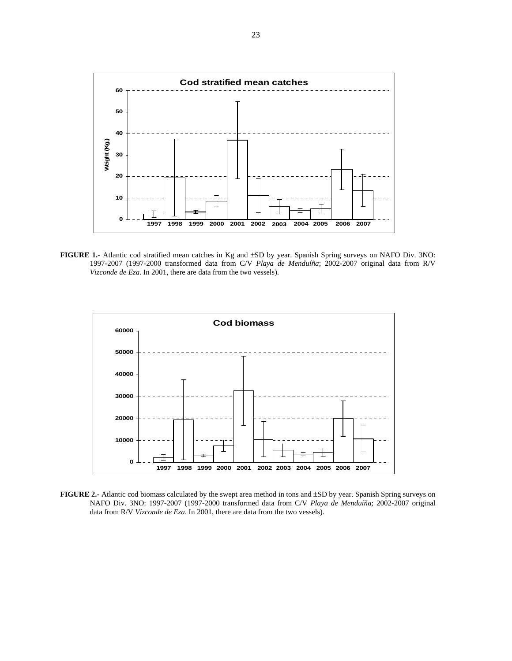

**FIGURE 1.-** Atlantic cod stratified mean catches in Kg and ±SD by year. Spanish Spring surveys on NAFO Div. 3NO: 1997-2007 (1997-2000 transformed data from C/V *Playa de Menduíña*; 2002-2007 original data from R/V *Vizconde de Eza*. In 2001, there are data from the two vessels).



**FIGURE 2.-** Atlantic cod biomass calculated by the swept area method in tons and ±SD by year. Spanish Spring surveys on NAFO Div. 3NO: 1997-2007 (1997-2000 transformed data from C/V *Playa de Menduíña*; 2002-2007 original data from R/V *Vizconde de Eza*. In 2001, there are data from the two vessels).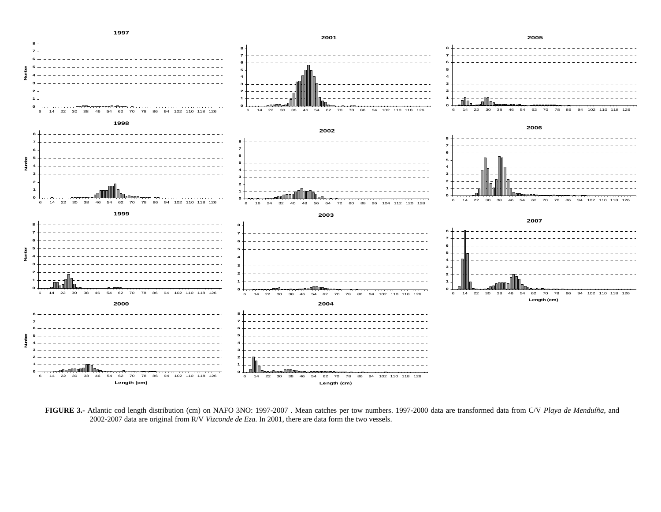

**FIGURE 3.-** Atlantic cod length distribution (cm) on NAFO 3NO: 1997-2007 . Mean catches per tow numbers. 1997-2000 data are transformed data from C/V *Playa de Menduíña*, and 2002-2007 data are original from R/V *Vizconde de Eza*. In 2001, there are data form the two vessels.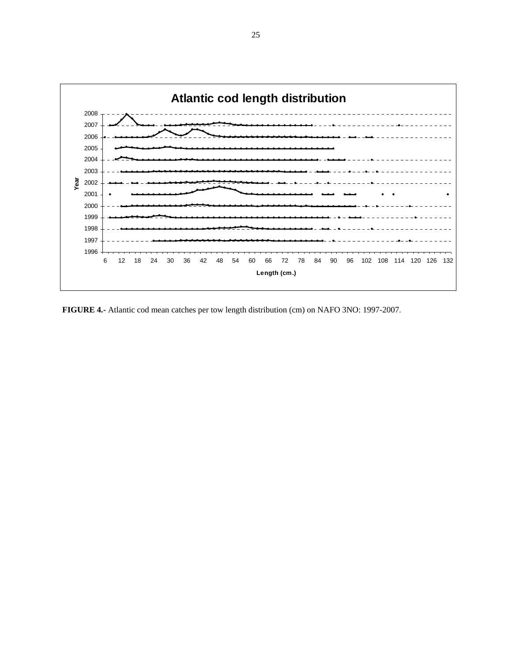

 **FIGURE 4.-** Atlantic cod mean catches per tow length distribution (cm) on NAFO 3NO: 1997-2007.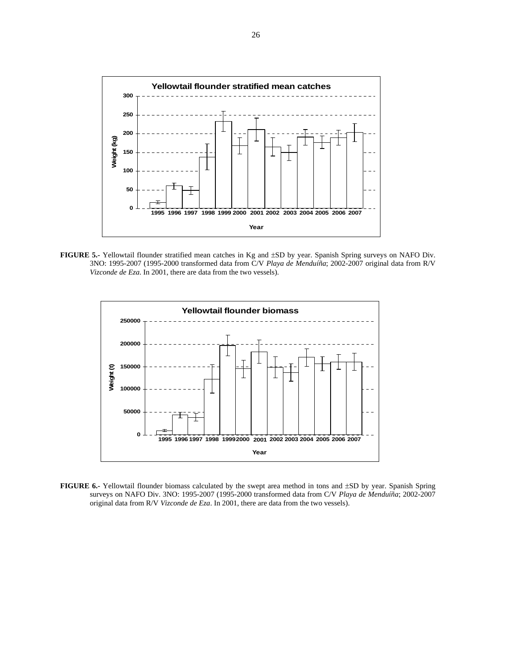

**FIGURE 5.-** Yellowtail flounder stratified mean catches in Kg and ±SD by year. Spanish Spring surveys on NAFO Div. 3NO: 1995-2007 (1995-2000 transformed data from C/V *Playa de Menduíña*; 2002-2007 original data from R/V *Vizconde de Eza*. In 2001, there are data from the two vessels).



**FIGURE 6.-** Yellowtail flounder biomass calculated by the swept area method in tons and ±SD by year. Spanish Spring surveys on NAFO Div. 3NO: 1995-2007 (1995-2000 transformed data from C/V *Playa de Menduíña*; 2002-2007 original data from R/V *Vizconde de Eza*. In 2001, there are data from the two vessels).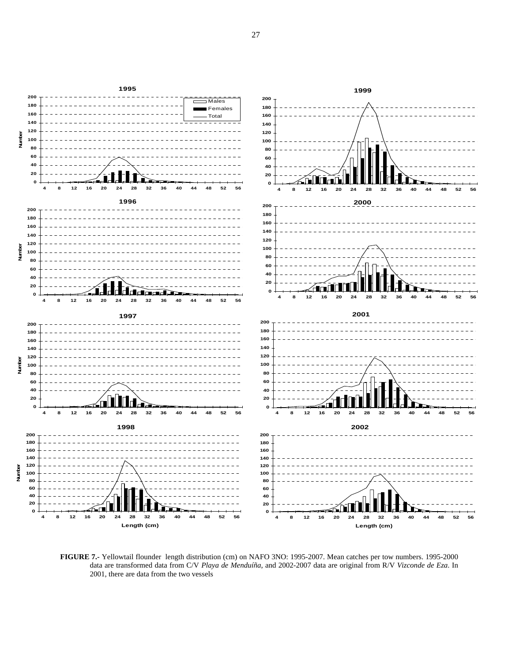

**FIGURE 7.-** Yellowtail flounder length distribution (cm) on NAFO 3NO: 1995-2007. Mean catches per tow numbers. 1995-2000 data are transformed data from C/V *Playa de Menduíña*, and 2002-2007 data are original from R/V *Vizconde de Eza*. In 2001, there are data from the two vessels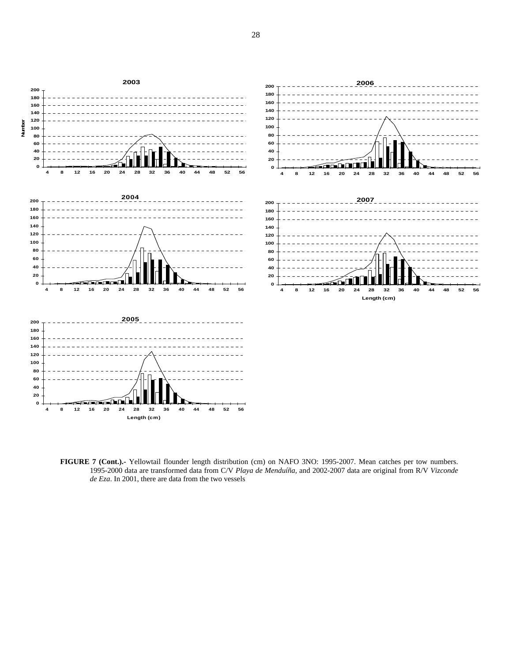

**FIGURE 7 (Cont.).-** Yellowtail flounder length distribution (cm) on NAFO 3NO: 1995-2007. Mean catches per tow numbers. 1995-2000 data are transformed data from C/V *Playa de Menduíña*, and 2002-2007 data are original from R/V *Vizconde de Eza*. In 2001, there are data from the two vessels